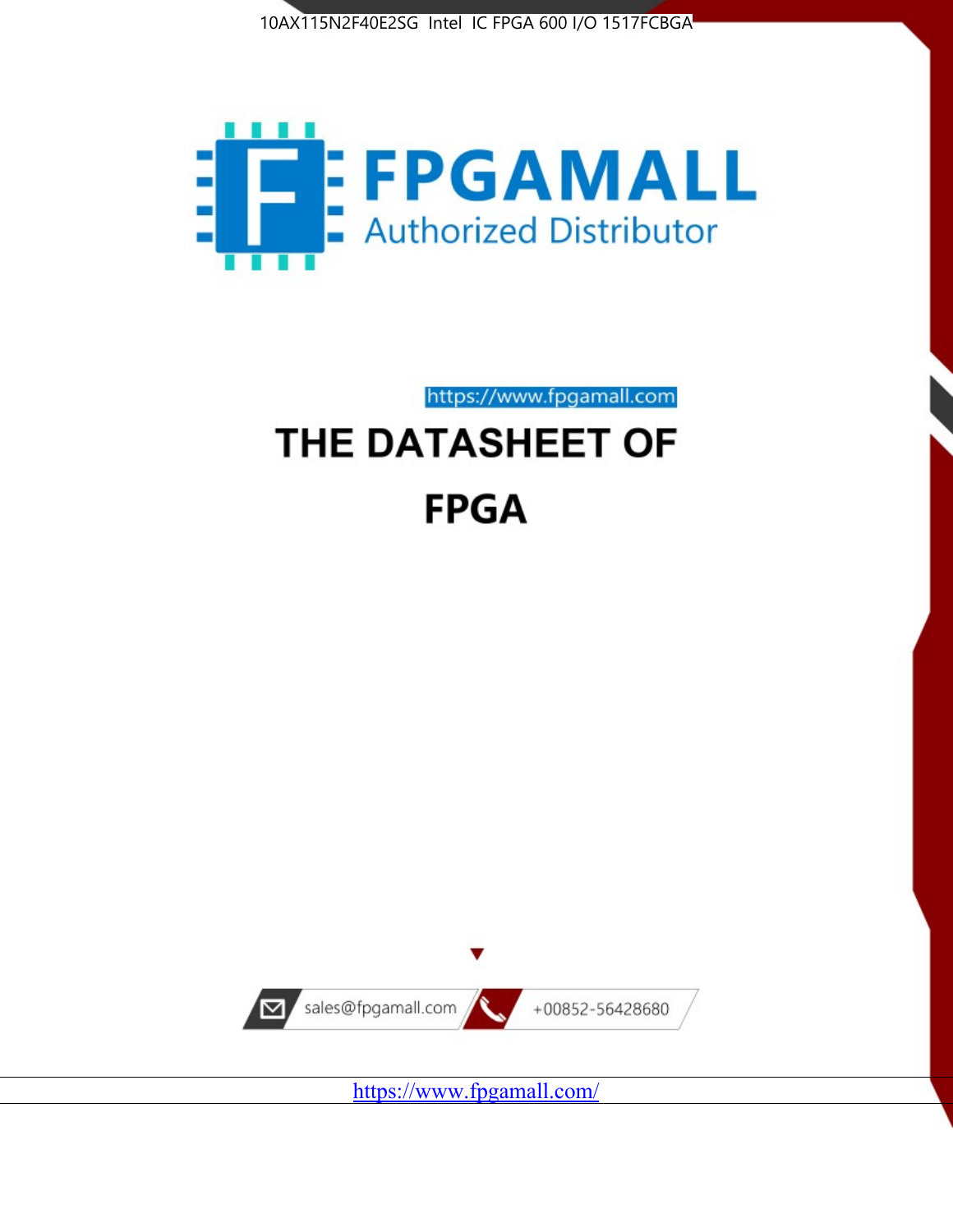



https://www.fpgamall.com

# THE DATASHEET OF **FPGA**



<https://www.fpgamall.com/>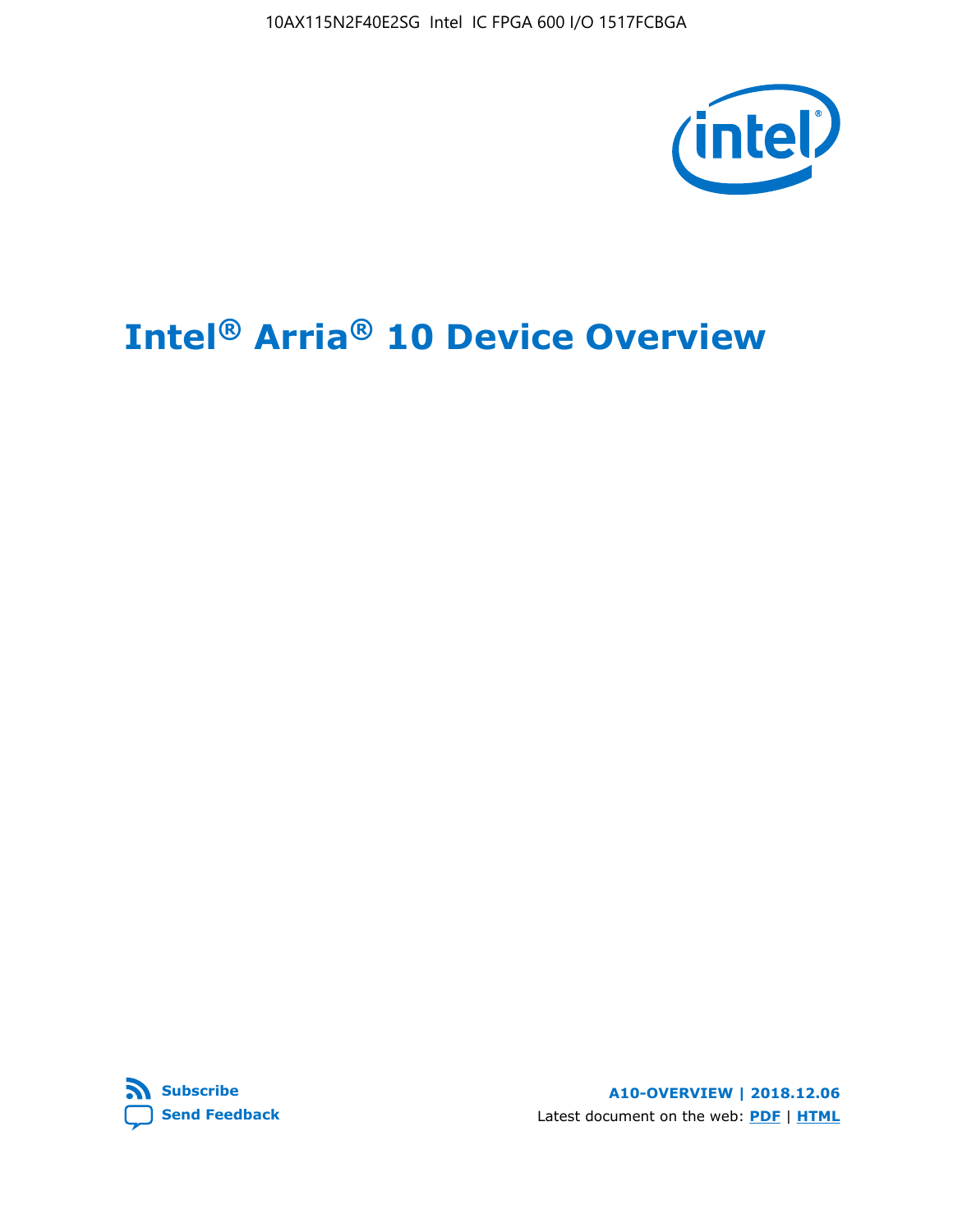10AX115N2F40E2SG Intel IC FPGA 600 I/O 1517FCBGA



# **Intel® Arria® 10 Device Overview**



**A10-OVERVIEW | 2018.12.06** Latest document on the web: **[PDF](https://www.intel.com/content/dam/www/programmable/us/en/pdfs/literature/hb/arria-10/a10_overview.pdf)** | **[HTML](https://www.intel.com/content/www/us/en/programmable/documentation/sam1403480274650.html)**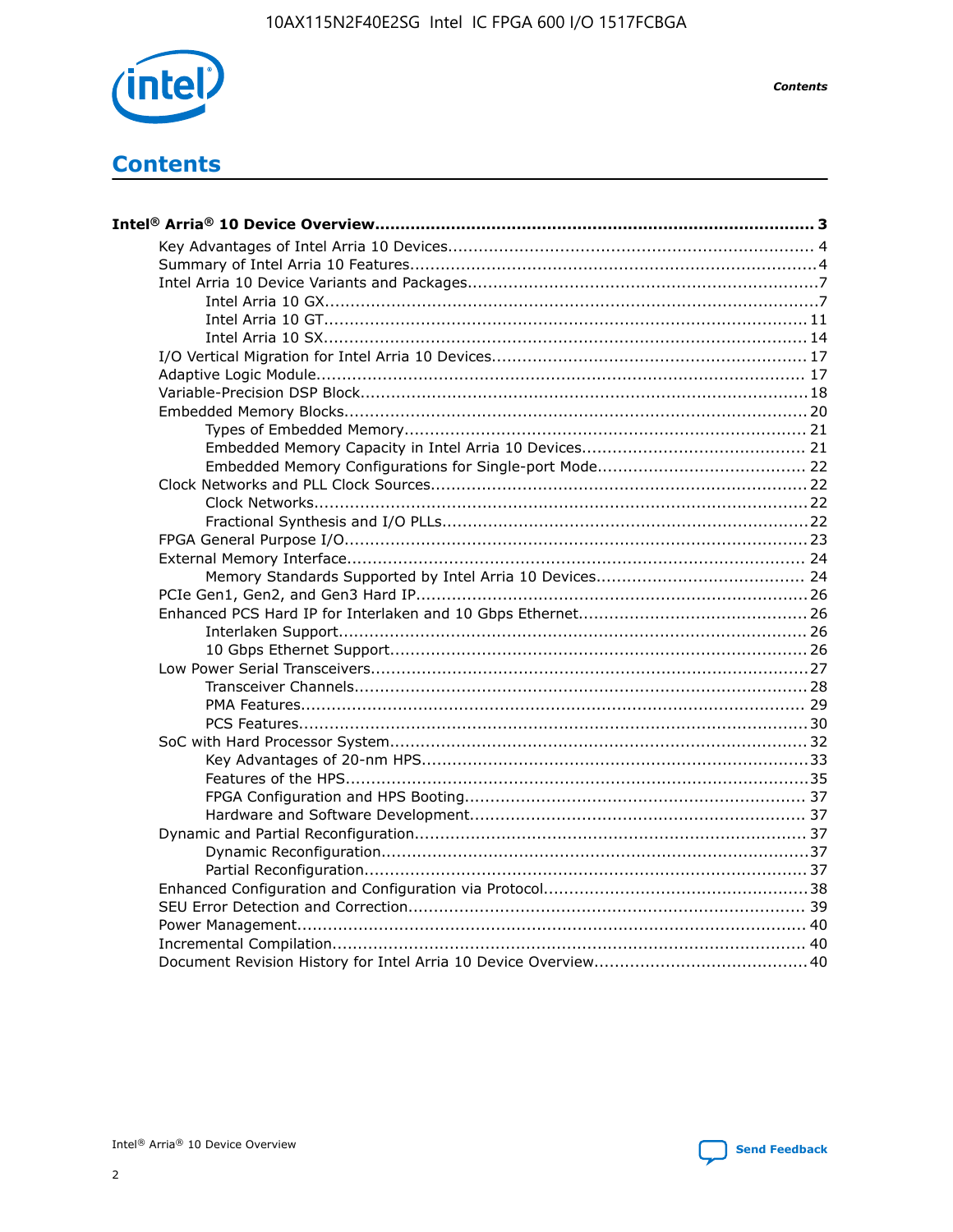

**Contents** 

# **Contents**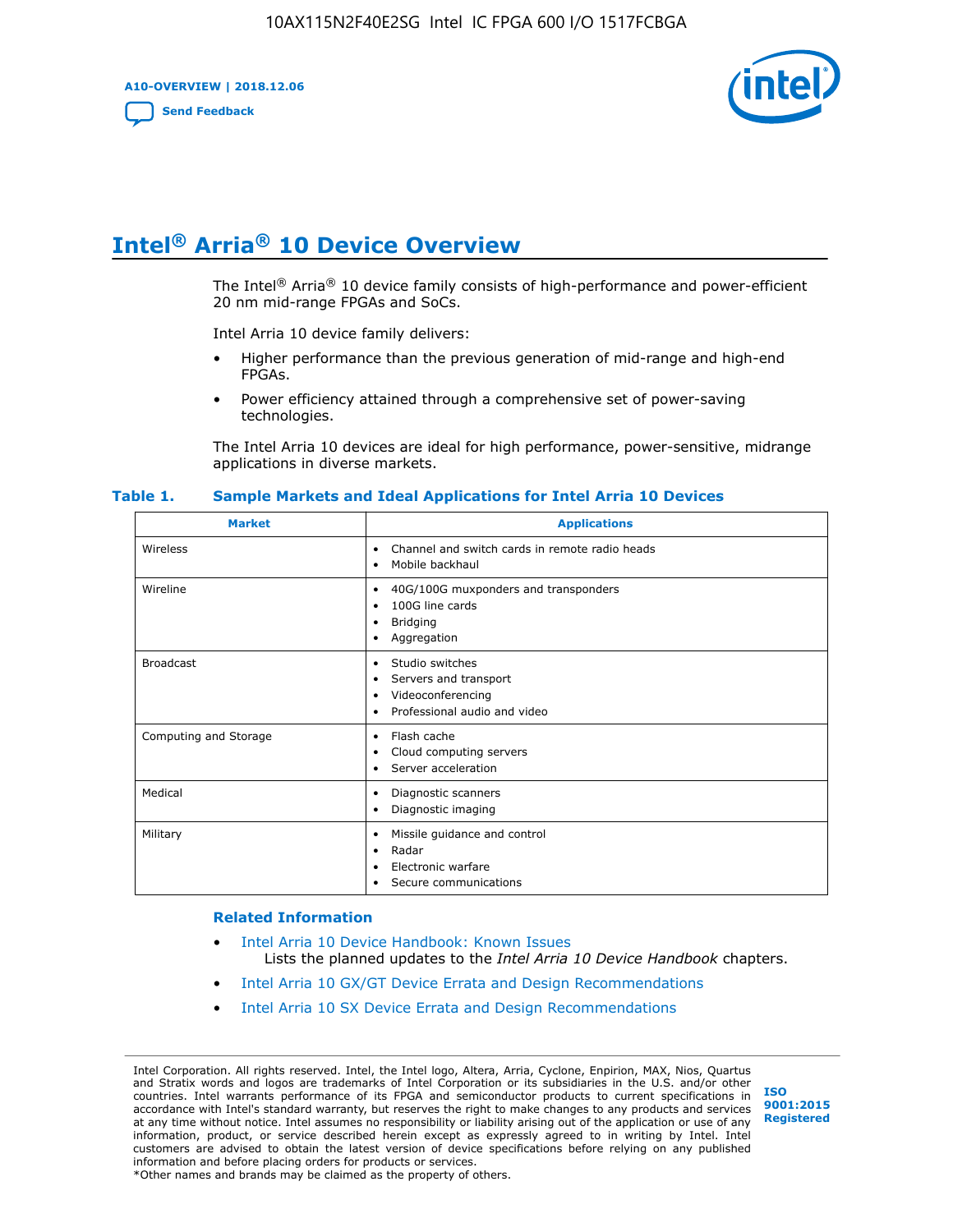**A10-OVERVIEW | 2018.12.06**

**[Send Feedback](mailto:FPGAtechdocfeedback@intel.com?subject=Feedback%20on%20Intel%20Arria%2010%20Device%20Overview%20(A10-OVERVIEW%202018.12.06)&body=We%20appreciate%20your%20feedback.%20In%20your%20comments,%20also%20specify%20the%20page%20number%20or%20paragraph.%20Thank%20you.)**



# **Intel® Arria® 10 Device Overview**

The Intel<sup>®</sup> Arria<sup>®</sup> 10 device family consists of high-performance and power-efficient 20 nm mid-range FPGAs and SoCs.

Intel Arria 10 device family delivers:

- Higher performance than the previous generation of mid-range and high-end FPGAs.
- Power efficiency attained through a comprehensive set of power-saving technologies.

The Intel Arria 10 devices are ideal for high performance, power-sensitive, midrange applications in diverse markets.

| <b>Market</b>         | <b>Applications</b>                                                                                               |
|-----------------------|-------------------------------------------------------------------------------------------------------------------|
| Wireless              | Channel and switch cards in remote radio heads<br>٠<br>Mobile backhaul<br>٠                                       |
| Wireline              | 40G/100G muxponders and transponders<br>٠<br>100G line cards<br>٠<br><b>Bridging</b><br>٠<br>Aggregation<br>٠     |
| <b>Broadcast</b>      | Studio switches<br>٠<br>Servers and transport<br>٠<br>Videoconferencing<br>٠<br>Professional audio and video<br>٠ |
| Computing and Storage | Flash cache<br>٠<br>Cloud computing servers<br>٠<br>Server acceleration<br>٠                                      |
| Medical               | Diagnostic scanners<br>٠<br>Diagnostic imaging<br>٠                                                               |
| Military              | Missile guidance and control<br>٠<br>Radar<br>٠<br>Electronic warfare<br>٠<br>Secure communications<br>٠          |

#### **Table 1. Sample Markets and Ideal Applications for Intel Arria 10 Devices**

#### **Related Information**

- [Intel Arria 10 Device Handbook: Known Issues](http://www.altera.com/support/kdb/solutions/rd07302013_646.html) Lists the planned updates to the *Intel Arria 10 Device Handbook* chapters.
- [Intel Arria 10 GX/GT Device Errata and Design Recommendations](https://www.intel.com/content/www/us/en/programmable/documentation/agz1493851706374.html#yqz1494433888646)
- [Intel Arria 10 SX Device Errata and Design Recommendations](https://www.intel.com/content/www/us/en/programmable/documentation/cru1462832385668.html#cru1462832558642)

Intel Corporation. All rights reserved. Intel, the Intel logo, Altera, Arria, Cyclone, Enpirion, MAX, Nios, Quartus and Stratix words and logos are trademarks of Intel Corporation or its subsidiaries in the U.S. and/or other countries. Intel warrants performance of its FPGA and semiconductor products to current specifications in accordance with Intel's standard warranty, but reserves the right to make changes to any products and services at any time without notice. Intel assumes no responsibility or liability arising out of the application or use of any information, product, or service described herein except as expressly agreed to in writing by Intel. Intel customers are advised to obtain the latest version of device specifications before relying on any published information and before placing orders for products or services. \*Other names and brands may be claimed as the property of others.

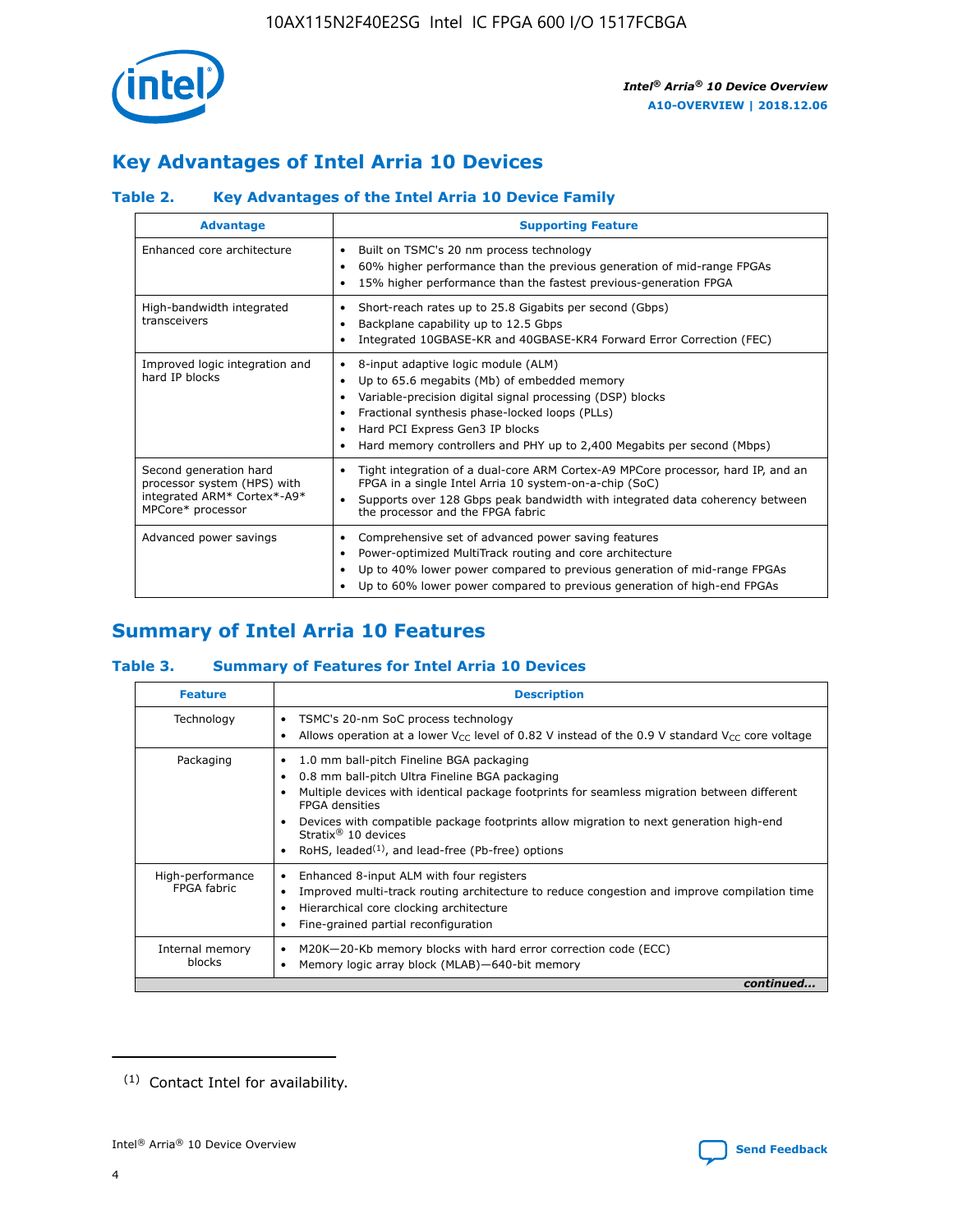

# **Key Advantages of Intel Arria 10 Devices**

## **Table 2. Key Advantages of the Intel Arria 10 Device Family**

| <b>Advantage</b>                                                                                          | <b>Supporting Feature</b>                                                                                                                                                                                                                                                                                                |
|-----------------------------------------------------------------------------------------------------------|--------------------------------------------------------------------------------------------------------------------------------------------------------------------------------------------------------------------------------------------------------------------------------------------------------------------------|
| Enhanced core architecture                                                                                | Built on TSMC's 20 nm process technology<br>٠<br>60% higher performance than the previous generation of mid-range FPGAs<br>٠<br>15% higher performance than the fastest previous-generation FPGA<br>٠                                                                                                                    |
| High-bandwidth integrated<br>transceivers                                                                 | Short-reach rates up to 25.8 Gigabits per second (Gbps)<br>٠<br>Backplane capability up to 12.5 Gbps<br>٠<br>Integrated 10GBASE-KR and 40GBASE-KR4 Forward Error Correction (FEC)<br>٠                                                                                                                                   |
| Improved logic integration and<br>hard IP blocks                                                          | 8-input adaptive logic module (ALM)<br>٠<br>Up to 65.6 megabits (Mb) of embedded memory<br>٠<br>Variable-precision digital signal processing (DSP) blocks<br>Fractional synthesis phase-locked loops (PLLs)<br>Hard PCI Express Gen3 IP blocks<br>Hard memory controllers and PHY up to 2,400 Megabits per second (Mbps) |
| Second generation hard<br>processor system (HPS) with<br>integrated ARM* Cortex*-A9*<br>MPCore* processor | Tight integration of a dual-core ARM Cortex-A9 MPCore processor, hard IP, and an<br>٠<br>FPGA in a single Intel Arria 10 system-on-a-chip (SoC)<br>Supports over 128 Gbps peak bandwidth with integrated data coherency between<br>$\bullet$<br>the processor and the FPGA fabric                                        |
| Advanced power savings                                                                                    | Comprehensive set of advanced power saving features<br>٠<br>Power-optimized MultiTrack routing and core architecture<br>٠<br>Up to 40% lower power compared to previous generation of mid-range FPGAs<br>Up to 60% lower power compared to previous generation of high-end FPGAs                                         |

# **Summary of Intel Arria 10 Features**

## **Table 3. Summary of Features for Intel Arria 10 Devices**

| <b>Feature</b>                  | <b>Description</b>                                                                                                                                                                                                                                                                                                                                                                                           |
|---------------------------------|--------------------------------------------------------------------------------------------------------------------------------------------------------------------------------------------------------------------------------------------------------------------------------------------------------------------------------------------------------------------------------------------------------------|
| Technology                      | TSMC's 20-nm SoC process technology<br>Allows operation at a lower $V_{\text{CC}}$ level of 0.82 V instead of the 0.9 V standard $V_{\text{CC}}$ core voltage                                                                                                                                                                                                                                                |
| Packaging                       | 1.0 mm ball-pitch Fineline BGA packaging<br>٠<br>0.8 mm ball-pitch Ultra Fineline BGA packaging<br>Multiple devices with identical package footprints for seamless migration between different<br><b>FPGA</b> densities<br>Devices with compatible package footprints allow migration to next generation high-end<br>Stratix <sup>®</sup> 10 devices<br>RoHS, leaded $(1)$ , and lead-free (Pb-free) options |
| High-performance<br>FPGA fabric | Enhanced 8-input ALM with four registers<br>Improved multi-track routing architecture to reduce congestion and improve compilation time<br>Hierarchical core clocking architecture<br>Fine-grained partial reconfiguration                                                                                                                                                                                   |
| Internal memory<br>blocks       | M20K-20-Kb memory blocks with hard error correction code (ECC)<br>Memory logic array block (MLAB)-640-bit memory                                                                                                                                                                                                                                                                                             |
|                                 | continued                                                                                                                                                                                                                                                                                                                                                                                                    |



<sup>(1)</sup> Contact Intel for availability.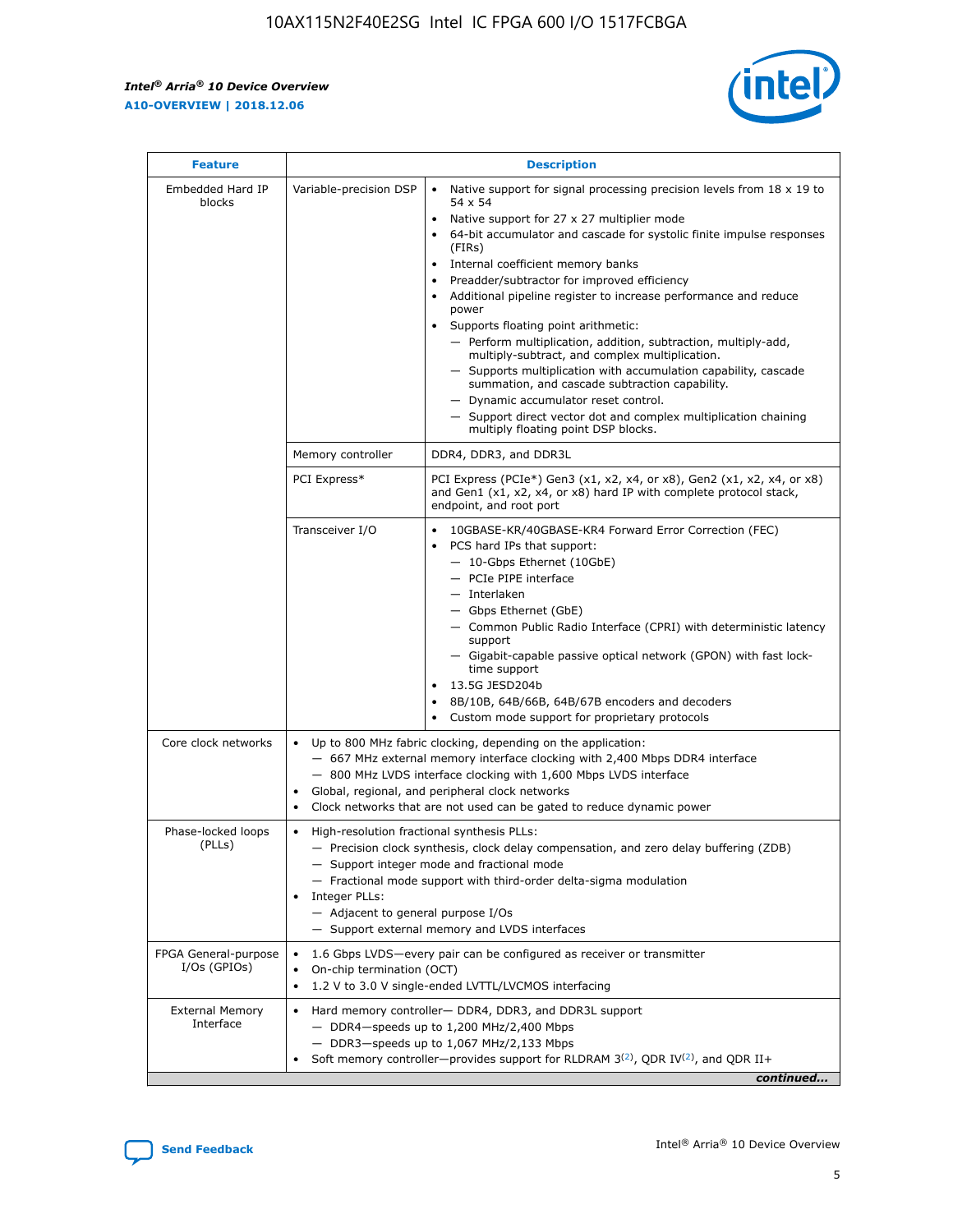$\mathsf{r}$ 



| <b>Feature</b>                         |                                                                                                                | <b>Description</b>                                                                                                                                                                                                                                                                                                                                                                                                                                                                                                                                                                                                                                                                                                                                                                                                                          |
|----------------------------------------|----------------------------------------------------------------------------------------------------------------|---------------------------------------------------------------------------------------------------------------------------------------------------------------------------------------------------------------------------------------------------------------------------------------------------------------------------------------------------------------------------------------------------------------------------------------------------------------------------------------------------------------------------------------------------------------------------------------------------------------------------------------------------------------------------------------------------------------------------------------------------------------------------------------------------------------------------------------------|
| Embedded Hard IP<br>blocks             | Variable-precision DSP                                                                                         | Native support for signal processing precision levels from $18 \times 19$ to<br>$\bullet$<br>54 x 54<br>Native support for 27 x 27 multiplier mode<br>64-bit accumulator and cascade for systolic finite impulse responses<br>(FIRs)<br>Internal coefficient memory banks<br>٠<br>Preadder/subtractor for improved efficiency<br>Additional pipeline register to increase performance and reduce<br>power<br>Supports floating point arithmetic:<br>- Perform multiplication, addition, subtraction, multiply-add,<br>multiply-subtract, and complex multiplication.<br>- Supports multiplication with accumulation capability, cascade<br>summation, and cascade subtraction capability.<br>- Dynamic accumulator reset control.<br>- Support direct vector dot and complex multiplication chaining<br>multiply floating point DSP blocks. |
|                                        | Memory controller                                                                                              | DDR4, DDR3, and DDR3L                                                                                                                                                                                                                                                                                                                                                                                                                                                                                                                                                                                                                                                                                                                                                                                                                       |
|                                        | PCI Express*                                                                                                   | PCI Express (PCIe*) Gen3 (x1, x2, x4, or x8), Gen2 (x1, x2, x4, or x8)<br>and Gen1 (x1, x2, x4, or x8) hard IP with complete protocol stack,<br>endpoint, and root port                                                                                                                                                                                                                                                                                                                                                                                                                                                                                                                                                                                                                                                                     |
|                                        | Transceiver I/O                                                                                                | 10GBASE-KR/40GBASE-KR4 Forward Error Correction (FEC)<br>PCS hard IPs that support:<br>- 10-Gbps Ethernet (10GbE)<br>- PCIe PIPE interface<br>- Interlaken<br>- Gbps Ethernet (GbE)<br>- Common Public Radio Interface (CPRI) with deterministic latency<br>support<br>- Gigabit-capable passive optical network (GPON) with fast lock-<br>time support<br>13.5G JESD204b<br>$\bullet$<br>8B/10B, 64B/66B, 64B/67B encoders and decoders<br>Custom mode support for proprietary protocols                                                                                                                                                                                                                                                                                                                                                   |
| Core clock networks                    | $\bullet$<br>$\bullet$                                                                                         | Up to 800 MHz fabric clocking, depending on the application:<br>- 667 MHz external memory interface clocking with 2,400 Mbps DDR4 interface<br>- 800 MHz LVDS interface clocking with 1,600 Mbps LVDS interface<br>Global, regional, and peripheral clock networks<br>Clock networks that are not used can be gated to reduce dynamic power                                                                                                                                                                                                                                                                                                                                                                                                                                                                                                 |
| Phase-locked loops<br>(PLLs)           | High-resolution fractional synthesis PLLs:<br>$\bullet$<br>Integer PLLs:<br>- Adjacent to general purpose I/Os | - Precision clock synthesis, clock delay compensation, and zero delay buffering (ZDB)<br>- Support integer mode and fractional mode<br>- Fractional mode support with third-order delta-sigma modulation<br>- Support external memory and LVDS interfaces                                                                                                                                                                                                                                                                                                                                                                                                                                                                                                                                                                                   |
| FPGA General-purpose<br>$I/Os$ (GPIOs) | On-chip termination (OCT)<br>$\bullet$                                                                         | 1.6 Gbps LVDS-every pair can be configured as receiver or transmitter<br>1.2 V to 3.0 V single-ended LVTTL/LVCMOS interfacing                                                                                                                                                                                                                                                                                                                                                                                                                                                                                                                                                                                                                                                                                                               |
| <b>External Memory</b><br>Interface    |                                                                                                                | Hard memory controller- DDR4, DDR3, and DDR3L support<br>$-$ DDR4 $-$ speeds up to 1,200 MHz/2,400 Mbps<br>- DDR3-speeds up to 1,067 MHz/2,133 Mbps<br>Soft memory controller—provides support for RLDRAM $3^{(2)}$ , QDR IV $(2^2)$ , and QDR II+<br>continued                                                                                                                                                                                                                                                                                                                                                                                                                                                                                                                                                                             |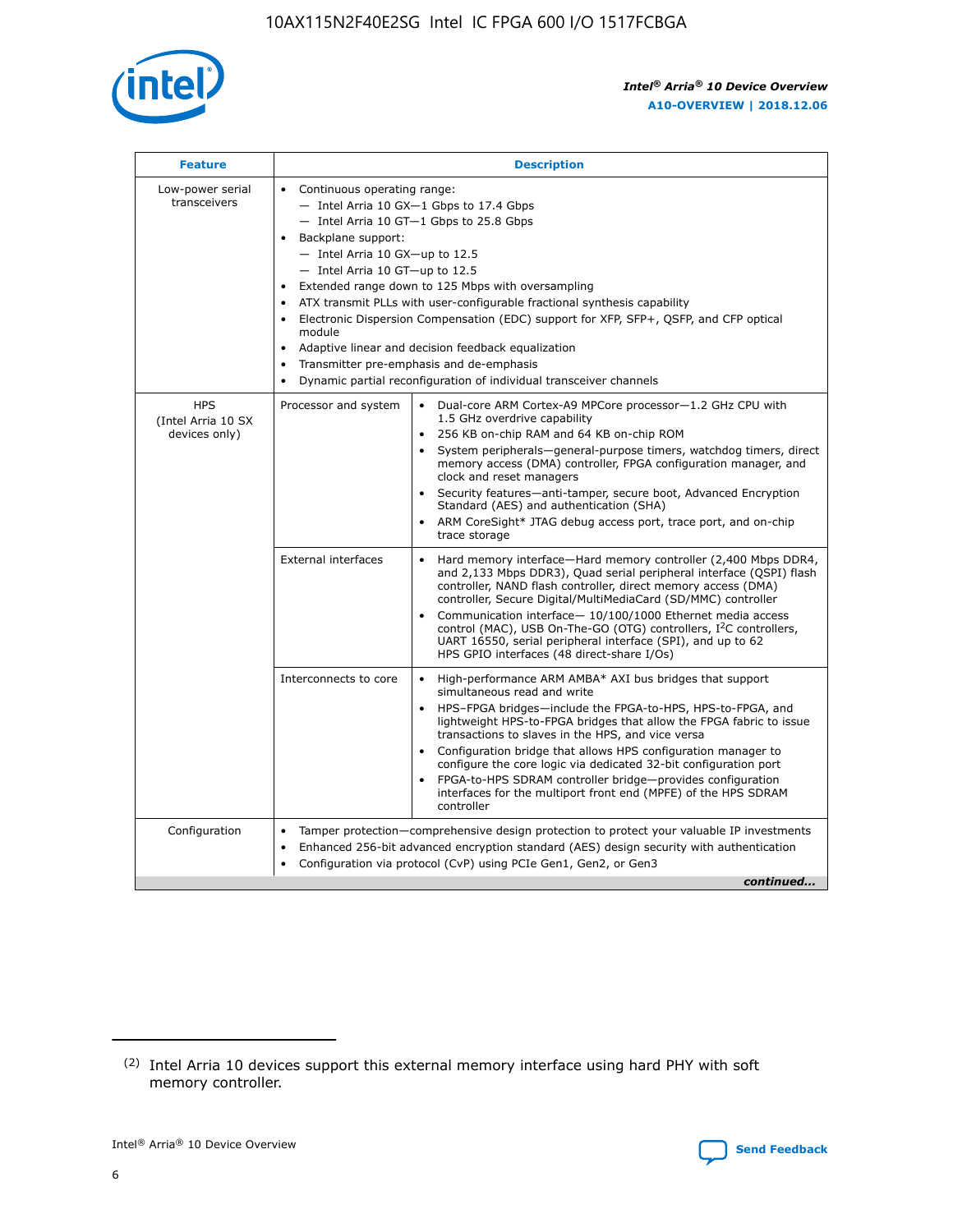

| <b>Feature</b>                                    | <b>Description</b>                                                                                                                                                                                                                                                                                                                                                                                                                                                                                                                                                                                                                             |  |  |  |  |  |  |  |
|---------------------------------------------------|------------------------------------------------------------------------------------------------------------------------------------------------------------------------------------------------------------------------------------------------------------------------------------------------------------------------------------------------------------------------------------------------------------------------------------------------------------------------------------------------------------------------------------------------------------------------------------------------------------------------------------------------|--|--|--|--|--|--|--|
| Low-power serial<br>transceivers                  | • Continuous operating range:<br>- Intel Arria 10 GX-1 Gbps to 17.4 Gbps<br>- Intel Arria 10 GT-1 Gbps to 25.8 Gbps<br>Backplane support:<br>$-$ Intel Arria 10 GX-up to 12.5<br>$-$ Intel Arria 10 GT-up to 12.5<br>Extended range down to 125 Mbps with oversampling<br>ATX transmit PLLs with user-configurable fractional synthesis capability<br>• Electronic Dispersion Compensation (EDC) support for XFP, SFP+, QSFP, and CFP optical<br>module<br>• Adaptive linear and decision feedback equalization<br>Transmitter pre-emphasis and de-emphasis<br>$\bullet$<br>Dynamic partial reconfiguration of individual transceiver channels |  |  |  |  |  |  |  |
| <b>HPS</b><br>(Intel Arria 10 SX<br>devices only) | Processor and system<br>Dual-core ARM Cortex-A9 MPCore processor-1.2 GHz CPU with<br>$\bullet$<br>1.5 GHz overdrive capability<br>256 KB on-chip RAM and 64 KB on-chip ROM<br>$\bullet$<br>System peripherals-general-purpose timers, watchdog timers, direct<br>memory access (DMA) controller, FPGA configuration manager, and<br>clock and reset managers<br>• Security features—anti-tamper, secure boot, Advanced Encryption<br>Standard (AES) and authentication (SHA)<br>ARM CoreSight* JTAG debug access port, trace port, and on-chip<br>trace storage                                                                                |  |  |  |  |  |  |  |
|                                                   | <b>External interfaces</b><br>Hard memory interface—Hard memory controller (2,400 Mbps DDR4,<br>$\bullet$<br>and 2,133 Mbps DDR3), Quad serial peripheral interface (QSPI) flash<br>controller, NAND flash controller, direct memory access (DMA)<br>controller, Secure Digital/MultiMediaCard (SD/MMC) controller<br>Communication interface-10/100/1000 Ethernet media access<br>control (MAC), USB On-The-GO (OTG) controllers, I <sup>2</sup> C controllers,<br>UART 16550, serial peripheral interface (SPI), and up to 62<br>HPS GPIO interfaces (48 direct-share I/Os)                                                                  |  |  |  |  |  |  |  |
|                                                   | High-performance ARM AMBA* AXI bus bridges that support<br>Interconnects to core<br>$\bullet$<br>simultaneous read and write<br>HPS-FPGA bridges—include the FPGA-to-HPS, HPS-to-FPGA, and<br>$\bullet$<br>lightweight HPS-to-FPGA bridges that allow the FPGA fabric to issue<br>transactions to slaves in the HPS, and vice versa<br>Configuration bridge that allows HPS configuration manager to<br>configure the core logic via dedicated 32-bit configuration port<br>FPGA-to-HPS SDRAM controller bridge-provides configuration<br>interfaces for the multiport front end (MPFE) of the HPS SDRAM<br>controller                         |  |  |  |  |  |  |  |
| Configuration                                     | Tamper protection—comprehensive design protection to protect your valuable IP investments<br>Enhanced 256-bit advanced encryption standard (AES) design security with authentication<br>$\bullet$<br>Configuration via protocol (CvP) using PCIe Gen1, Gen2, or Gen3<br>continued                                                                                                                                                                                                                                                                                                                                                              |  |  |  |  |  |  |  |

<sup>(2)</sup> Intel Arria 10 devices support this external memory interface using hard PHY with soft memory controller.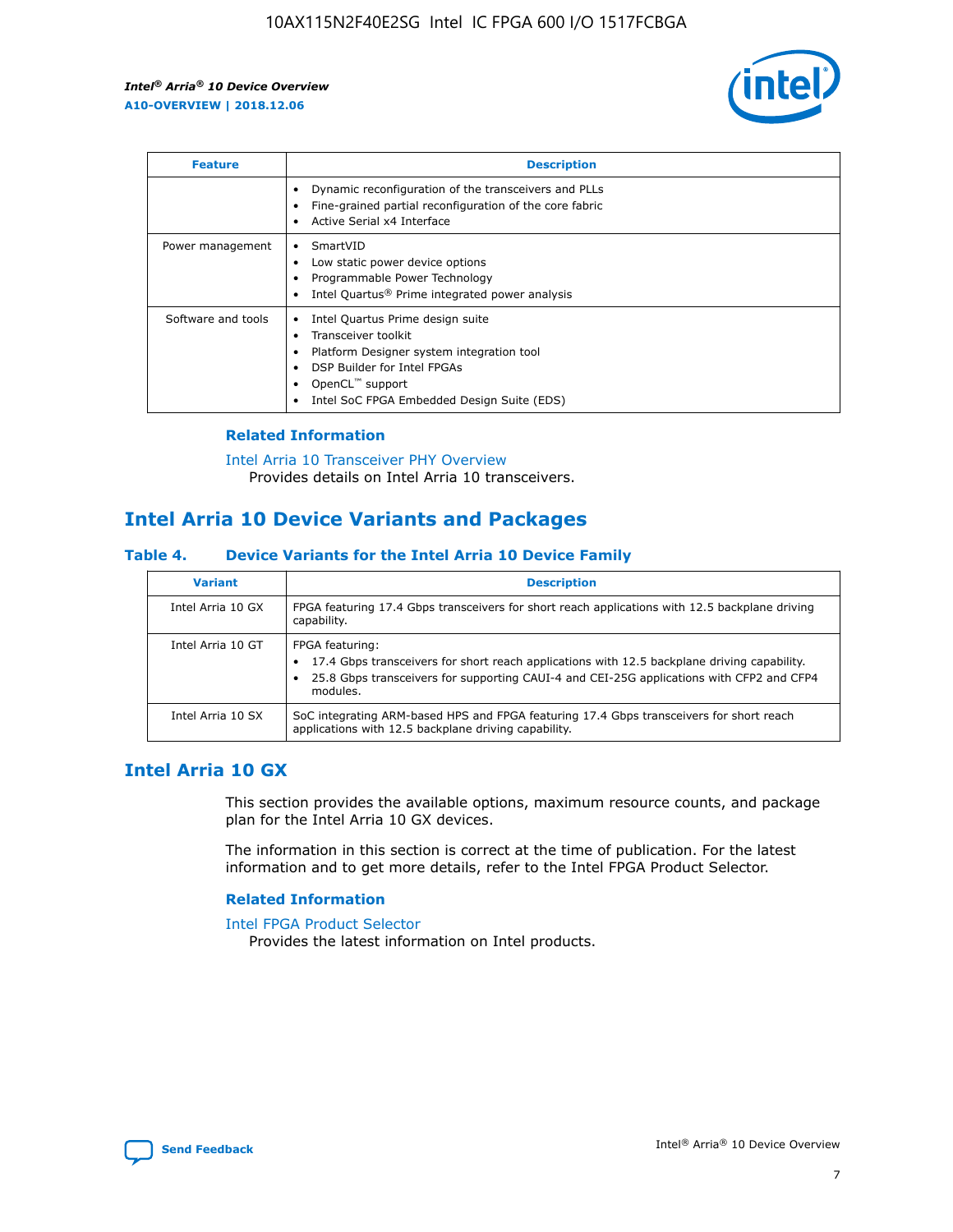

| <b>Feature</b>     | <b>Description</b>                                                                                                                                                                                               |
|--------------------|------------------------------------------------------------------------------------------------------------------------------------------------------------------------------------------------------------------|
|                    | Dynamic reconfiguration of the transceivers and PLLs<br>Fine-grained partial reconfiguration of the core fabric<br>Active Serial x4 Interface<br>٠                                                               |
| Power management   | SmartVID<br>Low static power device options<br>Programmable Power Technology<br>Intel Quartus <sup>®</sup> Prime integrated power analysis                                                                       |
| Software and tools | Intel Quartus Prime design suite<br>Transceiver toolkit<br>Platform Designer system integration tool<br>DSP Builder for Intel FPGAs<br>OpenCL <sup>"</sup> support<br>Intel SoC FPGA Embedded Design Suite (EDS) |

## **Related Information**

[Intel Arria 10 Transceiver PHY Overview](https://www.intel.com/content/www/us/en/programmable/documentation/nik1398707230472.html#nik1398706768037) Provides details on Intel Arria 10 transceivers.

# **Intel Arria 10 Device Variants and Packages**

#### **Table 4. Device Variants for the Intel Arria 10 Device Family**

| <b>Variant</b>    | <b>Description</b>                                                                                                                                                                                                     |
|-------------------|------------------------------------------------------------------------------------------------------------------------------------------------------------------------------------------------------------------------|
| Intel Arria 10 GX | FPGA featuring 17.4 Gbps transceivers for short reach applications with 12.5 backplane driving<br>capability.                                                                                                          |
| Intel Arria 10 GT | FPGA featuring:<br>17.4 Gbps transceivers for short reach applications with 12.5 backplane driving capability.<br>25.8 Gbps transceivers for supporting CAUI-4 and CEI-25G applications with CFP2 and CFP4<br>modules. |
| Intel Arria 10 SX | SoC integrating ARM-based HPS and FPGA featuring 17.4 Gbps transceivers for short reach<br>applications with 12.5 backplane driving capability.                                                                        |

## **Intel Arria 10 GX**

This section provides the available options, maximum resource counts, and package plan for the Intel Arria 10 GX devices.

The information in this section is correct at the time of publication. For the latest information and to get more details, refer to the Intel FPGA Product Selector.

### **Related Information**

#### [Intel FPGA Product Selector](http://www.altera.com/products/selector/psg-selector.html) Provides the latest information on Intel products.

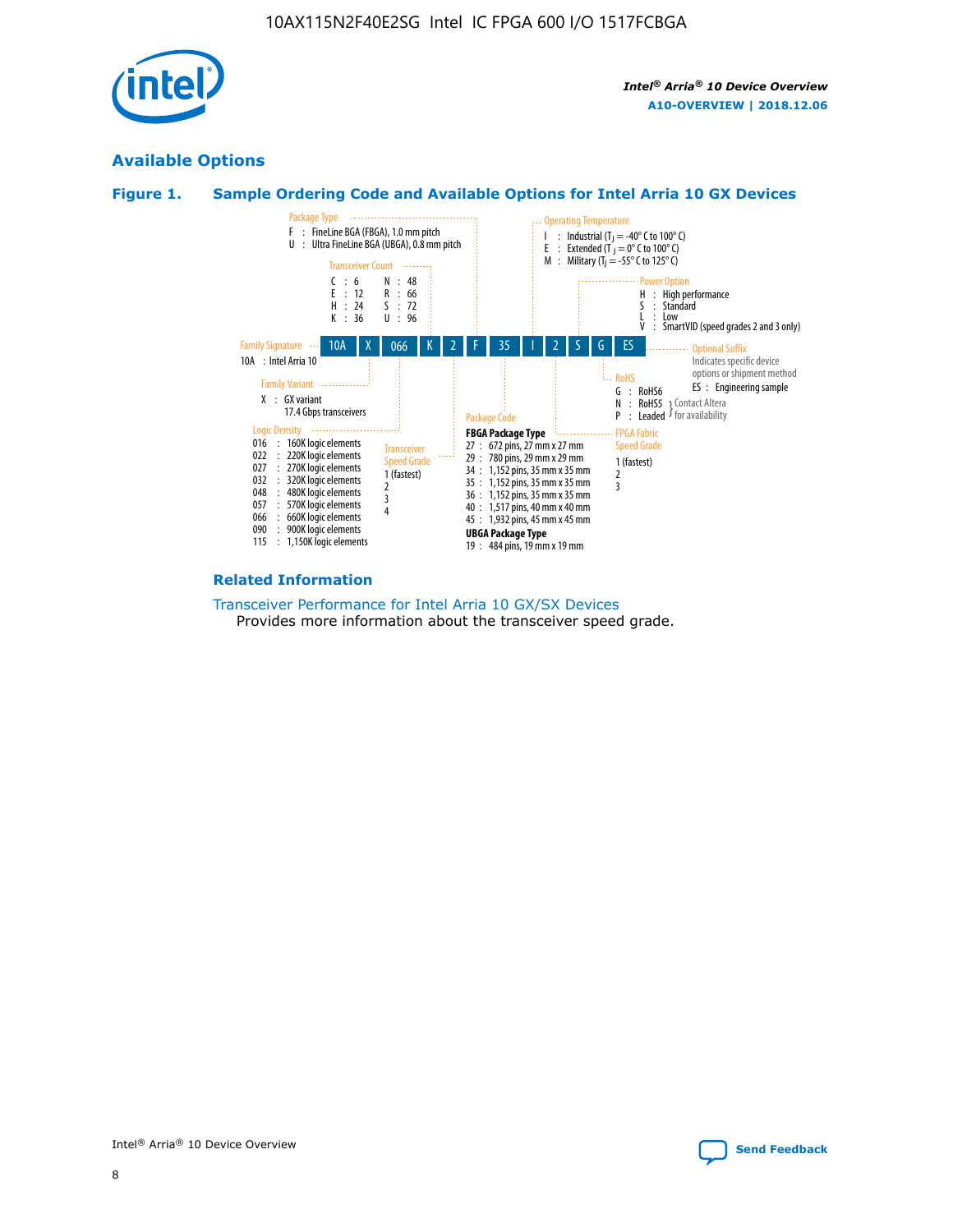

## **Available Options**





#### **Related Information**

[Transceiver Performance for Intel Arria 10 GX/SX Devices](https://www.intel.com/content/www/us/en/programmable/documentation/mcn1413182292568.html#mcn1413213965502) Provides more information about the transceiver speed grade.

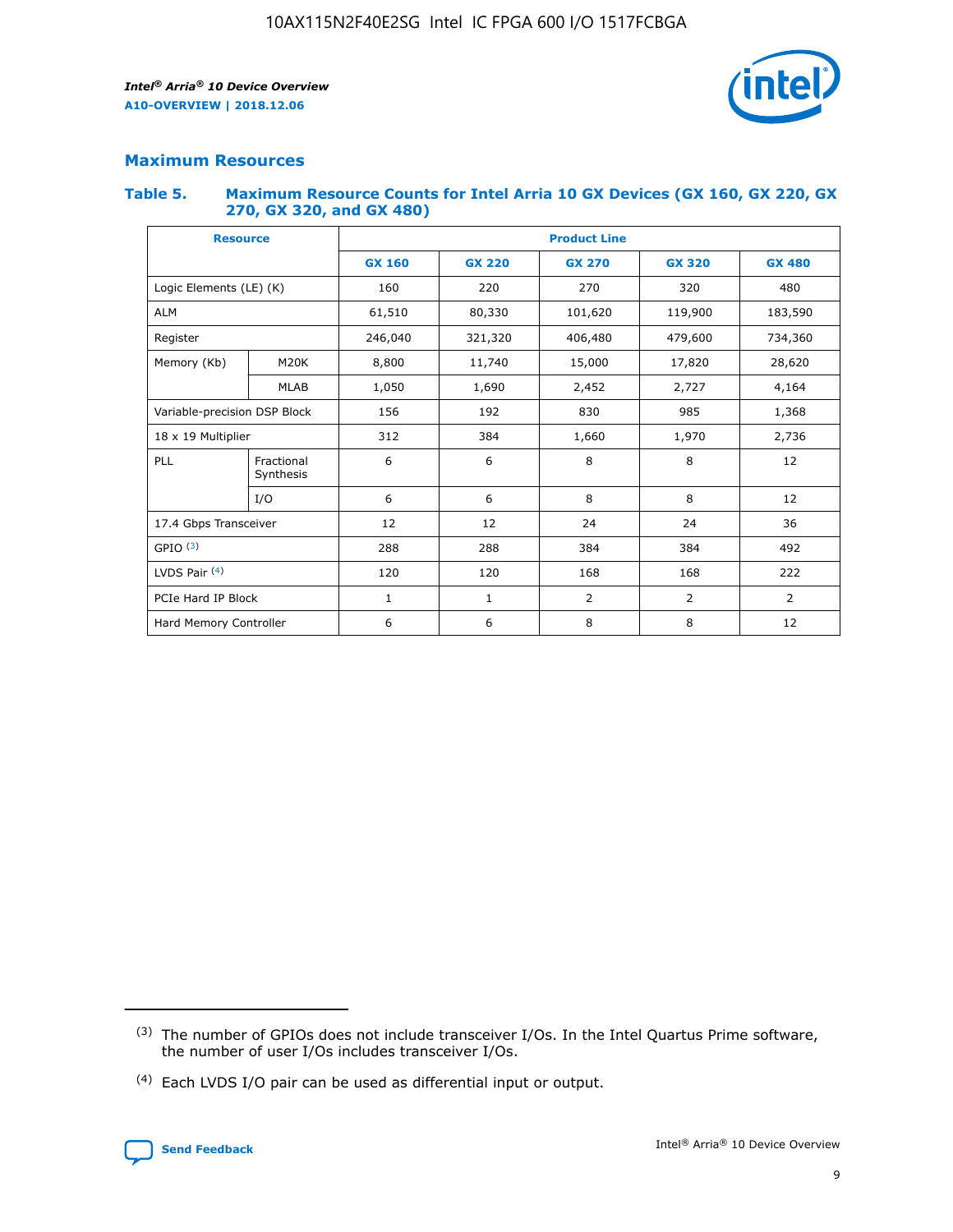

## **Maximum Resources**

#### **Table 5. Maximum Resource Counts for Intel Arria 10 GX Devices (GX 160, GX 220, GX 270, GX 320, and GX 480)**

| <b>Resource</b>              |                         | <b>Product Line</b> |                                                 |                    |                |                |  |  |  |
|------------------------------|-------------------------|---------------------|-------------------------------------------------|--------------------|----------------|----------------|--|--|--|
|                              |                         | <b>GX 160</b>       | <b>GX 220</b><br><b>GX 270</b><br><b>GX 320</b> |                    |                | <b>GX 480</b>  |  |  |  |
| Logic Elements (LE) (K)      |                         | 160                 | 220                                             | 270                | 320            | 480            |  |  |  |
| <b>ALM</b>                   |                         | 61,510              | 80,330                                          | 101,620            | 119,900        | 183,590        |  |  |  |
| Register                     |                         | 246,040             | 321,320                                         | 406,480<br>479,600 |                | 734,360        |  |  |  |
| Memory (Kb)                  | M <sub>20</sub> K       | 8,800               | 11,740                                          | 15,000             | 17,820         | 28,620         |  |  |  |
|                              | <b>MLAB</b>             | 1,050               | 1,690                                           | 2,452              | 2,727          | 4,164          |  |  |  |
| Variable-precision DSP Block |                         | 156                 | 192                                             | 985<br>830         |                | 1,368          |  |  |  |
| 18 x 19 Multiplier           |                         | 312                 | 384                                             | 1,660<br>1,970     |                | 2,736          |  |  |  |
| PLL                          | Fractional<br>Synthesis | 6                   | 6                                               | 8                  | 8              | 12             |  |  |  |
|                              | I/O                     | 6                   | 6                                               | 8                  | 8              | 12             |  |  |  |
| 17.4 Gbps Transceiver        |                         | 12                  | 12                                              | 24                 | 24             | 36             |  |  |  |
| GPIO <sup>(3)</sup>          |                         | 288                 | 288                                             | 384                | 384            |                |  |  |  |
| LVDS Pair $(4)$              |                         | 120                 | 120                                             | 168                | 168            | 222            |  |  |  |
| PCIe Hard IP Block           |                         | $\mathbf{1}$        | 1                                               | $\overline{2}$     | $\overline{2}$ | $\overline{2}$ |  |  |  |
| Hard Memory Controller       |                         | 6                   | 6                                               | 8                  | 8              | 12             |  |  |  |

<sup>(4)</sup> Each LVDS I/O pair can be used as differential input or output.



<sup>(3)</sup> The number of GPIOs does not include transceiver I/Os. In the Intel Quartus Prime software, the number of user I/Os includes transceiver I/Os.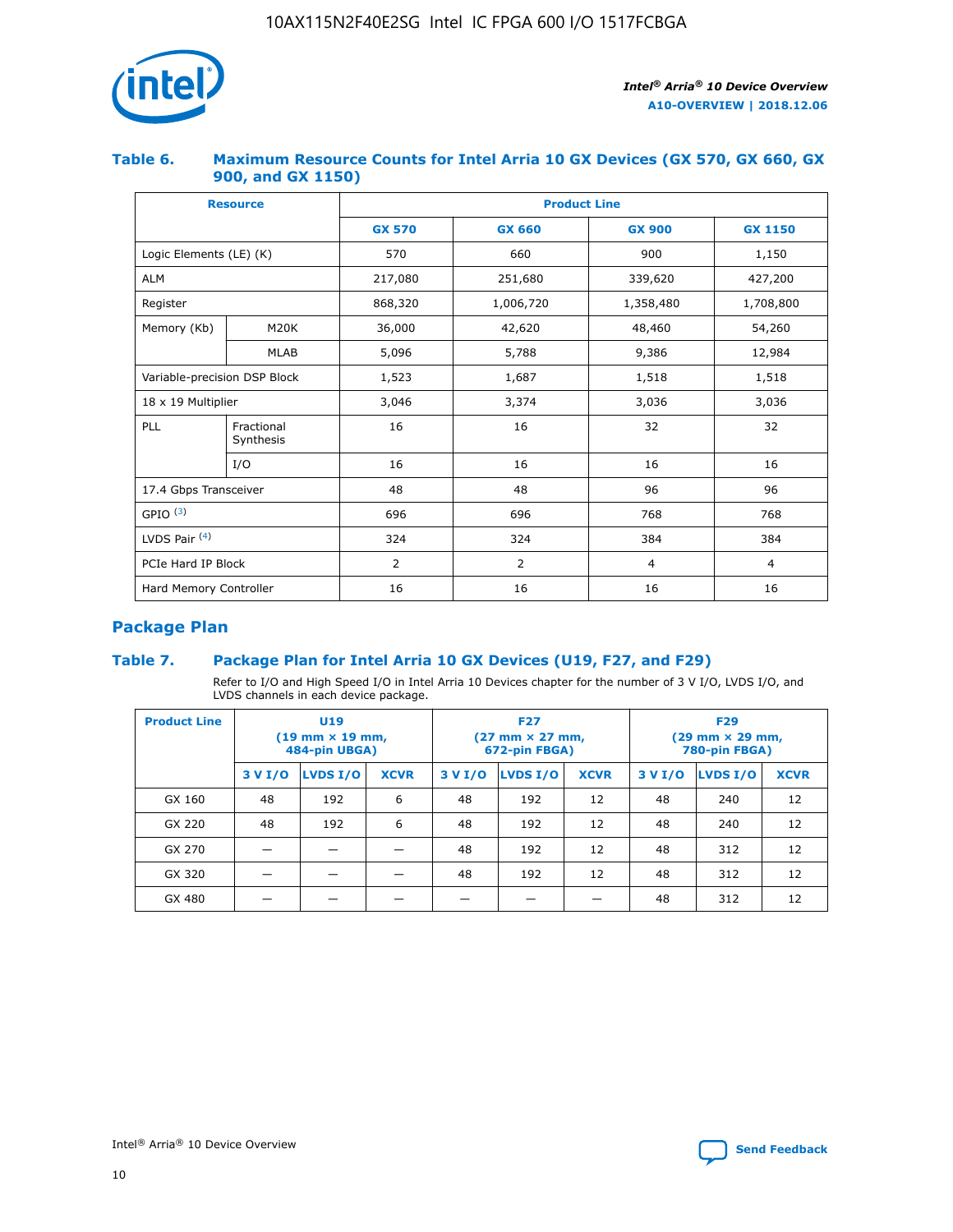

## **Table 6. Maximum Resource Counts for Intel Arria 10 GX Devices (GX 570, GX 660, GX 900, and GX 1150)**

|                              | <b>Resource</b>         | <b>Product Line</b> |                |                |                |  |  |  |
|------------------------------|-------------------------|---------------------|----------------|----------------|----------------|--|--|--|
|                              |                         | <b>GX 570</b>       | <b>GX 660</b>  | <b>GX 900</b>  | <b>GX 1150</b> |  |  |  |
| Logic Elements (LE) (K)      |                         | 570                 | 660            | 900            | 1,150          |  |  |  |
| <b>ALM</b>                   |                         | 217,080             | 251,680        | 339,620        | 427,200        |  |  |  |
| Register                     |                         | 868,320             | 1,006,720      | 1,358,480      | 1,708,800      |  |  |  |
| Memory (Kb)                  | <b>M20K</b>             | 36,000              | 42,620         | 48,460         | 54,260         |  |  |  |
|                              | <b>MLAB</b>             | 5,096               | 5,788          | 9,386          | 12,984         |  |  |  |
| Variable-precision DSP Block |                         | 1,523               | 1,687          | 1,518          | 1,518          |  |  |  |
| 18 x 19 Multiplier           |                         | 3,046               | 3,374          | 3,036          | 3,036          |  |  |  |
| PLL                          | Fractional<br>Synthesis | 16                  | 16             | 32             | 32             |  |  |  |
|                              | I/O                     | 16                  | 16             | 16             | 16             |  |  |  |
| 17.4 Gbps Transceiver        |                         | 48                  | 48<br>96       |                | 96             |  |  |  |
| GPIO <sup>(3)</sup>          |                         | 696                 | 696            | 768            | 768            |  |  |  |
| LVDS Pair $(4)$              |                         | 324                 | 324            | 384            | 384            |  |  |  |
| PCIe Hard IP Block           |                         | 2                   | $\overline{2}$ | $\overline{4}$ | $\overline{4}$ |  |  |  |
| Hard Memory Controller       |                         | 16                  | 16             | 16             | 16             |  |  |  |

## **Package Plan**

## **Table 7. Package Plan for Intel Arria 10 GX Devices (U19, F27, and F29)**

Refer to I/O and High Speed I/O in Intel Arria 10 Devices chapter for the number of 3 V I/O, LVDS I/O, and LVDS channels in each device package.

| <b>Product Line</b> | U <sub>19</sub><br>$(19 \text{ mm} \times 19 \text{ mm})$<br>484-pin UBGA) |          |             |         | <b>F27</b><br>(27 mm × 27 mm,<br>672-pin FBGA) |             | <b>F29</b><br>(29 mm × 29 mm,<br>780-pin FBGA) |          |             |  |
|---------------------|----------------------------------------------------------------------------|----------|-------------|---------|------------------------------------------------|-------------|------------------------------------------------|----------|-------------|--|
|                     | 3 V I/O                                                                    | LVDS I/O | <b>XCVR</b> | 3 V I/O | LVDS I/O                                       | <b>XCVR</b> | 3 V I/O                                        | LVDS I/O | <b>XCVR</b> |  |
| GX 160              | 48                                                                         | 192      | 6           | 48      | 192                                            | 12          | 48                                             | 240      | 12          |  |
| GX 220              | 48                                                                         | 192      | 6           | 48      | 192                                            | 12          | 48                                             | 240      | 12          |  |
| GX 270              |                                                                            |          |             | 48      | 192                                            | 12          | 48                                             | 312      | 12          |  |
| GX 320              |                                                                            |          |             | 48      | 192                                            | 12          | 48                                             | 312      | 12          |  |
| GX 480              |                                                                            |          |             |         |                                                |             | 48                                             | 312      | 12          |  |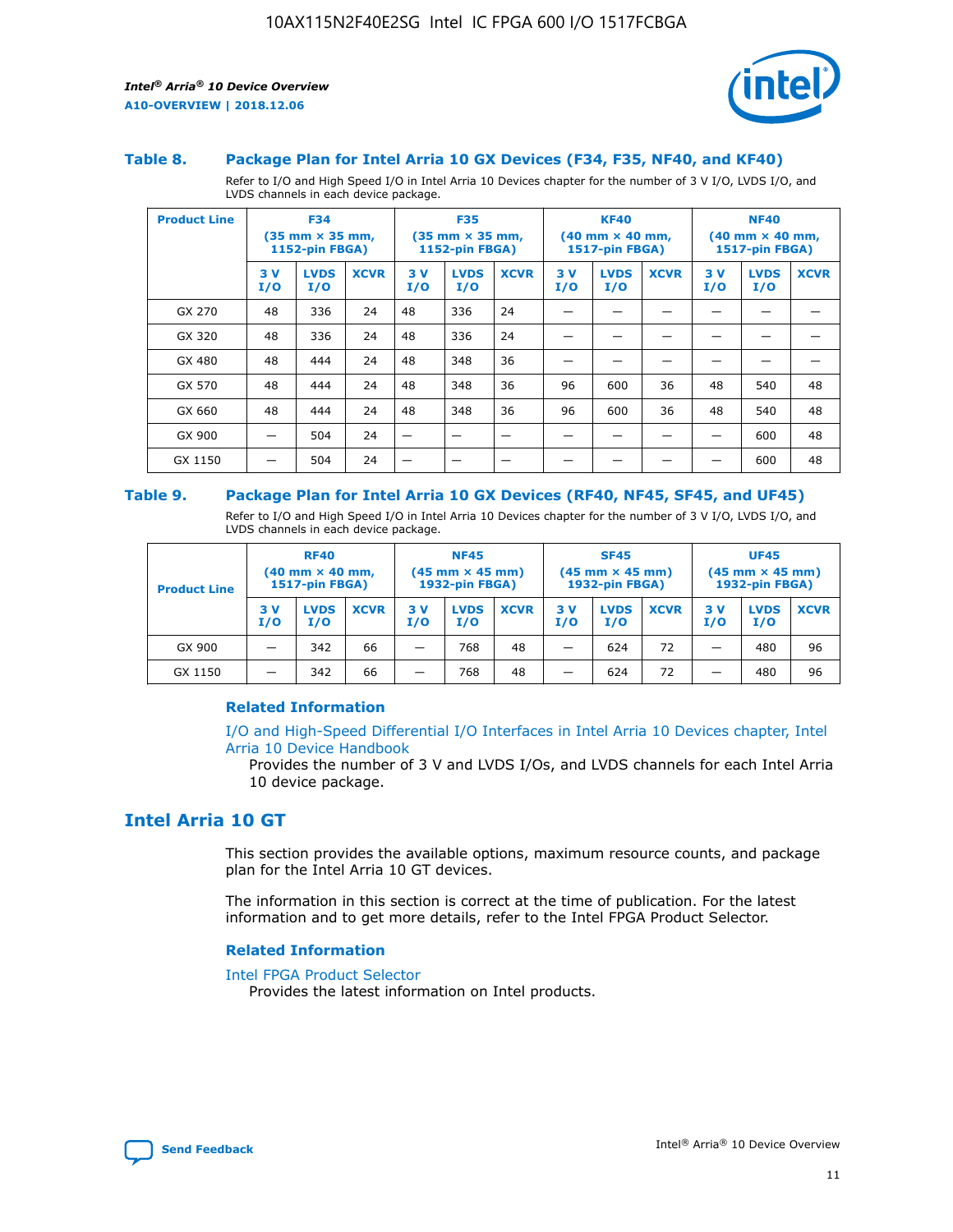

#### **Table 8. Package Plan for Intel Arria 10 GX Devices (F34, F35, NF40, and KF40)**

Refer to I/O and High Speed I/O in Intel Arria 10 Devices chapter for the number of 3 V I/O, LVDS I/O, and LVDS channels in each device package.

| <b>Product Line</b> | <b>F34</b><br>$(35 \text{ mm} \times 35 \text{ mm})$<br>1152-pin FBGA) |                    | <b>F35</b><br>$(35$ mm $\times$ 35 mm,<br><b>1152-pin FBGA)</b> |           | <b>KF40</b><br>$(40 \text{ mm} \times 40 \text{ mm})$<br>1517-pin FBGA) |             |           | <b>NF40</b><br>$(40 \text{ mm} \times 40 \text{ mm})$<br><b>1517-pin FBGA)</b> |             |            |                    |             |
|---------------------|------------------------------------------------------------------------|--------------------|-----------------------------------------------------------------|-----------|-------------------------------------------------------------------------|-------------|-----------|--------------------------------------------------------------------------------|-------------|------------|--------------------|-------------|
|                     | 3V<br>I/O                                                              | <b>LVDS</b><br>I/O | <b>XCVR</b>                                                     | 3V<br>I/O | <b>LVDS</b><br>I/O                                                      | <b>XCVR</b> | 3V<br>I/O | <b>LVDS</b><br>I/O                                                             | <b>XCVR</b> | 3 V<br>I/O | <b>LVDS</b><br>I/O | <b>XCVR</b> |
| GX 270              | 48                                                                     | 336                | 24                                                              | 48        | 336                                                                     | 24          |           |                                                                                |             |            |                    |             |
| GX 320              | 48                                                                     | 336                | 24                                                              | 48        | 336                                                                     | 24          |           |                                                                                |             |            |                    |             |
| GX 480              | 48                                                                     | 444                | 24                                                              | 48        | 348                                                                     | 36          |           |                                                                                |             |            |                    |             |
| GX 570              | 48                                                                     | 444                | 24                                                              | 48        | 348                                                                     | 36          | 96        | 600                                                                            | 36          | 48         | 540                | 48          |
| GX 660              | 48                                                                     | 444                | 24                                                              | 48        | 348                                                                     | 36          | 96        | 600                                                                            | 36          | 48         | 540                | 48          |
| GX 900              |                                                                        | 504                | 24                                                              |           |                                                                         |             |           |                                                                                |             |            | 600                | 48          |
| GX 1150             |                                                                        | 504                | 24                                                              |           |                                                                         |             |           |                                                                                |             |            | 600                | 48          |

#### **Table 9. Package Plan for Intel Arria 10 GX Devices (RF40, NF45, SF45, and UF45)**

Refer to I/O and High Speed I/O in Intel Arria 10 Devices chapter for the number of 3 V I/O, LVDS I/O, and LVDS channels in each device package.

| <b>Product Line</b> | <b>RF40</b><br>$(40$ mm $\times$ 40 mm,<br>1517-pin FBGA) |                    | <b>NF45</b><br>$(45 \text{ mm} \times 45 \text{ mm})$<br><b>1932-pin FBGA)</b> |            |                    | <b>SF45</b><br>$(45 \text{ mm} \times 45 \text{ mm})$<br><b>1932-pin FBGA)</b> |            |                    | <b>UF45</b><br>$(45 \text{ mm} \times 45 \text{ mm})$<br><b>1932-pin FBGA)</b> |           |                    |             |
|---------------------|-----------------------------------------------------------|--------------------|--------------------------------------------------------------------------------|------------|--------------------|--------------------------------------------------------------------------------|------------|--------------------|--------------------------------------------------------------------------------|-----------|--------------------|-------------|
|                     | 3V<br>I/O                                                 | <b>LVDS</b><br>I/O | <b>XCVR</b>                                                                    | 3 V<br>I/O | <b>LVDS</b><br>I/O | <b>XCVR</b>                                                                    | 3 V<br>I/O | <b>LVDS</b><br>I/O | <b>XCVR</b>                                                                    | 3V<br>I/O | <b>LVDS</b><br>I/O | <b>XCVR</b> |
| GX 900              |                                                           | 342                | 66                                                                             | _          | 768                | 48                                                                             |            | 624                | 72                                                                             |           | 480                | 96          |
| GX 1150             |                                                           | 342                | 66                                                                             | _          | 768                | 48                                                                             |            | 624                | 72                                                                             |           | 480                | 96          |

### **Related Information**

[I/O and High-Speed Differential I/O Interfaces in Intel Arria 10 Devices chapter, Intel](https://www.intel.com/content/www/us/en/programmable/documentation/sam1403482614086.html#sam1403482030321) [Arria 10 Device Handbook](https://www.intel.com/content/www/us/en/programmable/documentation/sam1403482614086.html#sam1403482030321)

Provides the number of 3 V and LVDS I/Os, and LVDS channels for each Intel Arria 10 device package.

## **Intel Arria 10 GT**

This section provides the available options, maximum resource counts, and package plan for the Intel Arria 10 GT devices.

The information in this section is correct at the time of publication. For the latest information and to get more details, refer to the Intel FPGA Product Selector.

#### **Related Information**

#### [Intel FPGA Product Selector](http://www.altera.com/products/selector/psg-selector.html)

Provides the latest information on Intel products.

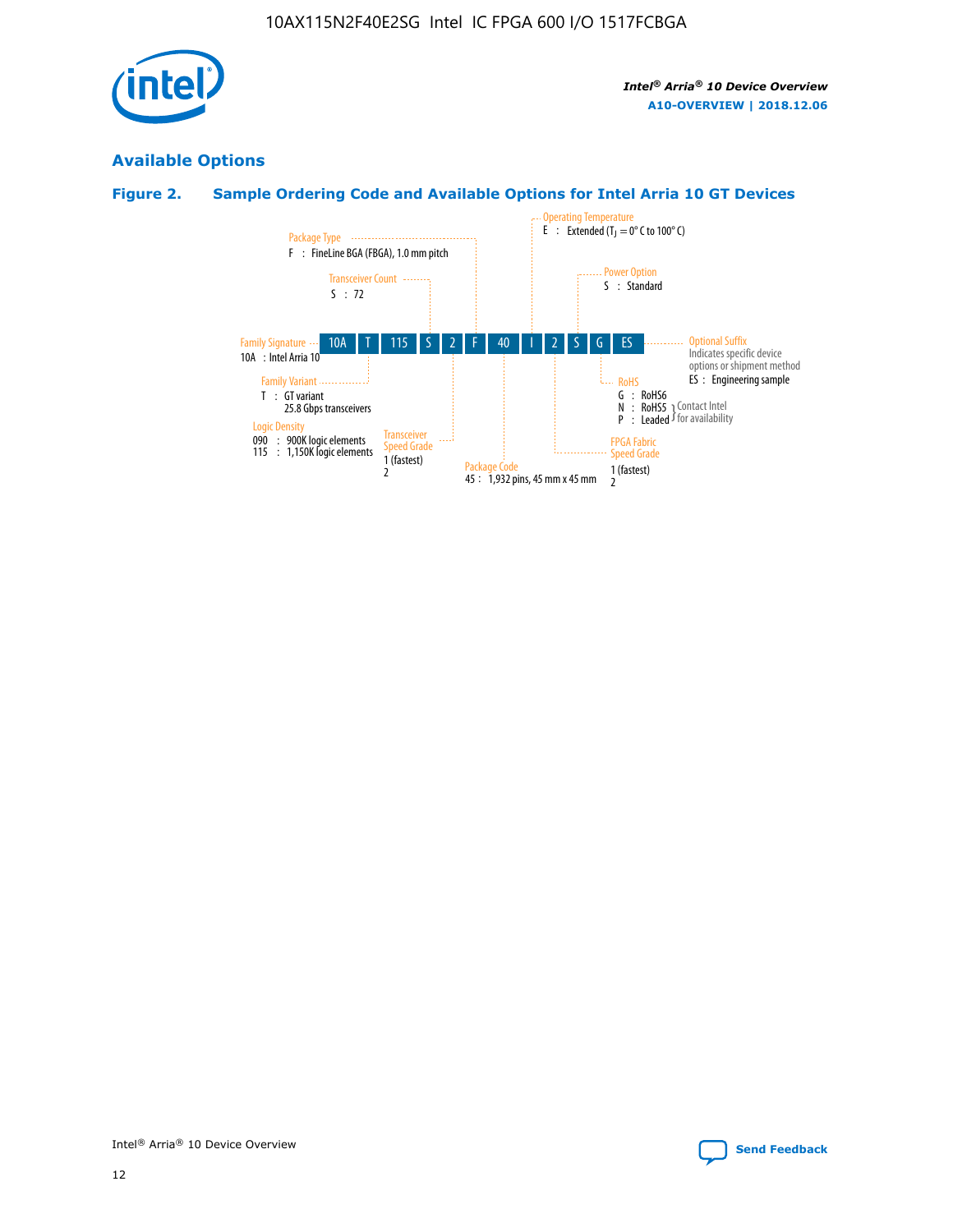

## **Available Options**

## **Figure 2. Sample Ordering Code and Available Options for Intel Arria 10 GT Devices**

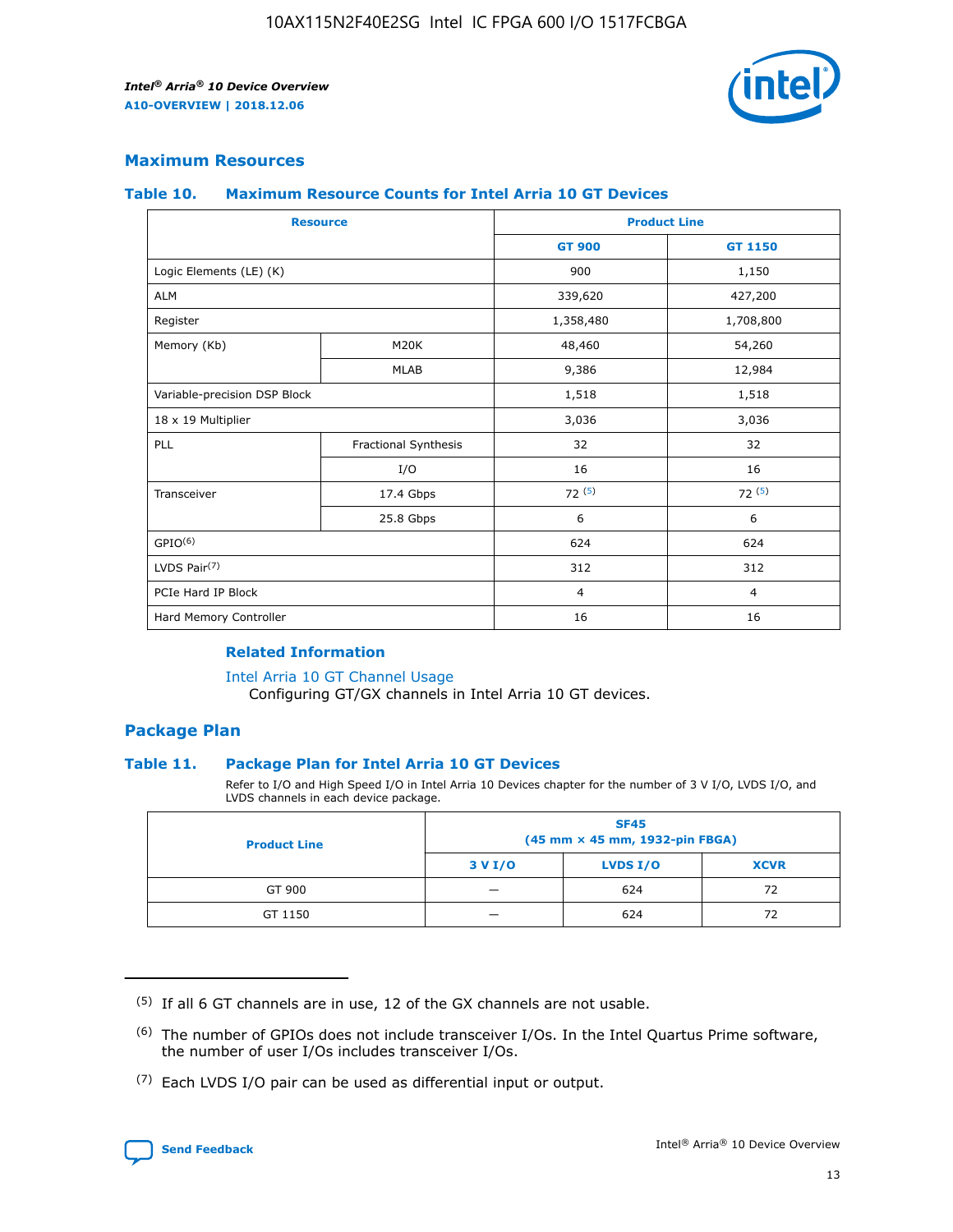

## **Maximum Resources**

#### **Table 10. Maximum Resource Counts for Intel Arria 10 GT Devices**

| <b>Resource</b>              |                      |                | <b>Product Line</b> |  |
|------------------------------|----------------------|----------------|---------------------|--|
|                              |                      | <b>GT 900</b>  | GT 1150             |  |
| Logic Elements (LE) (K)      |                      | 900            | 1,150               |  |
| <b>ALM</b>                   |                      | 339,620        | 427,200             |  |
| Register                     |                      | 1,358,480      | 1,708,800           |  |
| Memory (Kb)                  | M <sub>20</sub> K    | 48,460         | 54,260              |  |
|                              | <b>MLAB</b>          | 9,386          | 12,984              |  |
| Variable-precision DSP Block |                      | 1,518          | 1,518               |  |
| 18 x 19 Multiplier           |                      | 3,036          | 3,036               |  |
| PLL                          | Fractional Synthesis | 32             | 32                  |  |
|                              | I/O                  | 16             | 16                  |  |
| Transceiver                  | 17.4 Gbps            | 72(5)          | 72(5)               |  |
|                              | 25.8 Gbps            | 6              | 6                   |  |
| GPIO <sup>(6)</sup>          |                      | 624            | 624                 |  |
| LVDS Pair $(7)$              |                      | 312            | 312                 |  |
| PCIe Hard IP Block           |                      | $\overline{4}$ | $\overline{4}$      |  |
| Hard Memory Controller       |                      | 16             | 16                  |  |

### **Related Information**

#### [Intel Arria 10 GT Channel Usage](https://www.intel.com/content/www/us/en/programmable/documentation/nik1398707230472.html#nik1398707008178)

Configuring GT/GX channels in Intel Arria 10 GT devices.

## **Package Plan**

#### **Table 11. Package Plan for Intel Arria 10 GT Devices**

Refer to I/O and High Speed I/O in Intel Arria 10 Devices chapter for the number of 3 V I/O, LVDS I/O, and LVDS channels in each device package.

| <b>Product Line</b> | <b>SF45</b><br>(45 mm × 45 mm, 1932-pin FBGA) |                 |             |  |  |  |  |
|---------------------|-----------------------------------------------|-----------------|-------------|--|--|--|--|
|                     | 3 V I/O                                       | <b>LVDS I/O</b> | <b>XCVR</b> |  |  |  |  |
| GT 900              |                                               | 624             | 72          |  |  |  |  |
| GT 1150             |                                               | 624             |             |  |  |  |  |

<sup>(7)</sup> Each LVDS I/O pair can be used as differential input or output.



 $(5)$  If all 6 GT channels are in use, 12 of the GX channels are not usable.

<sup>(6)</sup> The number of GPIOs does not include transceiver I/Os. In the Intel Quartus Prime software, the number of user I/Os includes transceiver I/Os.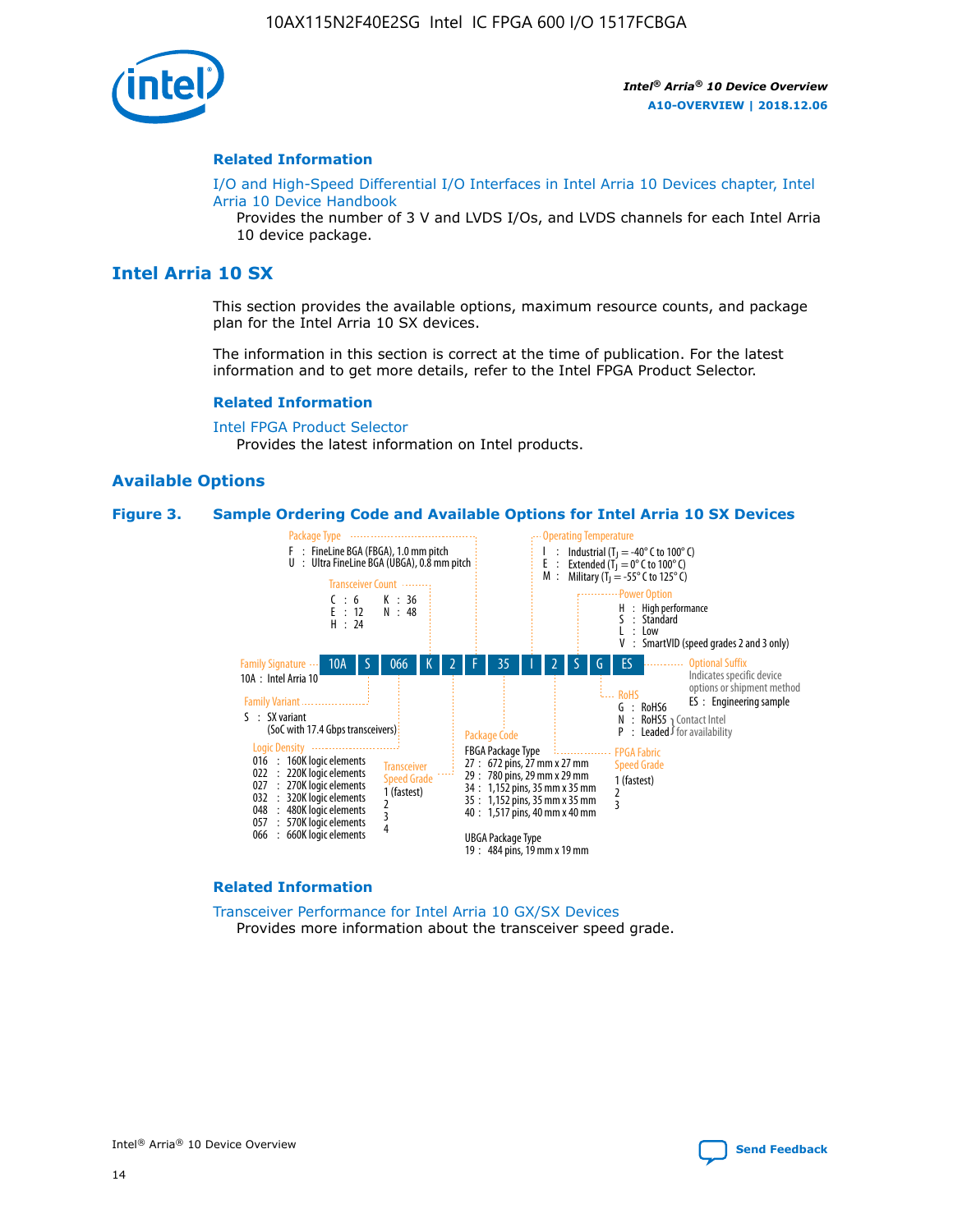

#### **Related Information**

[I/O and High-Speed Differential I/O Interfaces in Intel Arria 10 Devices chapter, Intel](https://www.intel.com/content/www/us/en/programmable/documentation/sam1403482614086.html#sam1403482030321) [Arria 10 Device Handbook](https://www.intel.com/content/www/us/en/programmable/documentation/sam1403482614086.html#sam1403482030321)

Provides the number of 3 V and LVDS I/Os, and LVDS channels for each Intel Arria 10 device package.

## **Intel Arria 10 SX**

This section provides the available options, maximum resource counts, and package plan for the Intel Arria 10 SX devices.

The information in this section is correct at the time of publication. For the latest information and to get more details, refer to the Intel FPGA Product Selector.

#### **Related Information**

[Intel FPGA Product Selector](http://www.altera.com/products/selector/psg-selector.html) Provides the latest information on Intel products.

#### **Available Options**

#### **Figure 3. Sample Ordering Code and Available Options for Intel Arria 10 SX Devices**



#### **Related Information**

[Transceiver Performance for Intel Arria 10 GX/SX Devices](https://www.intel.com/content/www/us/en/programmable/documentation/mcn1413182292568.html#mcn1413213965502) Provides more information about the transceiver speed grade.

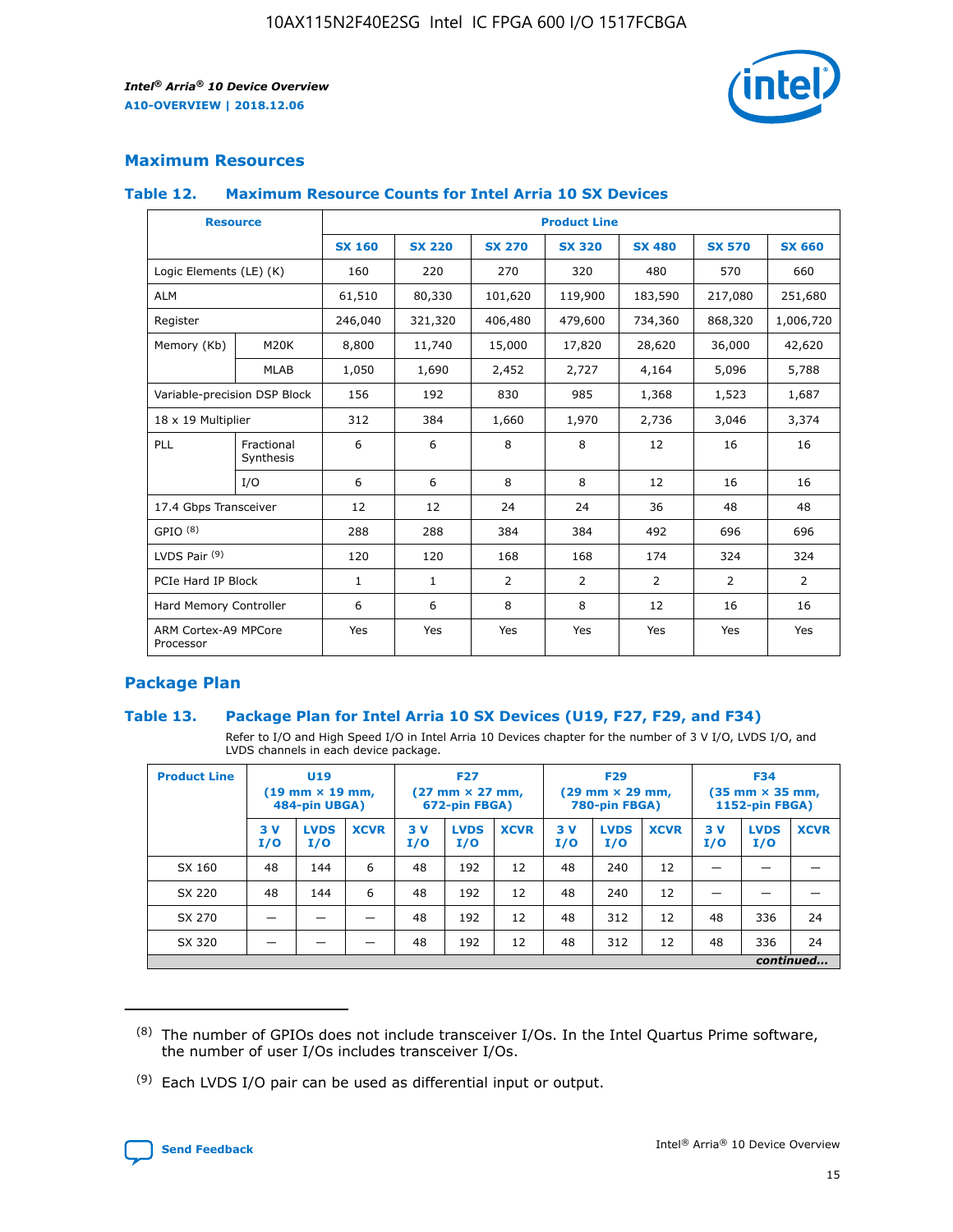

## **Maximum Resources**

#### **Table 12. Maximum Resource Counts for Intel Arria 10 SX Devices**

| <b>Resource</b>                   |                         | <b>Product Line</b> |               |                |                |                |                |                |  |  |  |
|-----------------------------------|-------------------------|---------------------|---------------|----------------|----------------|----------------|----------------|----------------|--|--|--|
|                                   |                         | <b>SX 160</b>       | <b>SX 220</b> | <b>SX 270</b>  | <b>SX 320</b>  | <b>SX 480</b>  | <b>SX 570</b>  | <b>SX 660</b>  |  |  |  |
| Logic Elements (LE) (K)           |                         | 160                 | 220           | 270            | 320            | 480            | 570            | 660            |  |  |  |
| <b>ALM</b>                        |                         | 61,510              | 80,330        | 101,620        | 119,900        | 183,590        | 217,080        | 251,680        |  |  |  |
| Register                          |                         | 246,040             | 321,320       | 406,480        | 479,600        | 734,360        | 868,320        | 1,006,720      |  |  |  |
| Memory (Kb)                       | M <sub>20</sub> K       | 8,800               | 11,740        | 15,000         | 17,820         | 28,620         | 36,000         | 42,620         |  |  |  |
|                                   | <b>MLAB</b>             | 1,050               | 1,690         | 2,452          | 2,727          | 4,164          | 5,096          | 5,788          |  |  |  |
| Variable-precision DSP Block      |                         | 156                 | 192           | 830            | 985            | 1,368          | 1,523          | 1,687          |  |  |  |
| 18 x 19 Multiplier                |                         | 312                 | 384           | 1,660          | 1,970          | 2,736          | 3,046          | 3,374          |  |  |  |
| PLL                               | Fractional<br>Synthesis | 6                   | 6             | 8              | 8              | 12             | 16             | 16             |  |  |  |
|                                   | I/O                     | 6                   | 6             | 8              | 8              | 12             | 16             | 16             |  |  |  |
| 17.4 Gbps Transceiver             |                         | 12                  | 12            | 24             | 24             | 36             | 48             | 48             |  |  |  |
| GPIO <sup>(8)</sup>               |                         | 288                 | 288           | 384            | 384            | 492            | 696            | 696            |  |  |  |
| LVDS Pair $(9)$                   |                         | 120                 | 120           | 168            | 168            | 174            | 324            | 324            |  |  |  |
| PCIe Hard IP Block                |                         | $\mathbf{1}$        | $\mathbf{1}$  | $\overline{2}$ | $\overline{2}$ | $\overline{2}$ | $\overline{2}$ | $\overline{2}$ |  |  |  |
| Hard Memory Controller            |                         | 6                   | 6             | 8              | 8              | 12             | 16             | 16             |  |  |  |
| ARM Cortex-A9 MPCore<br>Processor |                         | Yes                 | Yes           | Yes            | Yes            | Yes            | Yes            | <b>Yes</b>     |  |  |  |

## **Package Plan**

#### **Table 13. Package Plan for Intel Arria 10 SX Devices (U19, F27, F29, and F34)**

Refer to I/O and High Speed I/O in Intel Arria 10 Devices chapter for the number of 3 V I/O, LVDS I/O, and LVDS channels in each device package.

| <b>Product Line</b> | U19<br>$(19 \text{ mm} \times 19 \text{ mm})$<br>484-pin UBGA) |                    | <b>F27</b><br>$(27 \text{ mm} \times 27 \text{ mm})$<br>672-pin FBGA) |           | <b>F29</b><br>$(29 \text{ mm} \times 29 \text{ mm})$<br>780-pin FBGA) |             |            | <b>F34</b><br>$(35 \text{ mm} \times 35 \text{ mm})$<br><b>1152-pin FBGA)</b> |             |           |                    |             |
|---------------------|----------------------------------------------------------------|--------------------|-----------------------------------------------------------------------|-----------|-----------------------------------------------------------------------|-------------|------------|-------------------------------------------------------------------------------|-------------|-----------|--------------------|-------------|
|                     | 3V<br>I/O                                                      | <b>LVDS</b><br>I/O | <b>XCVR</b>                                                           | 3V<br>I/O | <b>LVDS</b><br>I/O                                                    | <b>XCVR</b> | 3 V<br>I/O | <b>LVDS</b><br>I/O                                                            | <b>XCVR</b> | 3V<br>I/O | <b>LVDS</b><br>I/O | <b>XCVR</b> |
| SX 160              | 48                                                             | 144                | 6                                                                     | 48        | 192                                                                   | 12          | 48         | 240                                                                           | 12          | –         |                    |             |
| SX 220              | 48                                                             | 144                | 6                                                                     | 48        | 192                                                                   | 12          | 48         | 240                                                                           | 12          |           |                    |             |
| SX 270              |                                                                |                    |                                                                       | 48        | 192                                                                   | 12          | 48         | 312                                                                           | 12          | 48        | 336                | 24          |
| SX 320              |                                                                |                    |                                                                       | 48        | 192                                                                   | 12          | 48         | 312                                                                           | 12          | 48        | 336                | 24          |
|                     | continued                                                      |                    |                                                                       |           |                                                                       |             |            |                                                                               |             |           |                    |             |

 $(8)$  The number of GPIOs does not include transceiver I/Os. In the Intel Quartus Prime software, the number of user I/Os includes transceiver I/Os.

 $(9)$  Each LVDS I/O pair can be used as differential input or output.

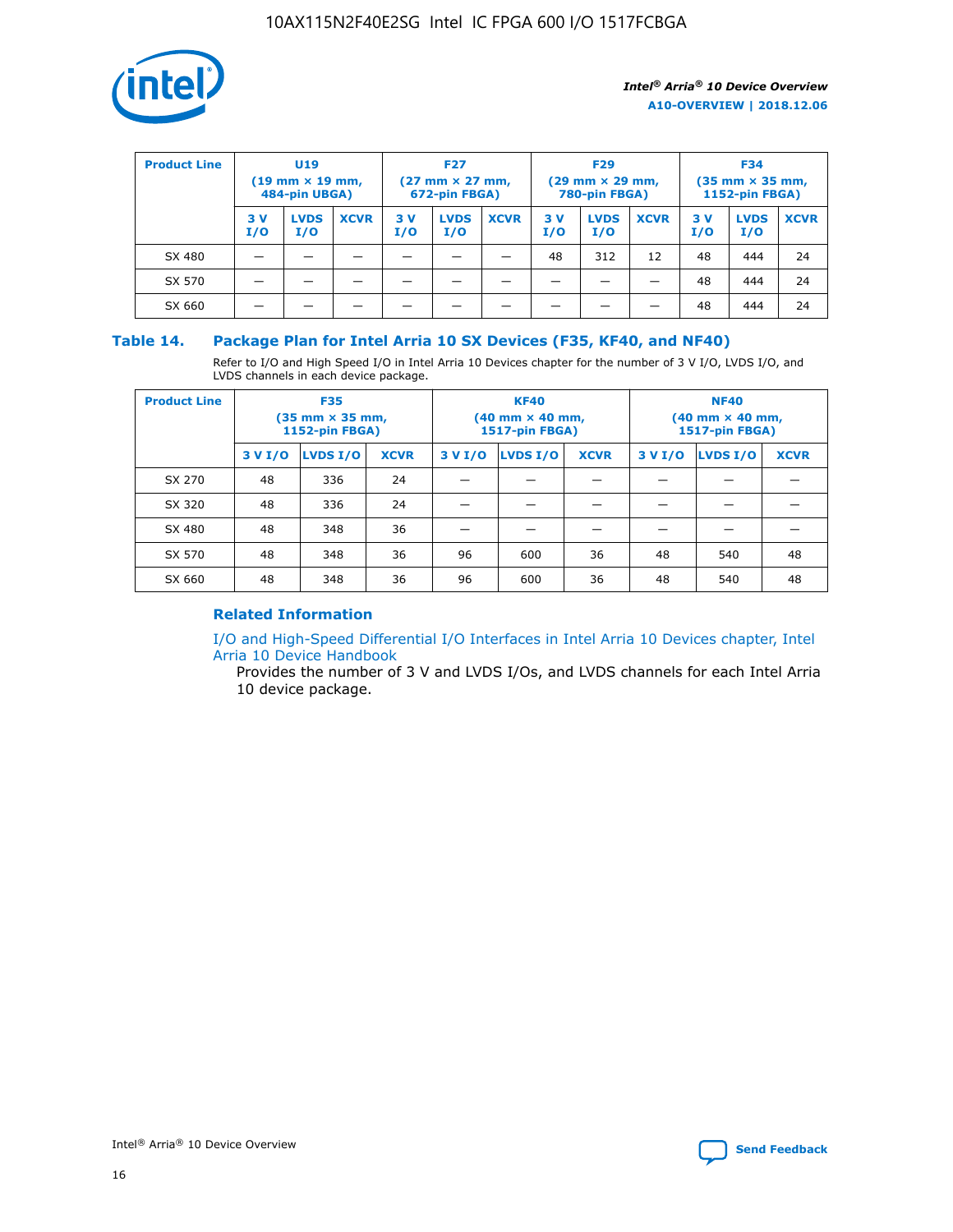

| <b>Product Line</b> | <b>U19</b><br>$(19$ mm $\times$ 19 mm,<br>484-pin UBGA) |                    | <b>F27</b><br>$(27 \text{ mm} \times 27 \text{ mm})$<br>672-pin FBGA) |           |                    | <b>F29</b><br>$(29$ mm $\times$ 29 mm,<br>780-pin FBGA) |           |                    | <b>F34</b><br>$(35$ mm $\times$ 35 mm,<br><b>1152-pin FBGA)</b> |           |                    |             |
|---------------------|---------------------------------------------------------|--------------------|-----------------------------------------------------------------------|-----------|--------------------|---------------------------------------------------------|-----------|--------------------|-----------------------------------------------------------------|-----------|--------------------|-------------|
|                     | 3 V<br>I/O                                              | <b>LVDS</b><br>I/O | <b>XCVR</b>                                                           | 3V<br>I/O | <b>LVDS</b><br>I/O | <b>XCVR</b>                                             | 3V<br>I/O | <b>LVDS</b><br>I/O | <b>XCVR</b>                                                     | 3V<br>I/O | <b>LVDS</b><br>I/O | <b>XCVR</b> |
| SX 480              |                                                         |                    |                                                                       |           |                    |                                                         | 48        | 312                | 12                                                              | 48        | 444                | 24          |
| SX 570              |                                                         |                    |                                                                       |           |                    |                                                         |           |                    |                                                                 | 48        | 444                | 24          |
| SX 660              |                                                         |                    |                                                                       |           |                    |                                                         |           |                    |                                                                 | 48        | 444                | 24          |

## **Table 14. Package Plan for Intel Arria 10 SX Devices (F35, KF40, and NF40)**

Refer to I/O and High Speed I/O in Intel Arria 10 Devices chapter for the number of 3 V I/O, LVDS I/O, and LVDS channels in each device package.

| <b>Product Line</b> | <b>F35</b><br>(35 mm × 35 mm,<br><b>1152-pin FBGA)</b> |          |             |                                           | <b>KF40</b><br>(40 mm × 40 mm,<br>1517-pin FBGA) |    | <b>NF40</b><br>$(40 \text{ mm} \times 40 \text{ mm})$<br>1517-pin FBGA) |          |             |  |
|---------------------|--------------------------------------------------------|----------|-------------|-------------------------------------------|--------------------------------------------------|----|-------------------------------------------------------------------------|----------|-------------|--|
|                     | 3 V I/O                                                | LVDS I/O | <b>XCVR</b> | <b>LVDS I/O</b><br>3 V I/O<br><b>XCVR</b> |                                                  |    | 3 V I/O                                                                 | LVDS I/O | <b>XCVR</b> |  |
| SX 270              | 48                                                     | 336      | 24          |                                           |                                                  |    |                                                                         |          |             |  |
| SX 320              | 48                                                     | 336      | 24          |                                           |                                                  |    |                                                                         |          |             |  |
| SX 480              | 48                                                     | 348      | 36          |                                           |                                                  |    |                                                                         |          |             |  |
| SX 570              | 48                                                     | 348      | 36          | 96                                        | 600                                              | 36 | 48                                                                      | 540      | 48          |  |
| SX 660              | 48                                                     | 348      | 36          | 96                                        | 600                                              | 36 | 48                                                                      | 540      | 48          |  |

## **Related Information**

[I/O and High-Speed Differential I/O Interfaces in Intel Arria 10 Devices chapter, Intel](https://www.intel.com/content/www/us/en/programmable/documentation/sam1403482614086.html#sam1403482030321) [Arria 10 Device Handbook](https://www.intel.com/content/www/us/en/programmable/documentation/sam1403482614086.html#sam1403482030321)

Provides the number of 3 V and LVDS I/Os, and LVDS channels for each Intel Arria 10 device package.

Intel<sup>®</sup> Arria<sup>®</sup> 10 Device Overview **[Send Feedback](mailto:FPGAtechdocfeedback@intel.com?subject=Feedback%20on%20Intel%20Arria%2010%20Device%20Overview%20(A10-OVERVIEW%202018.12.06)&body=We%20appreciate%20your%20feedback.%20In%20your%20comments,%20also%20specify%20the%20page%20number%20or%20paragraph.%20Thank%20you.)** Send Feedback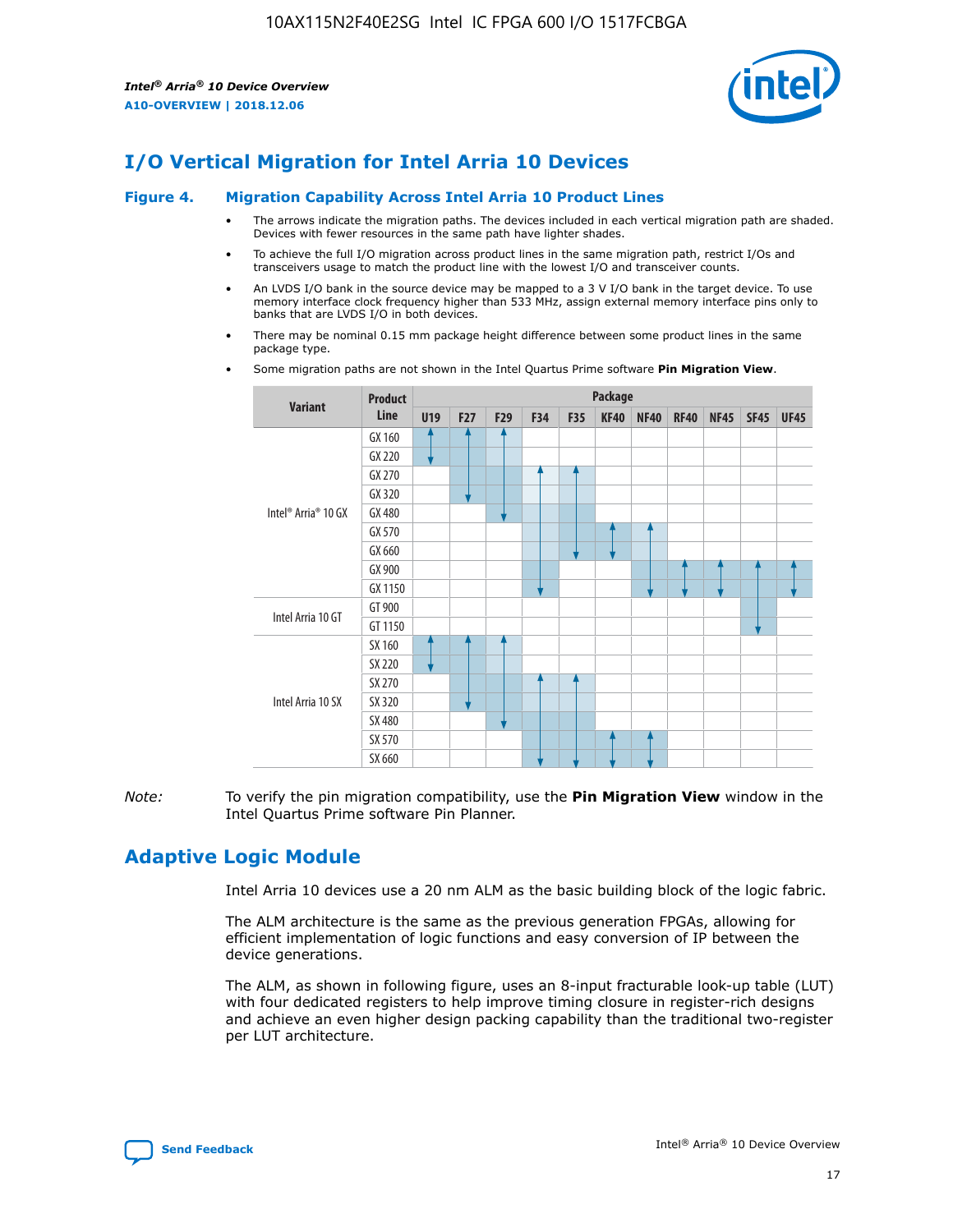

# **I/O Vertical Migration for Intel Arria 10 Devices**

#### **Figure 4. Migration Capability Across Intel Arria 10 Product Lines**

- The arrows indicate the migration paths. The devices included in each vertical migration path are shaded. Devices with fewer resources in the same path have lighter shades.
- To achieve the full I/O migration across product lines in the same migration path, restrict I/Os and transceivers usage to match the product line with the lowest I/O and transceiver counts.
- An LVDS I/O bank in the source device may be mapped to a 3 V I/O bank in the target device. To use memory interface clock frequency higher than 533 MHz, assign external memory interface pins only to banks that are LVDS I/O in both devices.
- There may be nominal 0.15 mm package height difference between some product lines in the same package type.
	- **Variant Product Line Package U19 F27 F29 F34 F35 KF40 NF40 RF40 NF45 SF45 UF45** Intel® Arria® 10 GX GX 160 GX 220 GX 270 GX 320 GX 480 GX 570 GX 660 GX 900 GX 1150 Intel Arria 10 GT GT 900 GT 1150 Intel Arria 10 SX SX 160 SX 220 SX 270 SX 320 SX 480 SX 570 SX 660
- Some migration paths are not shown in the Intel Quartus Prime software **Pin Migration View**.

*Note:* To verify the pin migration compatibility, use the **Pin Migration View** window in the Intel Quartus Prime software Pin Planner.

# **Adaptive Logic Module**

Intel Arria 10 devices use a 20 nm ALM as the basic building block of the logic fabric.

The ALM architecture is the same as the previous generation FPGAs, allowing for efficient implementation of logic functions and easy conversion of IP between the device generations.

The ALM, as shown in following figure, uses an 8-input fracturable look-up table (LUT) with four dedicated registers to help improve timing closure in register-rich designs and achieve an even higher design packing capability than the traditional two-register per LUT architecture.

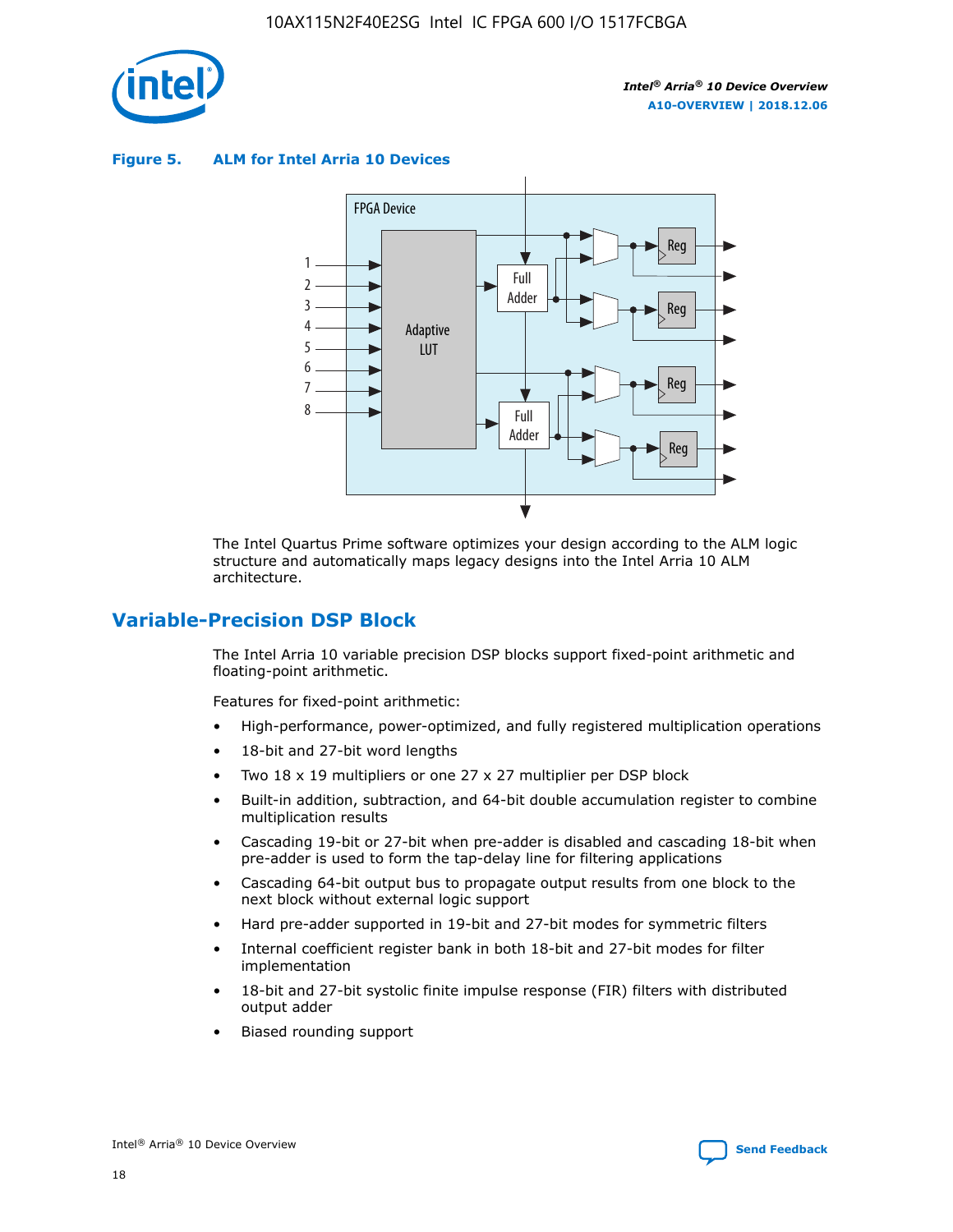

**Figure 5. ALM for Intel Arria 10 Devices**



The Intel Quartus Prime software optimizes your design according to the ALM logic structure and automatically maps legacy designs into the Intel Arria 10 ALM architecture.

## **Variable-Precision DSP Block**

The Intel Arria 10 variable precision DSP blocks support fixed-point arithmetic and floating-point arithmetic.

Features for fixed-point arithmetic:

- High-performance, power-optimized, and fully registered multiplication operations
- 18-bit and 27-bit word lengths
- Two 18 x 19 multipliers or one 27 x 27 multiplier per DSP block
- Built-in addition, subtraction, and 64-bit double accumulation register to combine multiplication results
- Cascading 19-bit or 27-bit when pre-adder is disabled and cascading 18-bit when pre-adder is used to form the tap-delay line for filtering applications
- Cascading 64-bit output bus to propagate output results from one block to the next block without external logic support
- Hard pre-adder supported in 19-bit and 27-bit modes for symmetric filters
- Internal coefficient register bank in both 18-bit and 27-bit modes for filter implementation
- 18-bit and 27-bit systolic finite impulse response (FIR) filters with distributed output adder
- Biased rounding support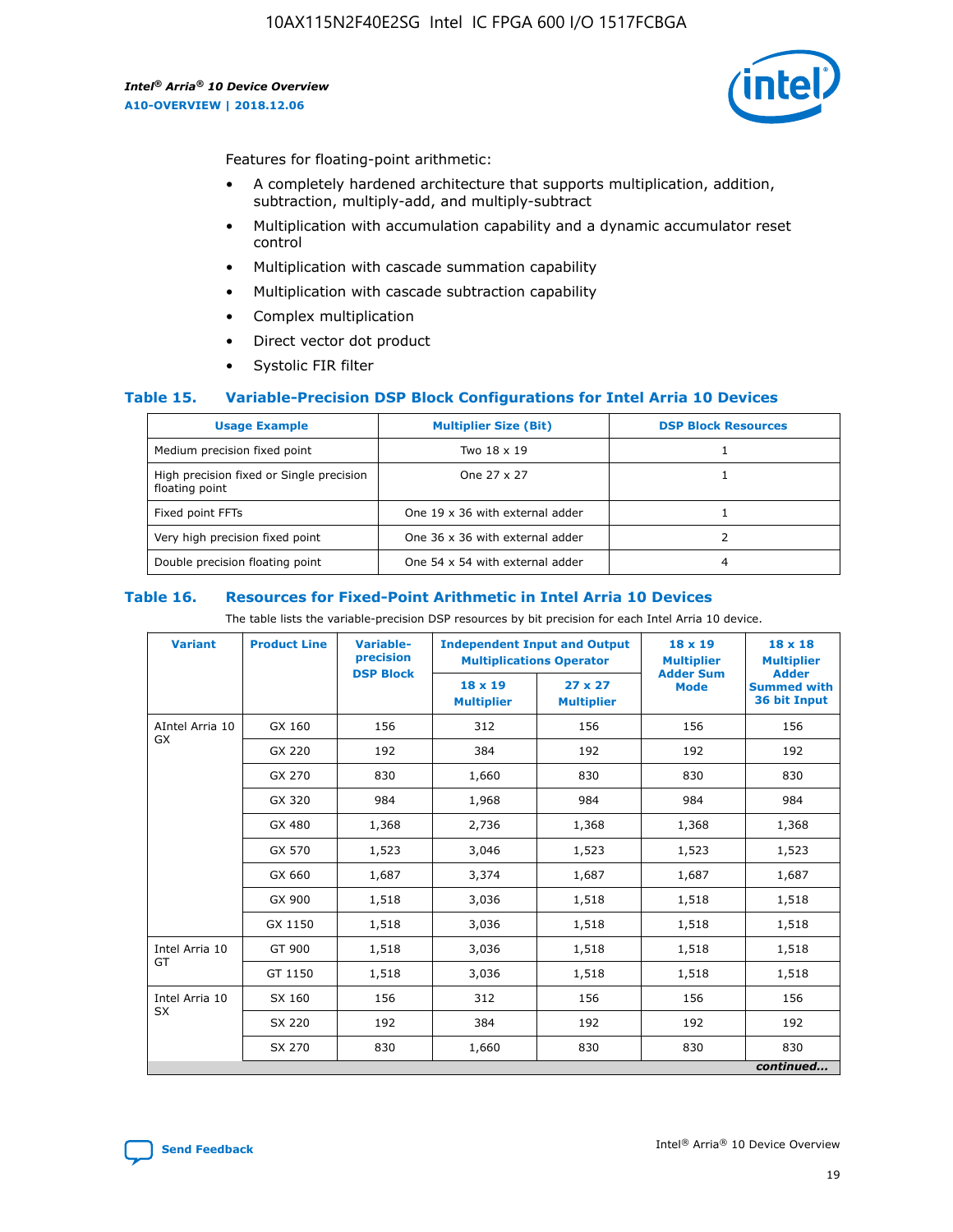

Features for floating-point arithmetic:

- A completely hardened architecture that supports multiplication, addition, subtraction, multiply-add, and multiply-subtract
- Multiplication with accumulation capability and a dynamic accumulator reset control
- Multiplication with cascade summation capability
- Multiplication with cascade subtraction capability
- Complex multiplication
- Direct vector dot product
- Systolic FIR filter

#### **Table 15. Variable-Precision DSP Block Configurations for Intel Arria 10 Devices**

| <b>Usage Example</b>                                       | <b>Multiplier Size (Bit)</b>    | <b>DSP Block Resources</b> |
|------------------------------------------------------------|---------------------------------|----------------------------|
| Medium precision fixed point                               | Two 18 x 19                     |                            |
| High precision fixed or Single precision<br>floating point | One 27 x 27                     |                            |
| Fixed point FFTs                                           | One 19 x 36 with external adder |                            |
| Very high precision fixed point                            | One 36 x 36 with external adder |                            |
| Double precision floating point                            | One 54 x 54 with external adder | 4                          |

#### **Table 16. Resources for Fixed-Point Arithmetic in Intel Arria 10 Devices**

The table lists the variable-precision DSP resources by bit precision for each Intel Arria 10 device.

| <b>Variant</b>  | <b>Product Line</b> | <b>Variable-</b><br>precision<br><b>DSP Block</b> | <b>Independent Input and Output</b><br><b>Multiplications Operator</b> |                                     | 18 x 19<br><b>Multiplier</b><br><b>Adder Sum</b> | $18 \times 18$<br><b>Multiplier</b><br><b>Adder</b> |
|-----------------|---------------------|---------------------------------------------------|------------------------------------------------------------------------|-------------------------------------|--------------------------------------------------|-----------------------------------------------------|
|                 |                     |                                                   | 18 x 19<br><b>Multiplier</b>                                           | $27 \times 27$<br><b>Multiplier</b> | <b>Mode</b>                                      | <b>Summed with</b><br>36 bit Input                  |
| AIntel Arria 10 | GX 160              | 156                                               | 312                                                                    | 156                                 | 156                                              | 156                                                 |
| GX              | GX 220              | 192                                               | 384                                                                    | 192                                 | 192                                              | 192                                                 |
|                 | GX 270              | 830                                               | 1,660                                                                  | 830                                 | 830                                              | 830                                                 |
|                 | GX 320              | 984                                               | 1,968                                                                  | 984                                 | 984                                              | 984                                                 |
|                 | GX 480              | 1,368                                             | 2,736                                                                  | 1,368                               | 1,368                                            | 1,368                                               |
|                 | GX 570              | 1,523                                             | 3,046                                                                  | 1,523                               | 1,523                                            | 1,523                                               |
|                 | GX 660              | 1,687                                             | 3,374                                                                  | 1,687                               | 1,687                                            | 1,687                                               |
|                 | GX 900              | 1,518                                             | 3,036                                                                  | 1,518                               | 1,518                                            | 1,518                                               |
|                 | GX 1150             | 1,518                                             | 3,036                                                                  | 1,518                               | 1,518                                            | 1,518                                               |
| Intel Arria 10  | GT 900              | 1,518                                             | 3,036                                                                  | 1,518                               | 1,518                                            | 1,518                                               |
| GT              | GT 1150             | 1,518                                             | 3,036                                                                  | 1,518                               | 1,518                                            | 1,518                                               |
| Intel Arria 10  | SX 160              | 156                                               | 312                                                                    | 156                                 | 156                                              | 156                                                 |
| <b>SX</b>       | SX 220              | 192                                               | 384                                                                    | 192                                 | 192                                              | 192                                                 |
|                 | SX 270              | 830                                               | 830<br>1,660                                                           |                                     | 830                                              | 830                                                 |
|                 |                     |                                                   |                                                                        |                                     |                                                  | continued                                           |

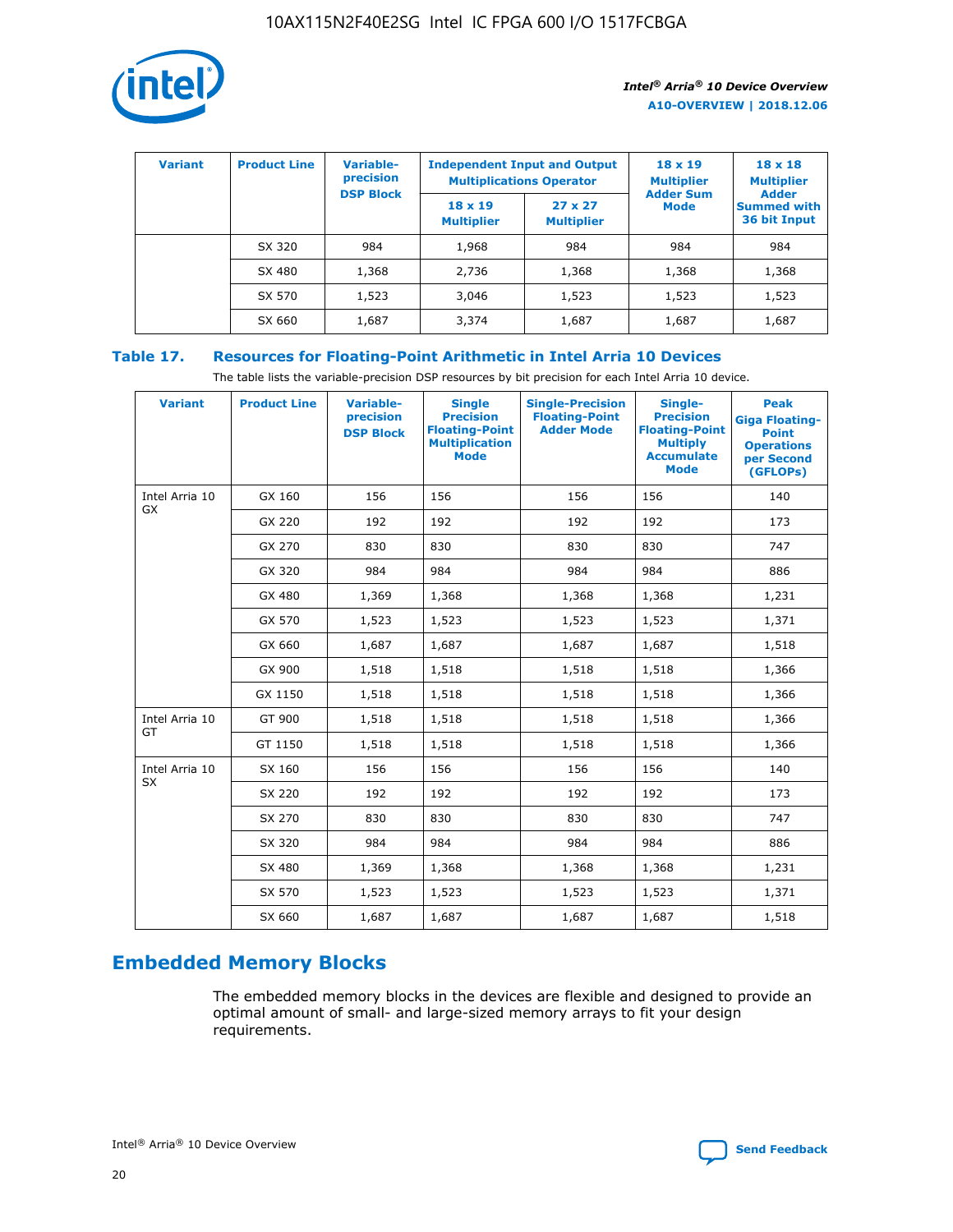

| <b>Variant</b> | <b>Product Line</b> | Variable-<br>precision | <b>Independent Input and Output</b><br><b>Multiplications Operator</b> |                                     | $18 \times 19$<br><b>Multiplier</b> | $18 \times 18$<br><b>Multiplier</b><br><b>Adder</b> |  |
|----------------|---------------------|------------------------|------------------------------------------------------------------------|-------------------------------------|-------------------------------------|-----------------------------------------------------|--|
|                |                     | <b>DSP Block</b>       | $18 \times 19$<br><b>Multiplier</b>                                    | $27 \times 27$<br><b>Multiplier</b> | <b>Adder Sum</b><br><b>Mode</b>     | <b>Summed with</b><br>36 bit Input                  |  |
|                | SX 320              | 984                    | 1,968                                                                  | 984                                 | 984                                 | 984                                                 |  |
|                | SX 480              | 1,368                  | 2,736                                                                  | 1,368                               | 1,368                               | 1,368                                               |  |
|                | SX 570              | 1,523                  | 3,046                                                                  | 1,523                               | 1,523                               | 1,523                                               |  |
|                | SX 660              | 1,687                  | 3,374                                                                  | 1,687                               | 1,687                               | 1,687                                               |  |

## **Table 17. Resources for Floating-Point Arithmetic in Intel Arria 10 Devices**

The table lists the variable-precision DSP resources by bit precision for each Intel Arria 10 device.

| <b>Variant</b> | <b>Product Line</b> | <b>Variable-</b><br>precision<br><b>DSP Block</b> | <b>Single</b><br><b>Precision</b><br><b>Floating-Point</b><br><b>Multiplication</b><br><b>Mode</b> | <b>Single-Precision</b><br><b>Floating-Point</b><br><b>Adder Mode</b> | Single-<br><b>Precision</b><br><b>Floating-Point</b><br><b>Multiply</b><br><b>Accumulate</b><br><b>Mode</b> | <b>Peak</b><br><b>Giga Floating-</b><br><b>Point</b><br><b>Operations</b><br>per Second<br>(GFLOPs) |
|----------------|---------------------|---------------------------------------------------|----------------------------------------------------------------------------------------------------|-----------------------------------------------------------------------|-------------------------------------------------------------------------------------------------------------|-----------------------------------------------------------------------------------------------------|
| Intel Arria 10 | GX 160              | 156                                               | 156                                                                                                | 156                                                                   | 156                                                                                                         | 140                                                                                                 |
| GX             | GX 220              | 192                                               | 192                                                                                                | 192                                                                   | 192                                                                                                         | 173                                                                                                 |
|                | GX 270              | 830                                               | 830                                                                                                | 830                                                                   | 830                                                                                                         | 747                                                                                                 |
|                | GX 320              | 984                                               | 984                                                                                                | 984                                                                   | 984                                                                                                         | 886                                                                                                 |
|                | GX 480              | 1,369                                             | 1,368                                                                                              | 1,368                                                                 | 1,368                                                                                                       | 1,231                                                                                               |
|                | GX 570              | 1,523                                             | 1,523                                                                                              | 1,523                                                                 | 1,523                                                                                                       | 1,371                                                                                               |
|                | GX 660              | 1,687                                             | 1,687                                                                                              | 1,687                                                                 | 1,687                                                                                                       | 1,518                                                                                               |
|                | GX 900              | 1,518                                             | 1,518                                                                                              | 1,518                                                                 | 1,518                                                                                                       | 1,366                                                                                               |
|                | GX 1150             | 1,518                                             | 1,518                                                                                              | 1,518                                                                 | 1,518                                                                                                       | 1,366                                                                                               |
| Intel Arria 10 | GT 900              | 1,518                                             | 1,518                                                                                              | 1,518                                                                 | 1,518                                                                                                       | 1,366                                                                                               |
| GT             | GT 1150             | 1,518                                             | 1,518                                                                                              | 1,518                                                                 | 1,518                                                                                                       | 1,366                                                                                               |
| Intel Arria 10 | SX 160              | 156                                               | 156                                                                                                | 156                                                                   | 156                                                                                                         | 140                                                                                                 |
| <b>SX</b>      | SX 220              | 192                                               | 192                                                                                                | 192                                                                   | 192                                                                                                         | 173                                                                                                 |
|                | SX 270              | 830                                               | 830                                                                                                | 830                                                                   | 830                                                                                                         | 747                                                                                                 |
|                | SX 320              | 984                                               | 984                                                                                                | 984                                                                   | 984                                                                                                         | 886                                                                                                 |
|                | SX 480              | 1,369                                             | 1,368                                                                                              | 1,368                                                                 | 1,368                                                                                                       | 1,231                                                                                               |
|                | SX 570              | 1,523                                             | 1,523                                                                                              | 1,523                                                                 | 1,523                                                                                                       | 1,371                                                                                               |
|                | SX 660              | 1,687                                             | 1,687                                                                                              | 1,687                                                                 | 1,687                                                                                                       | 1,518                                                                                               |

# **Embedded Memory Blocks**

The embedded memory blocks in the devices are flexible and designed to provide an optimal amount of small- and large-sized memory arrays to fit your design requirements.

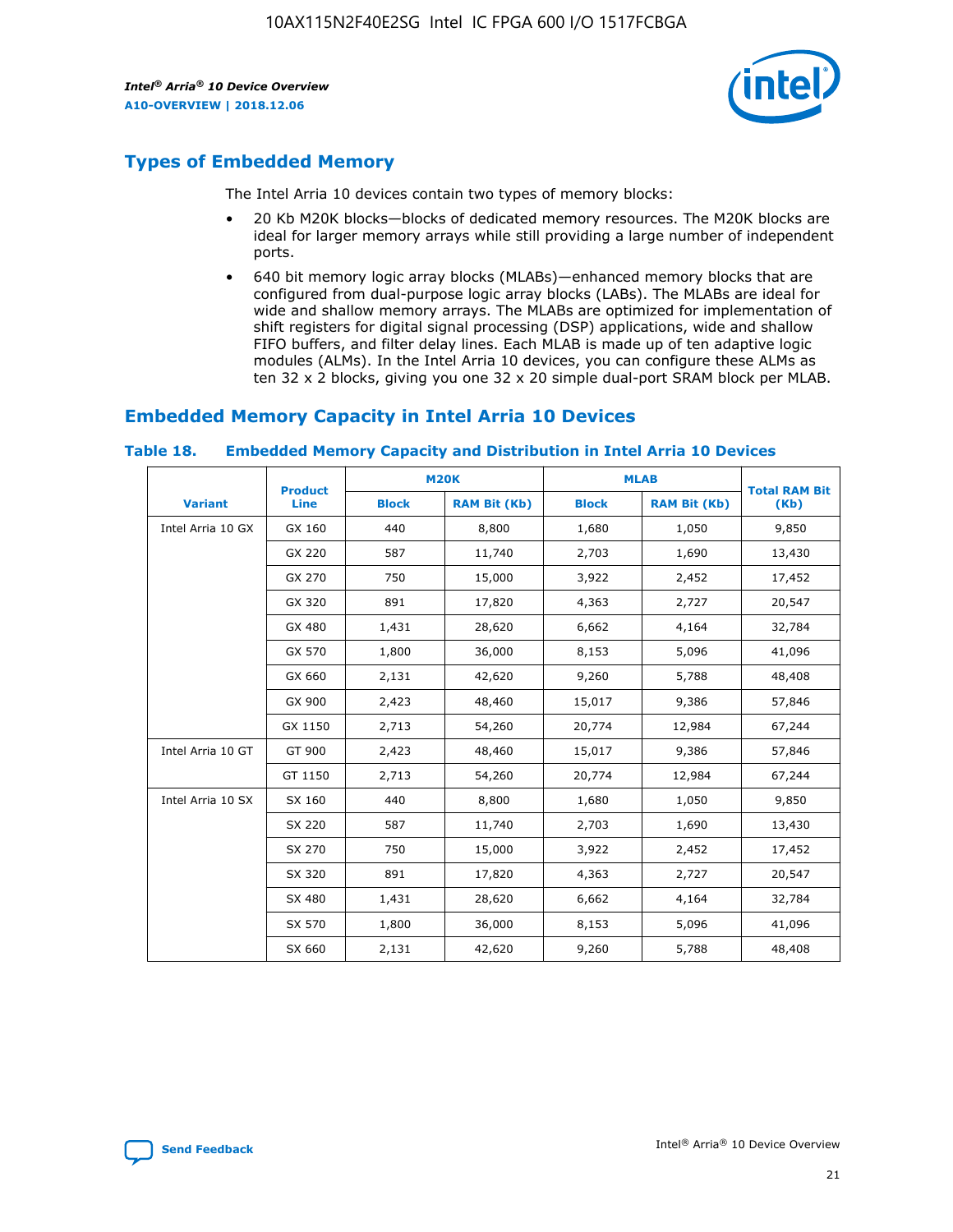

# **Types of Embedded Memory**

The Intel Arria 10 devices contain two types of memory blocks:

- 20 Kb M20K blocks—blocks of dedicated memory resources. The M20K blocks are ideal for larger memory arrays while still providing a large number of independent ports.
- 640 bit memory logic array blocks (MLABs)—enhanced memory blocks that are configured from dual-purpose logic array blocks (LABs). The MLABs are ideal for wide and shallow memory arrays. The MLABs are optimized for implementation of shift registers for digital signal processing (DSP) applications, wide and shallow FIFO buffers, and filter delay lines. Each MLAB is made up of ten adaptive logic modules (ALMs). In the Intel Arria 10 devices, you can configure these ALMs as ten 32 x 2 blocks, giving you one 32 x 20 simple dual-port SRAM block per MLAB.

# **Embedded Memory Capacity in Intel Arria 10 Devices**

|                   | <b>Product</b> |              | <b>M20K</b>         | <b>MLAB</b>  |                     | <b>Total RAM Bit</b> |
|-------------------|----------------|--------------|---------------------|--------------|---------------------|----------------------|
| <b>Variant</b>    | Line           | <b>Block</b> | <b>RAM Bit (Kb)</b> | <b>Block</b> | <b>RAM Bit (Kb)</b> | (Kb)                 |
| Intel Arria 10 GX | GX 160         | 440          | 8,800               | 1,680        | 1,050               | 9,850                |
|                   | GX 220         | 587          | 11,740              | 2,703        | 1,690               | 13,430               |
|                   | GX 270         | 750          | 15,000              | 3,922        | 2,452               | 17,452               |
|                   | GX 320         | 891          | 17,820              | 4,363        | 2,727               | 20,547               |
|                   | GX 480         | 1,431        | 28,620              | 6,662        | 4,164               | 32,784               |
|                   | GX 570         | 1,800        | 36,000              | 8,153        | 5,096               | 41,096               |
|                   | GX 660         | 2,131        | 42,620              | 9,260        | 5,788               | 48,408               |
|                   | GX 900         | 2,423        | 48,460              | 15,017       | 9,386               | 57,846               |
|                   | GX 1150        | 2,713        | 54,260              | 20,774       | 12,984              | 67,244               |
| Intel Arria 10 GT | GT 900         | 2,423        | 48,460              | 15,017       | 9,386               | 57,846               |
|                   | GT 1150        | 2,713        | 54,260              | 20,774       | 12,984              | 67,244               |
| Intel Arria 10 SX | SX 160         | 440          | 8,800               | 1,680        | 1,050               | 9,850                |
|                   | SX 220         | 587          | 11,740              | 2,703        | 1,690               | 13,430               |
|                   | SX 270         | 750          | 15,000              | 3,922        | 2,452               | 17,452               |
|                   | SX 320         | 891          | 17,820              | 4,363        | 2,727               | 20,547               |
|                   | SX 480         | 1,431        | 28,620              | 6,662        | 4,164               | 32,784               |
|                   | SX 570         | 1,800        | 36,000              | 8,153        | 5,096               | 41,096               |
|                   | SX 660         | 2,131        | 42,620              | 9,260        | 5,788               | 48,408               |

#### **Table 18. Embedded Memory Capacity and Distribution in Intel Arria 10 Devices**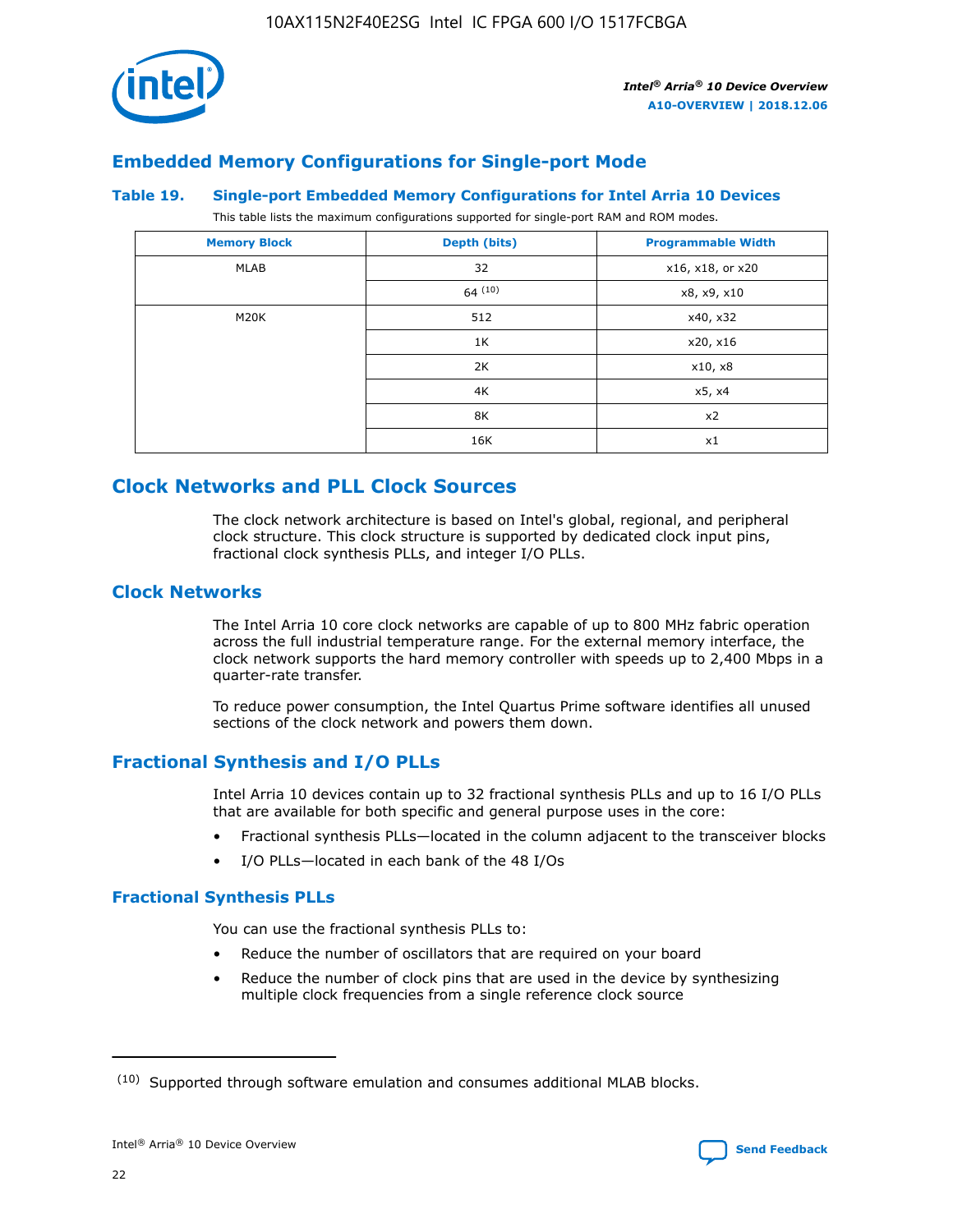

## **Embedded Memory Configurations for Single-port Mode**

#### **Table 19. Single-port Embedded Memory Configurations for Intel Arria 10 Devices**

This table lists the maximum configurations supported for single-port RAM and ROM modes.

| <b>Memory Block</b> | Depth (bits) | <b>Programmable Width</b> |
|---------------------|--------------|---------------------------|
| MLAB                | 32           | x16, x18, or x20          |
|                     | 64(10)       | x8, x9, x10               |
| M20K                | 512          | x40, x32                  |
|                     | 1K           | x20, x16                  |
|                     | 2K           | x10, x8                   |
|                     | 4K           | x5, x4                    |
|                     | 8K           | x2                        |
|                     | 16K          | x1                        |

# **Clock Networks and PLL Clock Sources**

The clock network architecture is based on Intel's global, regional, and peripheral clock structure. This clock structure is supported by dedicated clock input pins, fractional clock synthesis PLLs, and integer I/O PLLs.

## **Clock Networks**

The Intel Arria 10 core clock networks are capable of up to 800 MHz fabric operation across the full industrial temperature range. For the external memory interface, the clock network supports the hard memory controller with speeds up to 2,400 Mbps in a quarter-rate transfer.

To reduce power consumption, the Intel Quartus Prime software identifies all unused sections of the clock network and powers them down.

## **Fractional Synthesis and I/O PLLs**

Intel Arria 10 devices contain up to 32 fractional synthesis PLLs and up to 16 I/O PLLs that are available for both specific and general purpose uses in the core:

- Fractional synthesis PLLs—located in the column adjacent to the transceiver blocks
- I/O PLLs—located in each bank of the 48 I/Os

## **Fractional Synthesis PLLs**

You can use the fractional synthesis PLLs to:

- Reduce the number of oscillators that are required on your board
- Reduce the number of clock pins that are used in the device by synthesizing multiple clock frequencies from a single reference clock source

<sup>(10)</sup> Supported through software emulation and consumes additional MLAB blocks.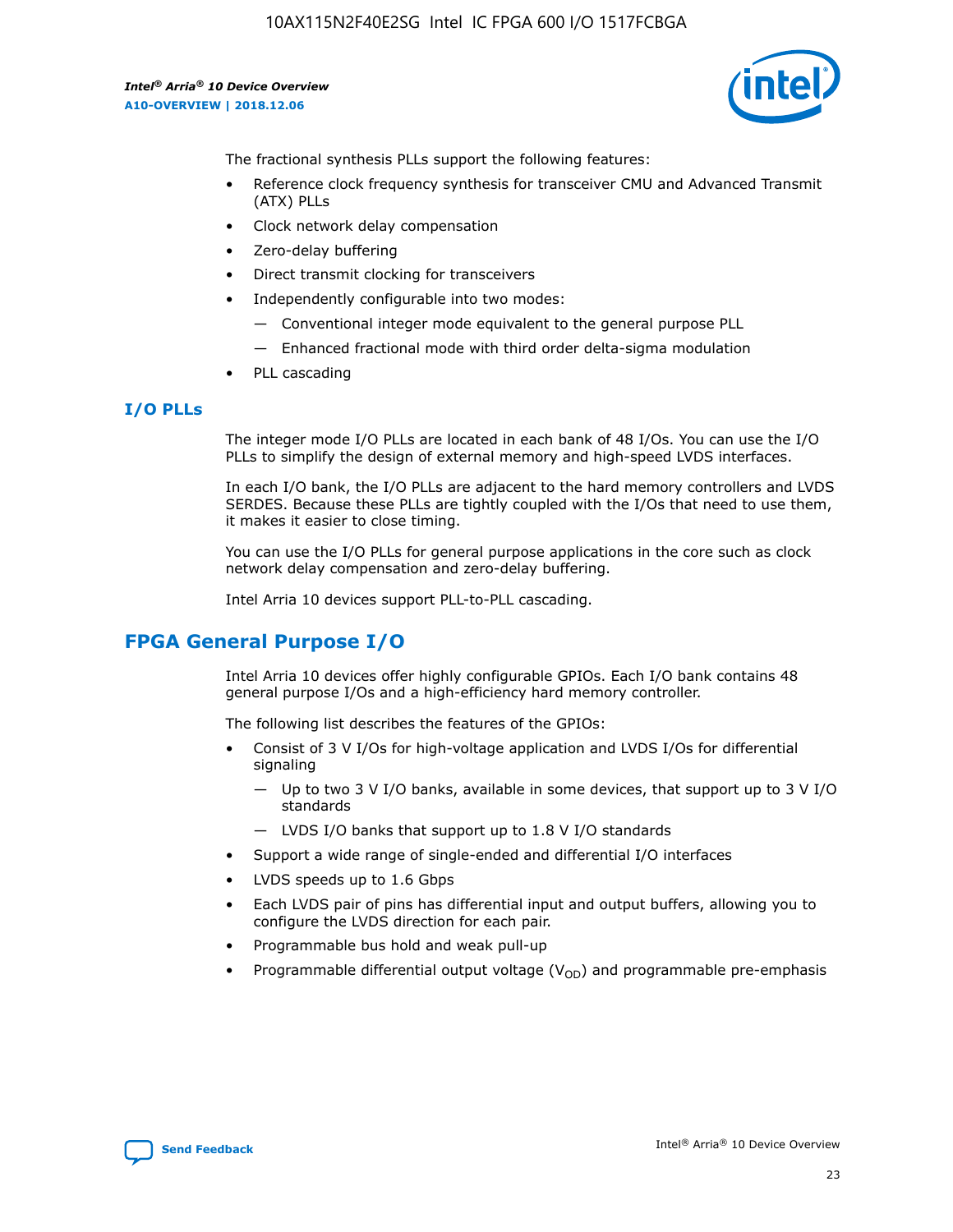

The fractional synthesis PLLs support the following features:

- Reference clock frequency synthesis for transceiver CMU and Advanced Transmit (ATX) PLLs
- Clock network delay compensation
- Zero-delay buffering
- Direct transmit clocking for transceivers
- Independently configurable into two modes:
	- Conventional integer mode equivalent to the general purpose PLL
	- Enhanced fractional mode with third order delta-sigma modulation
- PLL cascading

## **I/O PLLs**

The integer mode I/O PLLs are located in each bank of 48 I/Os. You can use the I/O PLLs to simplify the design of external memory and high-speed LVDS interfaces.

In each I/O bank, the I/O PLLs are adjacent to the hard memory controllers and LVDS SERDES. Because these PLLs are tightly coupled with the I/Os that need to use them, it makes it easier to close timing.

You can use the I/O PLLs for general purpose applications in the core such as clock network delay compensation and zero-delay buffering.

Intel Arria 10 devices support PLL-to-PLL cascading.

# **FPGA General Purpose I/O**

Intel Arria 10 devices offer highly configurable GPIOs. Each I/O bank contains 48 general purpose I/Os and a high-efficiency hard memory controller.

The following list describes the features of the GPIOs:

- Consist of 3 V I/Os for high-voltage application and LVDS I/Os for differential signaling
	- Up to two 3 V I/O banks, available in some devices, that support up to 3 V I/O standards
	- LVDS I/O banks that support up to 1.8 V I/O standards
- Support a wide range of single-ended and differential I/O interfaces
- LVDS speeds up to 1.6 Gbps
- Each LVDS pair of pins has differential input and output buffers, allowing you to configure the LVDS direction for each pair.
- Programmable bus hold and weak pull-up
- Programmable differential output voltage  $(V_{OD})$  and programmable pre-emphasis

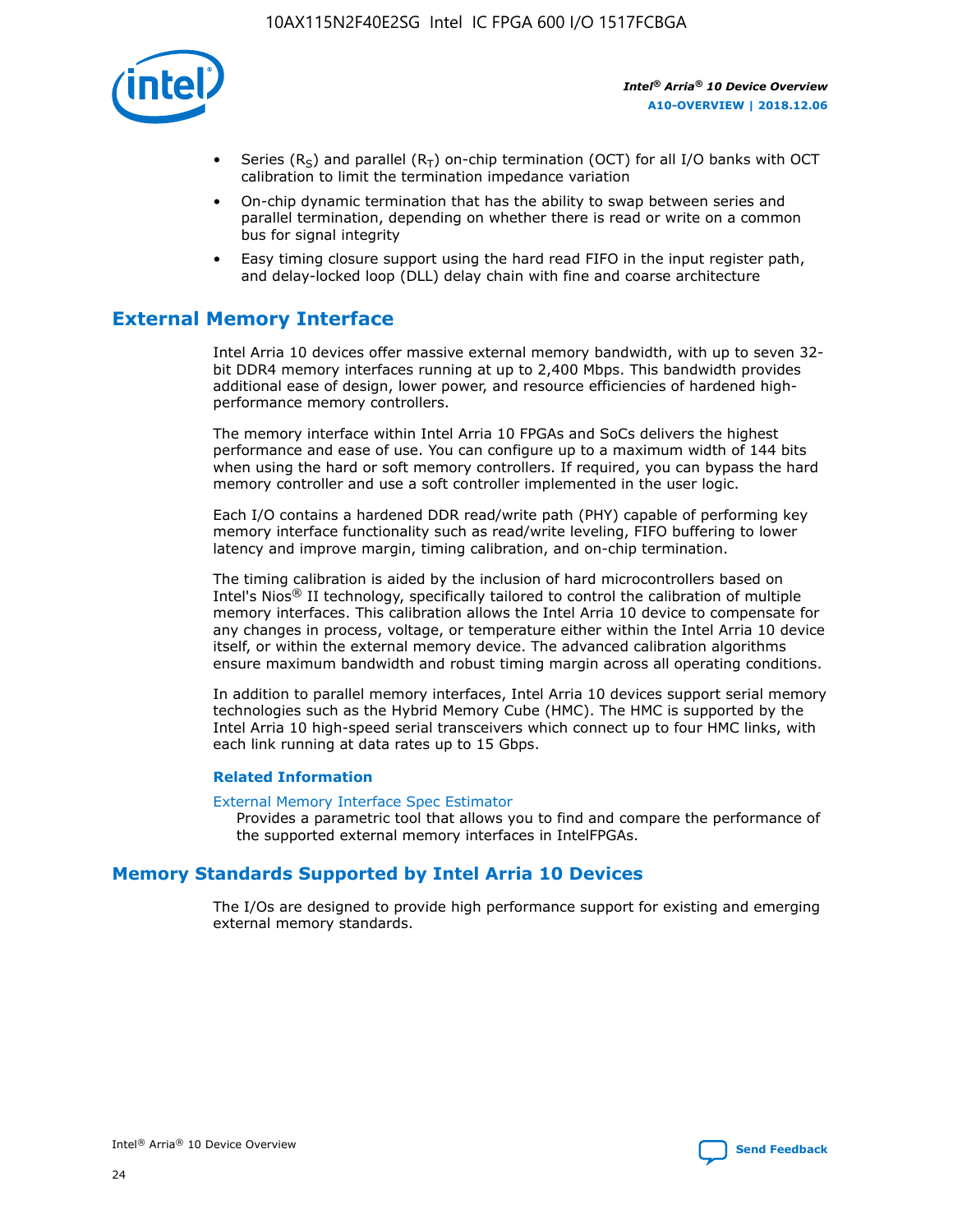

- Series (R<sub>S</sub>) and parallel (R<sub>T</sub>) on-chip termination (OCT) for all I/O banks with OCT calibration to limit the termination impedance variation
- On-chip dynamic termination that has the ability to swap between series and parallel termination, depending on whether there is read or write on a common bus for signal integrity
- Easy timing closure support using the hard read FIFO in the input register path, and delay-locked loop (DLL) delay chain with fine and coarse architecture

# **External Memory Interface**

Intel Arria 10 devices offer massive external memory bandwidth, with up to seven 32 bit DDR4 memory interfaces running at up to 2,400 Mbps. This bandwidth provides additional ease of design, lower power, and resource efficiencies of hardened highperformance memory controllers.

The memory interface within Intel Arria 10 FPGAs and SoCs delivers the highest performance and ease of use. You can configure up to a maximum width of 144 bits when using the hard or soft memory controllers. If required, you can bypass the hard memory controller and use a soft controller implemented in the user logic.

Each I/O contains a hardened DDR read/write path (PHY) capable of performing key memory interface functionality such as read/write leveling, FIFO buffering to lower latency and improve margin, timing calibration, and on-chip termination.

The timing calibration is aided by the inclusion of hard microcontrollers based on Intel's Nios® II technology, specifically tailored to control the calibration of multiple memory interfaces. This calibration allows the Intel Arria 10 device to compensate for any changes in process, voltage, or temperature either within the Intel Arria 10 device itself, or within the external memory device. The advanced calibration algorithms ensure maximum bandwidth and robust timing margin across all operating conditions.

In addition to parallel memory interfaces, Intel Arria 10 devices support serial memory technologies such as the Hybrid Memory Cube (HMC). The HMC is supported by the Intel Arria 10 high-speed serial transceivers which connect up to four HMC links, with each link running at data rates up to 15 Gbps.

#### **Related Information**

#### [External Memory Interface Spec Estimator](http://www.altera.com/technology/memory/estimator/mem-emif-index.html)

Provides a parametric tool that allows you to find and compare the performance of the supported external memory interfaces in IntelFPGAs.

## **Memory Standards Supported by Intel Arria 10 Devices**

The I/Os are designed to provide high performance support for existing and emerging external memory standards.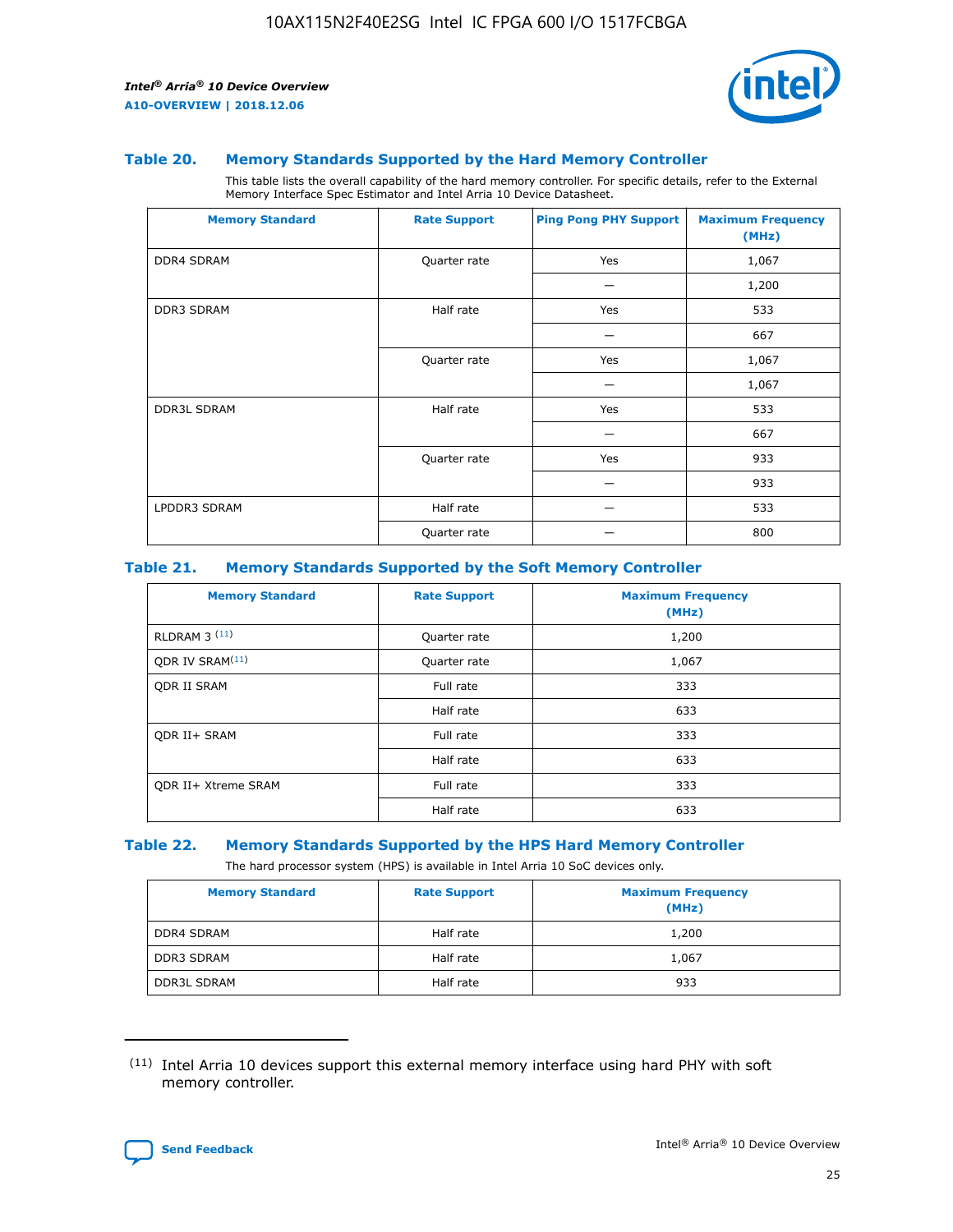

#### **Table 20. Memory Standards Supported by the Hard Memory Controller**

This table lists the overall capability of the hard memory controller. For specific details, refer to the External Memory Interface Spec Estimator and Intel Arria 10 Device Datasheet.

| <b>Memory Standard</b> | <b>Rate Support</b> | <b>Ping Pong PHY Support</b> | <b>Maximum Frequency</b><br>(MHz) |
|------------------------|---------------------|------------------------------|-----------------------------------|
| <b>DDR4 SDRAM</b>      | Quarter rate        | Yes                          | 1,067                             |
|                        |                     |                              | 1,200                             |
| <b>DDR3 SDRAM</b>      | Half rate           | Yes                          | 533                               |
|                        |                     |                              | 667                               |
|                        | Quarter rate        | Yes                          | 1,067                             |
|                        |                     |                              | 1,067                             |
| <b>DDR3L SDRAM</b>     | Half rate           | Yes                          | 533                               |
|                        |                     |                              | 667                               |
|                        | Quarter rate        | Yes                          | 933                               |
|                        |                     |                              | 933                               |
| LPDDR3 SDRAM           | Half rate           |                              | 533                               |
|                        | Quarter rate        |                              | 800                               |

#### **Table 21. Memory Standards Supported by the Soft Memory Controller**

| <b>Memory Standard</b>      | <b>Rate Support</b> | <b>Maximum Frequency</b><br>(MHz) |
|-----------------------------|---------------------|-----------------------------------|
| <b>RLDRAM 3 (11)</b>        | Quarter rate        | 1,200                             |
| ODR IV SRAM <sup>(11)</sup> | Quarter rate        | 1,067                             |
| <b>ODR II SRAM</b>          | Full rate           | 333                               |
|                             | Half rate           | 633                               |
| <b>ODR II+ SRAM</b>         | Full rate           | 333                               |
|                             | Half rate           | 633                               |
| <b>ODR II+ Xtreme SRAM</b>  | Full rate           | 333                               |
|                             | Half rate           | 633                               |

#### **Table 22. Memory Standards Supported by the HPS Hard Memory Controller**

The hard processor system (HPS) is available in Intel Arria 10 SoC devices only.

| <b>Memory Standard</b> | <b>Rate Support</b> | <b>Maximum Frequency</b><br>(MHz) |
|------------------------|---------------------|-----------------------------------|
| <b>DDR4 SDRAM</b>      | Half rate           | 1,200                             |
| <b>DDR3 SDRAM</b>      | Half rate           | 1,067                             |
| <b>DDR3L SDRAM</b>     | Half rate           | 933                               |

<sup>(11)</sup> Intel Arria 10 devices support this external memory interface using hard PHY with soft memory controller.

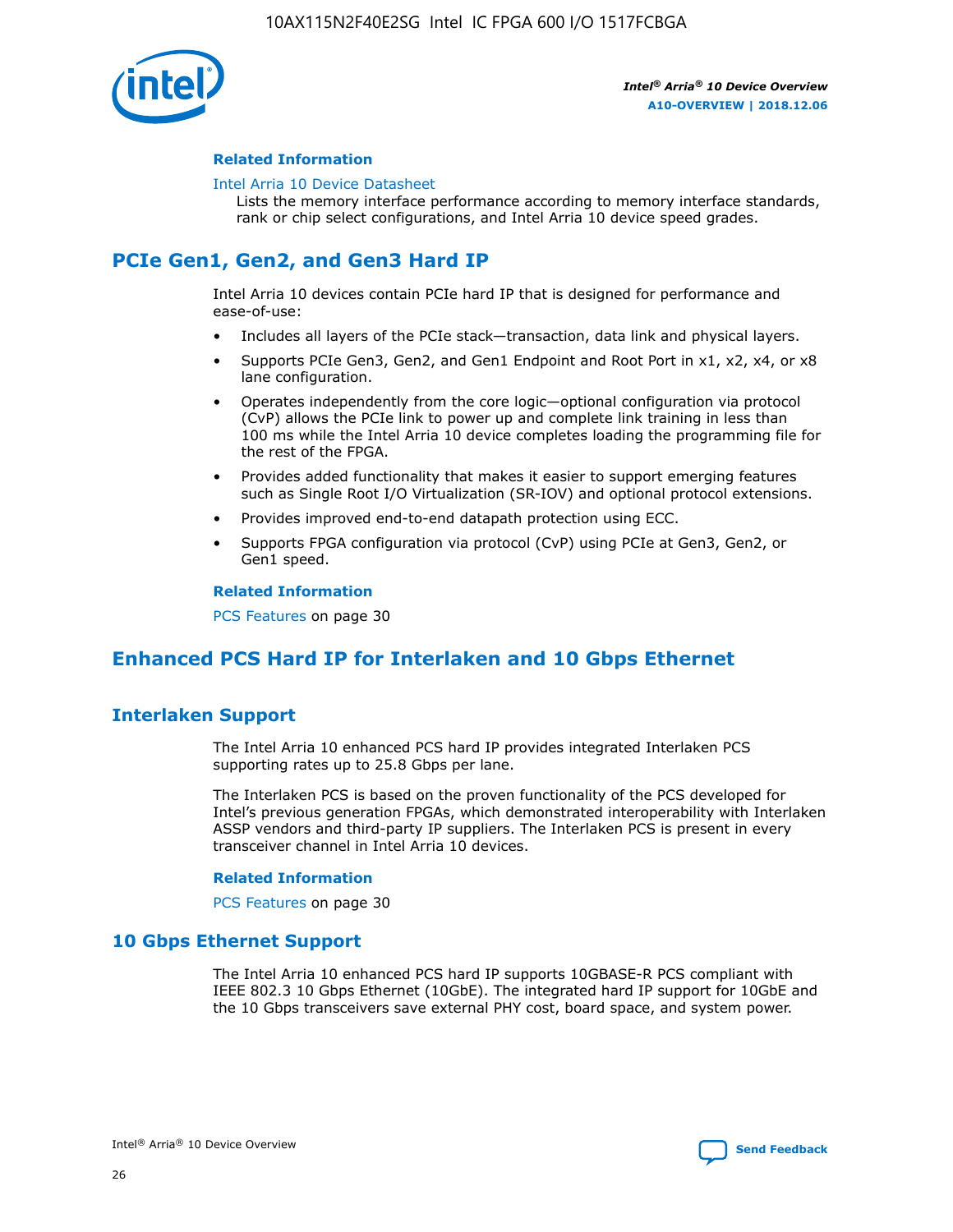

#### **Related Information**

#### [Intel Arria 10 Device Datasheet](https://www.intel.com/content/www/us/en/programmable/documentation/mcn1413182292568.html#mcn1413182153340)

Lists the memory interface performance according to memory interface standards, rank or chip select configurations, and Intel Arria 10 device speed grades.

# **PCIe Gen1, Gen2, and Gen3 Hard IP**

Intel Arria 10 devices contain PCIe hard IP that is designed for performance and ease-of-use:

- Includes all layers of the PCIe stack—transaction, data link and physical layers.
- Supports PCIe Gen3, Gen2, and Gen1 Endpoint and Root Port in x1, x2, x4, or x8 lane configuration.
- Operates independently from the core logic—optional configuration via protocol (CvP) allows the PCIe link to power up and complete link training in less than 100 ms while the Intel Arria 10 device completes loading the programming file for the rest of the FPGA.
- Provides added functionality that makes it easier to support emerging features such as Single Root I/O Virtualization (SR-IOV) and optional protocol extensions.
- Provides improved end-to-end datapath protection using ECC.
- Supports FPGA configuration via protocol (CvP) using PCIe at Gen3, Gen2, or Gen1 speed.

#### **Related Information**

PCS Features on page 30

# **Enhanced PCS Hard IP for Interlaken and 10 Gbps Ethernet**

## **Interlaken Support**

The Intel Arria 10 enhanced PCS hard IP provides integrated Interlaken PCS supporting rates up to 25.8 Gbps per lane.

The Interlaken PCS is based on the proven functionality of the PCS developed for Intel's previous generation FPGAs, which demonstrated interoperability with Interlaken ASSP vendors and third-party IP suppliers. The Interlaken PCS is present in every transceiver channel in Intel Arria 10 devices.

#### **Related Information**

PCS Features on page 30

## **10 Gbps Ethernet Support**

The Intel Arria 10 enhanced PCS hard IP supports 10GBASE-R PCS compliant with IEEE 802.3 10 Gbps Ethernet (10GbE). The integrated hard IP support for 10GbE and the 10 Gbps transceivers save external PHY cost, board space, and system power.

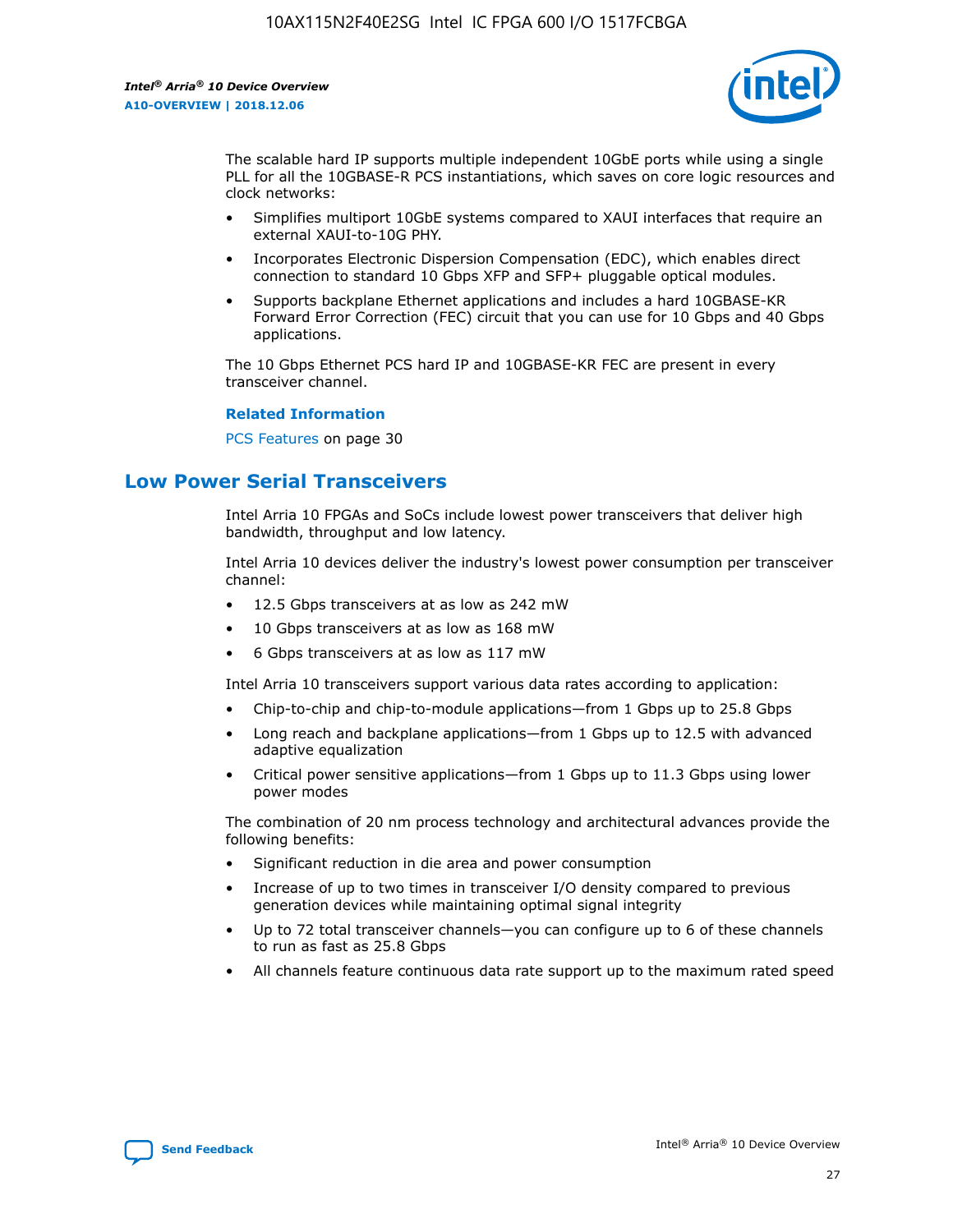

The scalable hard IP supports multiple independent 10GbE ports while using a single PLL for all the 10GBASE-R PCS instantiations, which saves on core logic resources and clock networks:

- Simplifies multiport 10GbE systems compared to XAUI interfaces that require an external XAUI-to-10G PHY.
- Incorporates Electronic Dispersion Compensation (EDC), which enables direct connection to standard 10 Gbps XFP and SFP+ pluggable optical modules.
- Supports backplane Ethernet applications and includes a hard 10GBASE-KR Forward Error Correction (FEC) circuit that you can use for 10 Gbps and 40 Gbps applications.

The 10 Gbps Ethernet PCS hard IP and 10GBASE-KR FEC are present in every transceiver channel.

#### **Related Information**

PCS Features on page 30

# **Low Power Serial Transceivers**

Intel Arria 10 FPGAs and SoCs include lowest power transceivers that deliver high bandwidth, throughput and low latency.

Intel Arria 10 devices deliver the industry's lowest power consumption per transceiver channel:

- 12.5 Gbps transceivers at as low as 242 mW
- 10 Gbps transceivers at as low as 168 mW
- 6 Gbps transceivers at as low as 117 mW

Intel Arria 10 transceivers support various data rates according to application:

- Chip-to-chip and chip-to-module applications—from 1 Gbps up to 25.8 Gbps
- Long reach and backplane applications—from 1 Gbps up to 12.5 with advanced adaptive equalization
- Critical power sensitive applications—from 1 Gbps up to 11.3 Gbps using lower power modes

The combination of 20 nm process technology and architectural advances provide the following benefits:

- Significant reduction in die area and power consumption
- Increase of up to two times in transceiver I/O density compared to previous generation devices while maintaining optimal signal integrity
- Up to 72 total transceiver channels—you can configure up to 6 of these channels to run as fast as 25.8 Gbps
- All channels feature continuous data rate support up to the maximum rated speed

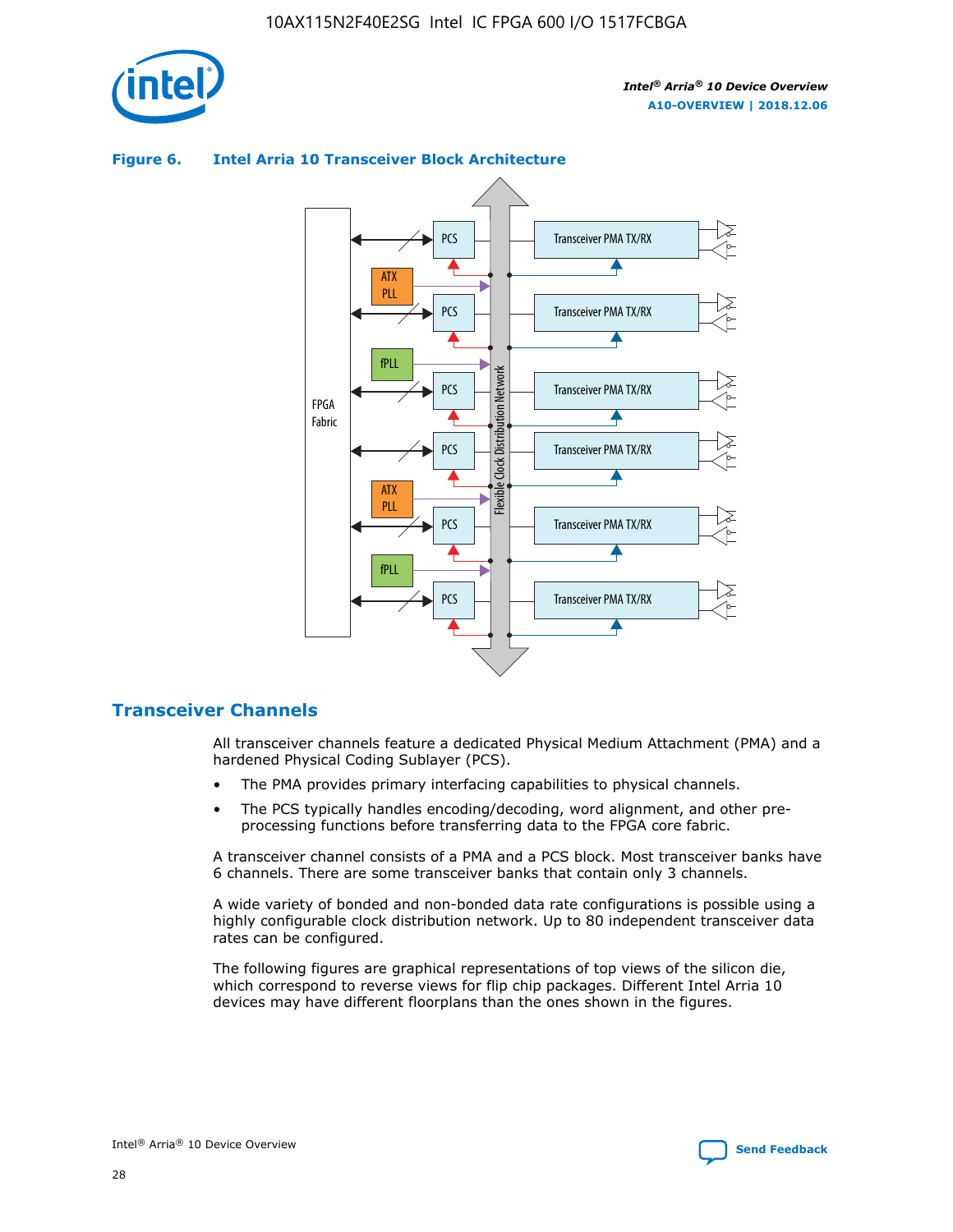



## **Figure 6. Intel Arria 10 Transceiver Block Architecture**

## **Transceiver Channels**

All transceiver channels feature a dedicated Physical Medium Attachment (PMA) and a hardened Physical Coding Sublayer (PCS).

- The PMA provides primary interfacing capabilities to physical channels.
- The PCS typically handles encoding/decoding, word alignment, and other preprocessing functions before transferring data to the FPGA core fabric.

A transceiver channel consists of a PMA and a PCS block. Most transceiver banks have 6 channels. There are some transceiver banks that contain only 3 channels.

A wide variety of bonded and non-bonded data rate configurations is possible using a highly configurable clock distribution network. Up to 80 independent transceiver data rates can be configured.

The following figures are graphical representations of top views of the silicon die, which correspond to reverse views for flip chip packages. Different Intel Arria 10 devices may have different floorplans than the ones shown in the figures.

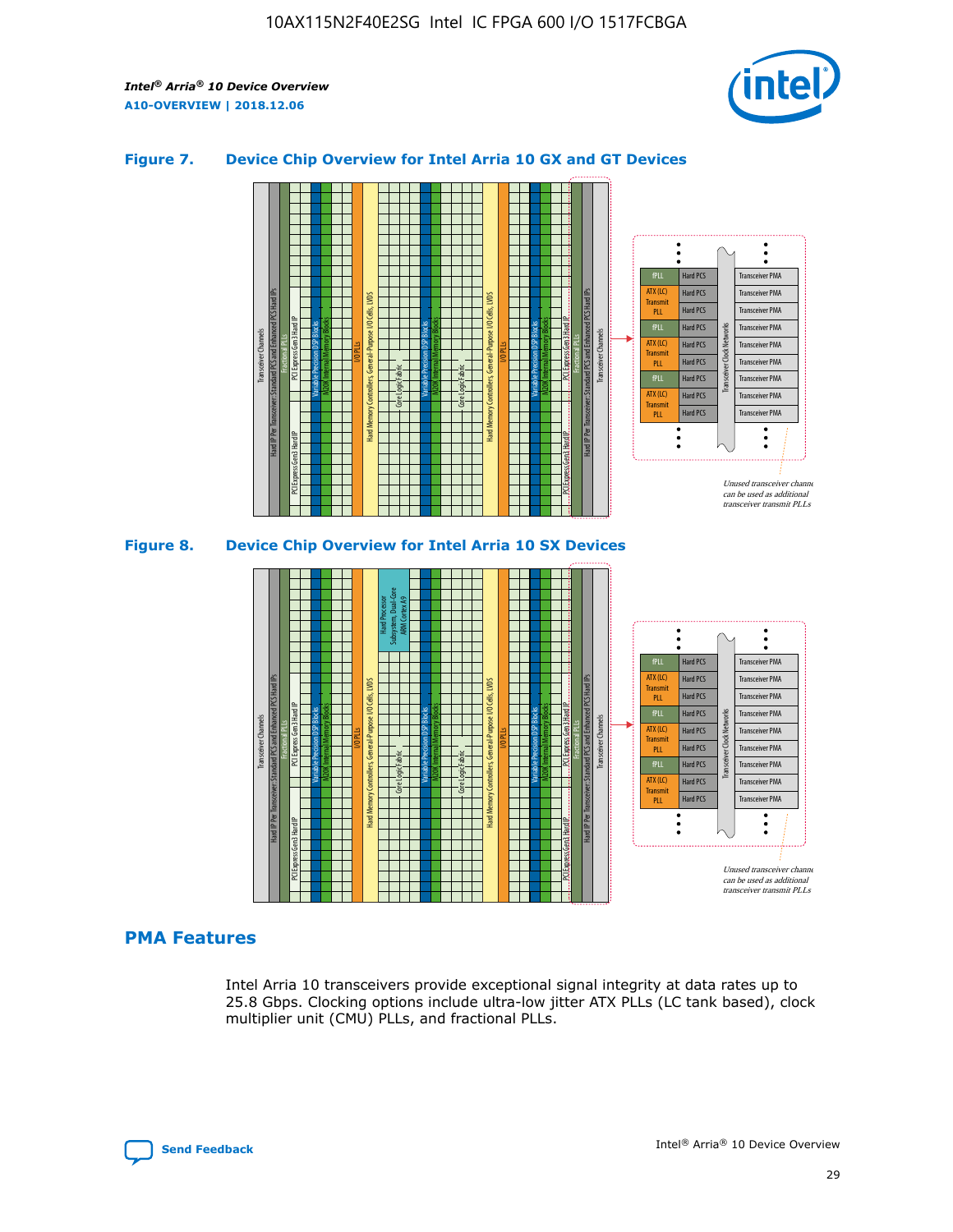

## **Figure 7. Device Chip Overview for Intel Arria 10 GX and GT Devices**





## **PMA Features**

Intel Arria 10 transceivers provide exceptional signal integrity at data rates up to 25.8 Gbps. Clocking options include ultra-low jitter ATX PLLs (LC tank based), clock multiplier unit (CMU) PLLs, and fractional PLLs.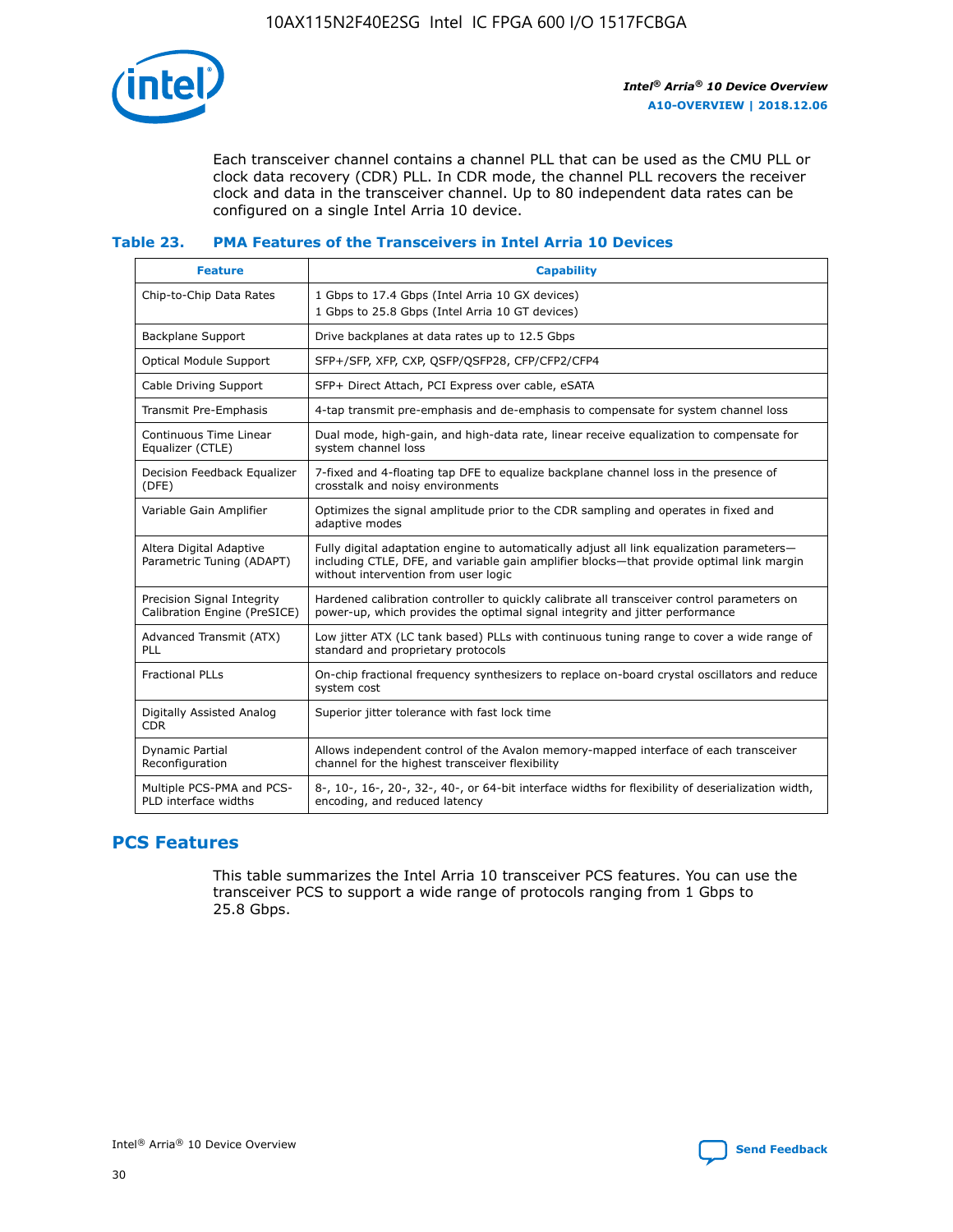

Each transceiver channel contains a channel PLL that can be used as the CMU PLL or clock data recovery (CDR) PLL. In CDR mode, the channel PLL recovers the receiver clock and data in the transceiver channel. Up to 80 independent data rates can be configured on a single Intel Arria 10 device.

## **Table 23. PMA Features of the Transceivers in Intel Arria 10 Devices**

| <b>Feature</b>                                             | <b>Capability</b>                                                                                                                                                                                                             |
|------------------------------------------------------------|-------------------------------------------------------------------------------------------------------------------------------------------------------------------------------------------------------------------------------|
| Chip-to-Chip Data Rates                                    | 1 Gbps to 17.4 Gbps (Intel Arria 10 GX devices)<br>1 Gbps to 25.8 Gbps (Intel Arria 10 GT devices)                                                                                                                            |
| <b>Backplane Support</b>                                   | Drive backplanes at data rates up to 12.5 Gbps                                                                                                                                                                                |
| <b>Optical Module Support</b>                              | SFP+/SFP, XFP, CXP, QSFP/QSFP28, CFP/CFP2/CFP4                                                                                                                                                                                |
| Cable Driving Support                                      | SFP+ Direct Attach, PCI Express over cable, eSATA                                                                                                                                                                             |
| Transmit Pre-Emphasis                                      | 4-tap transmit pre-emphasis and de-emphasis to compensate for system channel loss                                                                                                                                             |
| Continuous Time Linear<br>Equalizer (CTLE)                 | Dual mode, high-gain, and high-data rate, linear receive equalization to compensate for<br>system channel loss                                                                                                                |
| Decision Feedback Equalizer<br>(DFE)                       | 7-fixed and 4-floating tap DFE to equalize backplane channel loss in the presence of<br>crosstalk and noisy environments                                                                                                      |
| Variable Gain Amplifier                                    | Optimizes the signal amplitude prior to the CDR sampling and operates in fixed and<br>adaptive modes                                                                                                                          |
| Altera Digital Adaptive<br>Parametric Tuning (ADAPT)       | Fully digital adaptation engine to automatically adjust all link equalization parameters-<br>including CTLE, DFE, and variable gain amplifier blocks—that provide optimal link margin<br>without intervention from user logic |
| Precision Signal Integrity<br>Calibration Engine (PreSICE) | Hardened calibration controller to quickly calibrate all transceiver control parameters on<br>power-up, which provides the optimal signal integrity and jitter performance                                                    |
| Advanced Transmit (ATX)<br><b>PLL</b>                      | Low jitter ATX (LC tank based) PLLs with continuous tuning range to cover a wide range of<br>standard and proprietary protocols                                                                                               |
| <b>Fractional PLLs</b>                                     | On-chip fractional frequency synthesizers to replace on-board crystal oscillators and reduce<br>system cost                                                                                                                   |
| Digitally Assisted Analog<br><b>CDR</b>                    | Superior jitter tolerance with fast lock time                                                                                                                                                                                 |
| Dynamic Partial<br>Reconfiguration                         | Allows independent control of the Avalon memory-mapped interface of each transceiver<br>channel for the highest transceiver flexibility                                                                                       |
| Multiple PCS-PMA and PCS-<br>PLD interface widths          | 8-, 10-, 16-, 20-, 32-, 40-, or 64-bit interface widths for flexibility of deserialization width,<br>encoding, and reduced latency                                                                                            |

## **PCS Features**

This table summarizes the Intel Arria 10 transceiver PCS features. You can use the transceiver PCS to support a wide range of protocols ranging from 1 Gbps to 25.8 Gbps.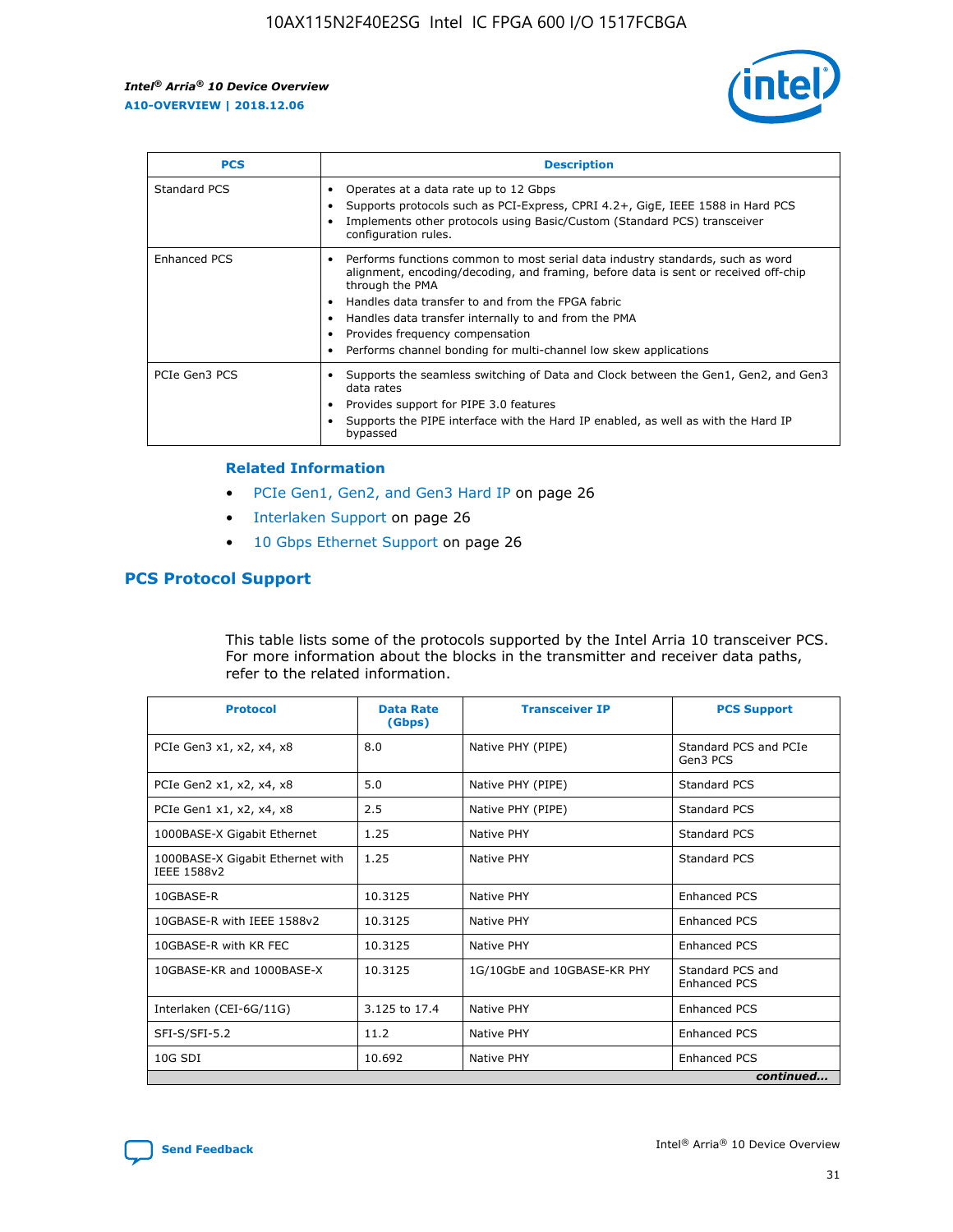

| <b>PCS</b>    | <b>Description</b>                                                                                                                                                                                                                                                                                                                                                                                             |
|---------------|----------------------------------------------------------------------------------------------------------------------------------------------------------------------------------------------------------------------------------------------------------------------------------------------------------------------------------------------------------------------------------------------------------------|
| Standard PCS  | Operates at a data rate up to 12 Gbps<br>Supports protocols such as PCI-Express, CPRI 4.2+, GigE, IEEE 1588 in Hard PCS<br>Implements other protocols using Basic/Custom (Standard PCS) transceiver<br>configuration rules.                                                                                                                                                                                    |
| Enhanced PCS  | Performs functions common to most serial data industry standards, such as word<br>alignment, encoding/decoding, and framing, before data is sent or received off-chip<br>through the PMA<br>• Handles data transfer to and from the FPGA fabric<br>Handles data transfer internally to and from the PMA<br>Provides frequency compensation<br>Performs channel bonding for multi-channel low skew applications |
| PCIe Gen3 PCS | Supports the seamless switching of Data and Clock between the Gen1, Gen2, and Gen3<br>data rates<br>Provides support for PIPE 3.0 features<br>Supports the PIPE interface with the Hard IP enabled, as well as with the Hard IP<br>bypassed                                                                                                                                                                    |

#### **Related Information**

- PCIe Gen1, Gen2, and Gen3 Hard IP on page 26
- Interlaken Support on page 26
- 10 Gbps Ethernet Support on page 26

## **PCS Protocol Support**

This table lists some of the protocols supported by the Intel Arria 10 transceiver PCS. For more information about the blocks in the transmitter and receiver data paths, refer to the related information.

| <b>Protocol</b>                                 | <b>Data Rate</b><br>(Gbps) | <b>Transceiver IP</b>       | <b>PCS Support</b>                      |
|-------------------------------------------------|----------------------------|-----------------------------|-----------------------------------------|
| PCIe Gen3 x1, x2, x4, x8                        | 8.0                        | Native PHY (PIPE)           | Standard PCS and PCIe<br>Gen3 PCS       |
| PCIe Gen2 x1, x2, x4, x8                        | 5.0                        | Native PHY (PIPE)           | <b>Standard PCS</b>                     |
| PCIe Gen1 x1, x2, x4, x8                        | 2.5                        | Native PHY (PIPE)           | Standard PCS                            |
| 1000BASE-X Gigabit Ethernet                     | 1.25                       | Native PHY                  | <b>Standard PCS</b>                     |
| 1000BASE-X Gigabit Ethernet with<br>IEEE 1588v2 | 1.25                       | Native PHY                  | Standard PCS                            |
| 10GBASE-R                                       | 10.3125                    | Native PHY                  | <b>Enhanced PCS</b>                     |
| 10GBASE-R with IEEE 1588v2                      | 10.3125                    | Native PHY                  | <b>Enhanced PCS</b>                     |
| 10GBASE-R with KR FEC                           | 10.3125                    | Native PHY                  | <b>Enhanced PCS</b>                     |
| 10GBASE-KR and 1000BASE-X                       | 10.3125                    | 1G/10GbE and 10GBASE-KR PHY | Standard PCS and<br><b>Enhanced PCS</b> |
| Interlaken (CEI-6G/11G)                         | 3.125 to 17.4              | Native PHY                  | <b>Enhanced PCS</b>                     |
| SFI-S/SFI-5.2                                   | 11.2                       | Native PHY                  | <b>Enhanced PCS</b>                     |
| $10G$ SDI                                       | 10.692                     | Native PHY                  | <b>Enhanced PCS</b>                     |
|                                                 |                            |                             | continued                               |

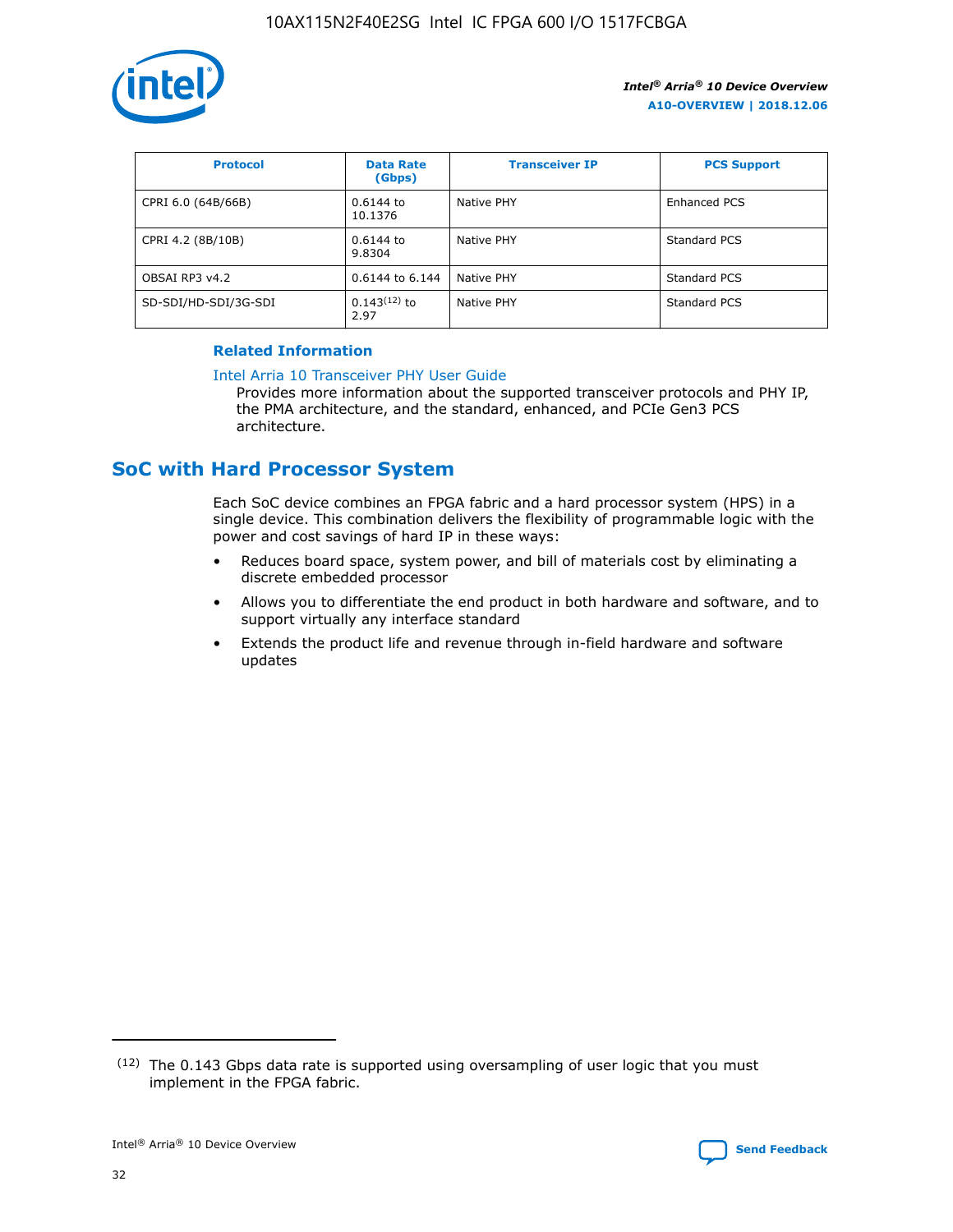

| <b>Protocol</b>      | <b>Data Rate</b><br>(Gbps) | <b>Transceiver IP</b> | <b>PCS Support</b> |
|----------------------|----------------------------|-----------------------|--------------------|
| CPRI 6.0 (64B/66B)   | 0.6144 to<br>10.1376       | Native PHY            | Enhanced PCS       |
| CPRI 4.2 (8B/10B)    | 0.6144 to<br>9.8304        | Native PHY            | Standard PCS       |
| OBSAI RP3 v4.2       | 0.6144 to 6.144            | Native PHY            | Standard PCS       |
| SD-SDI/HD-SDI/3G-SDI | $0.143(12)$ to<br>2.97     | Native PHY            | Standard PCS       |

## **Related Information**

#### [Intel Arria 10 Transceiver PHY User Guide](https://www.intel.com/content/www/us/en/programmable/documentation/nik1398707230472.html#nik1398707091164)

Provides more information about the supported transceiver protocols and PHY IP, the PMA architecture, and the standard, enhanced, and PCIe Gen3 PCS architecture.

# **SoC with Hard Processor System**

Each SoC device combines an FPGA fabric and a hard processor system (HPS) in a single device. This combination delivers the flexibility of programmable logic with the power and cost savings of hard IP in these ways:

- Reduces board space, system power, and bill of materials cost by eliminating a discrete embedded processor
- Allows you to differentiate the end product in both hardware and software, and to support virtually any interface standard
- Extends the product life and revenue through in-field hardware and software updates

<sup>(12)</sup> The 0.143 Gbps data rate is supported using oversampling of user logic that you must implement in the FPGA fabric.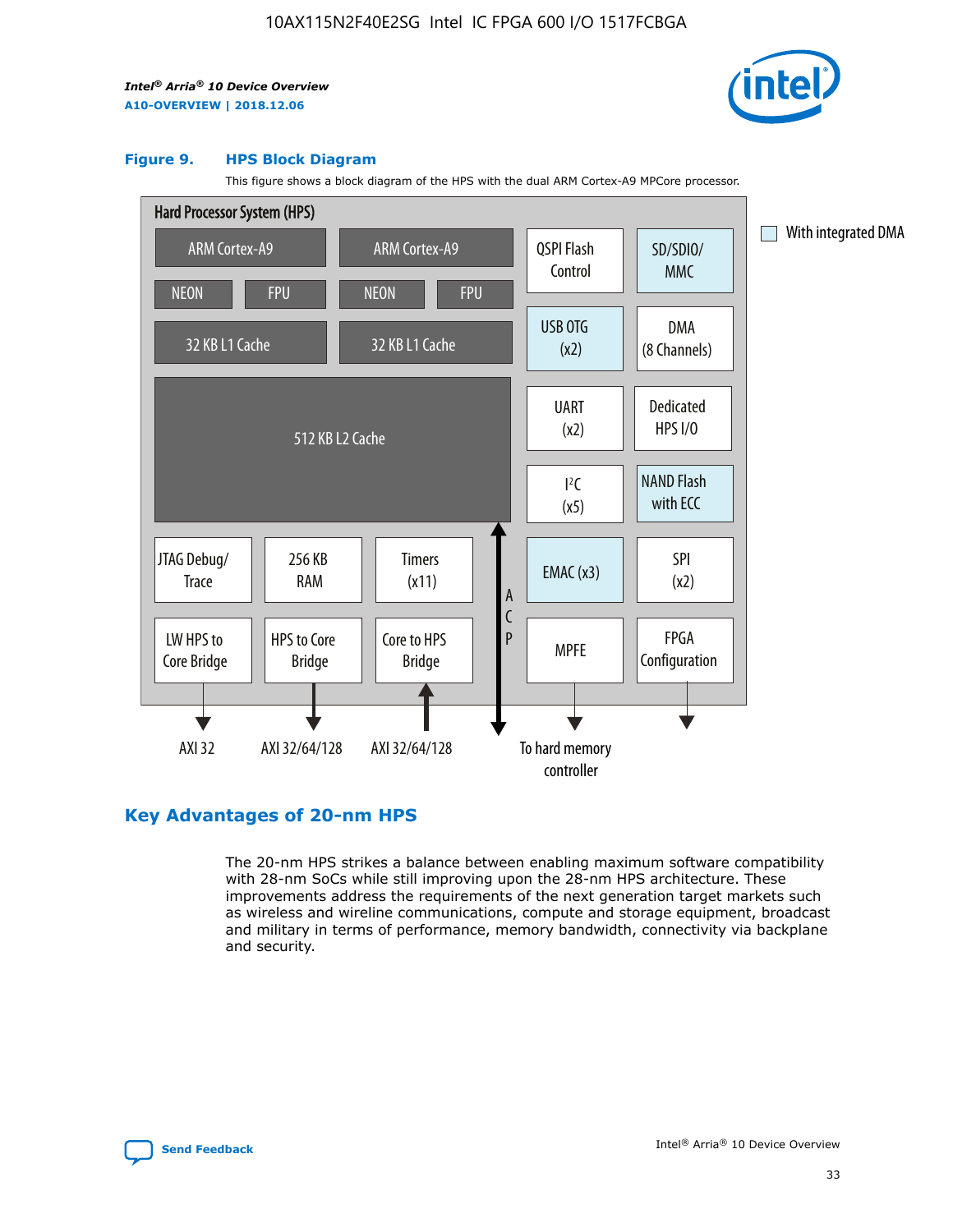

#### **Figure 9. HPS Block Diagram**

This figure shows a block diagram of the HPS with the dual ARM Cortex-A9 MPCore processor.



## **Key Advantages of 20-nm HPS**

The 20-nm HPS strikes a balance between enabling maximum software compatibility with 28-nm SoCs while still improving upon the 28-nm HPS architecture. These improvements address the requirements of the next generation target markets such as wireless and wireline communications, compute and storage equipment, broadcast and military in terms of performance, memory bandwidth, connectivity via backplane and security.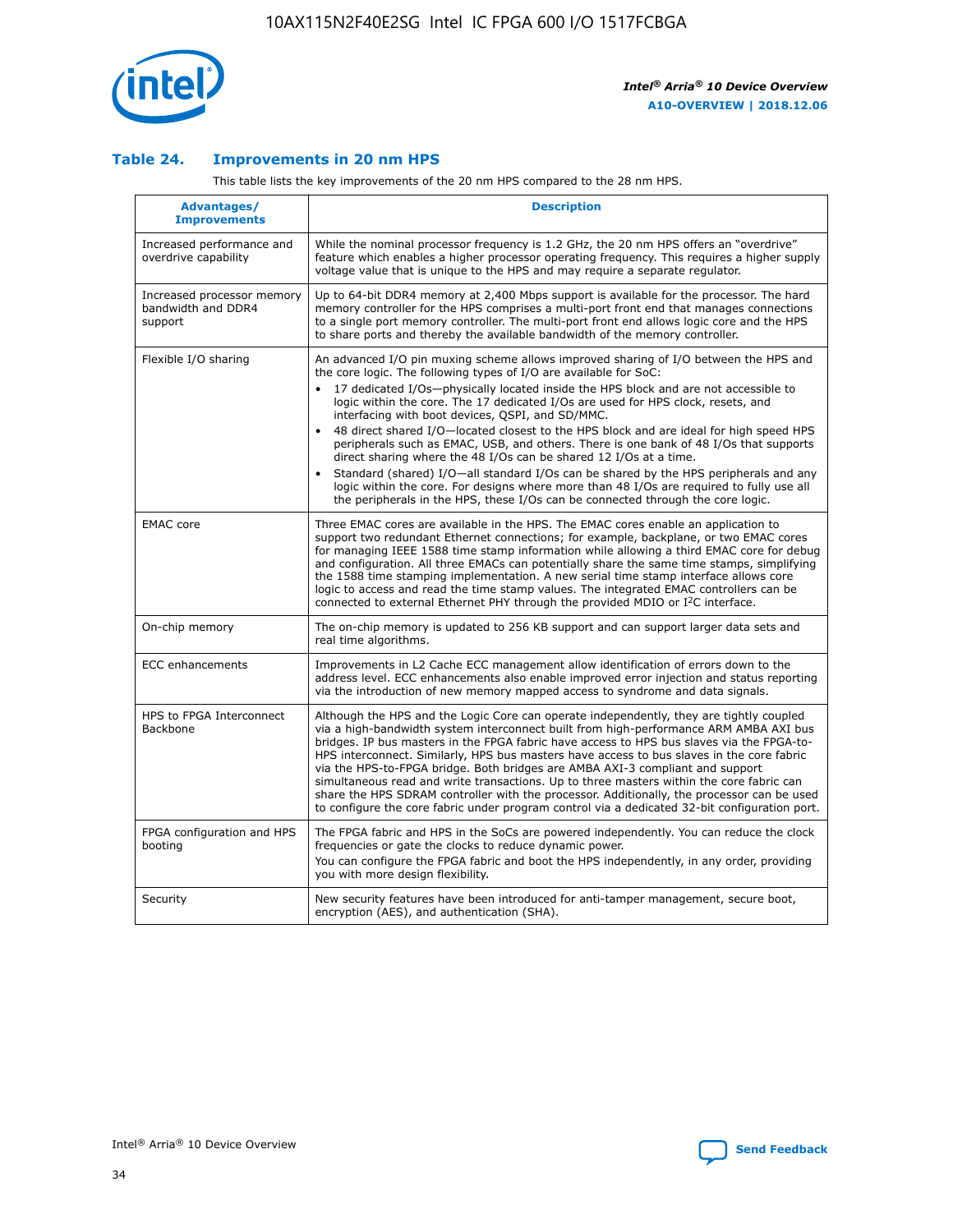

## **Table 24. Improvements in 20 nm HPS**

This table lists the key improvements of the 20 nm HPS compared to the 28 nm HPS.

| Advantages/<br><b>Improvements</b>                          | <b>Description</b>                                                                                                                                                                                                                                                                                                                                                                                                                                                                                                                                                                                                                                                                                                                                                                                                                   |
|-------------------------------------------------------------|--------------------------------------------------------------------------------------------------------------------------------------------------------------------------------------------------------------------------------------------------------------------------------------------------------------------------------------------------------------------------------------------------------------------------------------------------------------------------------------------------------------------------------------------------------------------------------------------------------------------------------------------------------------------------------------------------------------------------------------------------------------------------------------------------------------------------------------|
| Increased performance and<br>overdrive capability           | While the nominal processor frequency is 1.2 GHz, the 20 nm HPS offers an "overdrive"<br>feature which enables a higher processor operating frequency. This requires a higher supply<br>voltage value that is unique to the HPS and may require a separate regulator.                                                                                                                                                                                                                                                                                                                                                                                                                                                                                                                                                                |
| Increased processor memory<br>bandwidth and DDR4<br>support | Up to 64-bit DDR4 memory at 2,400 Mbps support is available for the processor. The hard<br>memory controller for the HPS comprises a multi-port front end that manages connections<br>to a single port memory controller. The multi-port front end allows logic core and the HPS<br>to share ports and thereby the available bandwidth of the memory controller.                                                                                                                                                                                                                                                                                                                                                                                                                                                                     |
| Flexible I/O sharing                                        | An advanced I/O pin muxing scheme allows improved sharing of I/O between the HPS and<br>the core logic. The following types of I/O are available for SoC:<br>17 dedicated I/Os-physically located inside the HPS block and are not accessible to<br>logic within the core. The 17 dedicated I/Os are used for HPS clock, resets, and<br>interfacing with boot devices, QSPI, and SD/MMC.<br>48 direct shared I/O-located closest to the HPS block and are ideal for high speed HPS<br>peripherals such as EMAC, USB, and others. There is one bank of 48 I/Os that supports<br>direct sharing where the 48 I/Os can be shared 12 I/Os at a time.<br>Standard (shared) I/O-all standard I/Os can be shared by the HPS peripherals and any<br>logic within the core. For designs where more than 48 I/Os are reguired to fully use all |
| <b>EMAC</b> core                                            | the peripherals in the HPS, these I/Os can be connected through the core logic.<br>Three EMAC cores are available in the HPS. The EMAC cores enable an application to<br>support two redundant Ethernet connections; for example, backplane, or two EMAC cores<br>for managing IEEE 1588 time stamp information while allowing a third EMAC core for debug<br>and configuration. All three EMACs can potentially share the same time stamps, simplifying<br>the 1588 time stamping implementation. A new serial time stamp interface allows core<br>logic to access and read the time stamp values. The integrated EMAC controllers can be<br>connected to external Ethernet PHY through the provided MDIO or I <sup>2</sup> C interface.                                                                                            |
| On-chip memory                                              | The on-chip memory is updated to 256 KB support and can support larger data sets and<br>real time algorithms.                                                                                                                                                                                                                                                                                                                                                                                                                                                                                                                                                                                                                                                                                                                        |
| <b>ECC</b> enhancements                                     | Improvements in L2 Cache ECC management allow identification of errors down to the<br>address level. ECC enhancements also enable improved error injection and status reporting<br>via the introduction of new memory mapped access to syndrome and data signals.                                                                                                                                                                                                                                                                                                                                                                                                                                                                                                                                                                    |
| HPS to FPGA Interconnect<br>Backbone                        | Although the HPS and the Logic Core can operate independently, they are tightly coupled<br>via a high-bandwidth system interconnect built from high-performance ARM AMBA AXI bus<br>bridges. IP bus masters in the FPGA fabric have access to HPS bus slaves via the FPGA-to-<br>HPS interconnect. Similarly, HPS bus masters have access to bus slaves in the core fabric<br>via the HPS-to-FPGA bridge. Both bridges are AMBA AXI-3 compliant and support<br>simultaneous read and write transactions. Up to three masters within the core fabric can<br>share the HPS SDRAM controller with the processor. Additionally, the processor can be used<br>to configure the core fabric under program control via a dedicated 32-bit configuration port.                                                                               |
| FPGA configuration and HPS<br>booting                       | The FPGA fabric and HPS in the SoCs are powered independently. You can reduce the clock<br>frequencies or gate the clocks to reduce dynamic power.<br>You can configure the FPGA fabric and boot the HPS independently, in any order, providing<br>you with more design flexibility.                                                                                                                                                                                                                                                                                                                                                                                                                                                                                                                                                 |
| Security                                                    | New security features have been introduced for anti-tamper management, secure boot,<br>encryption (AES), and authentication (SHA).                                                                                                                                                                                                                                                                                                                                                                                                                                                                                                                                                                                                                                                                                                   |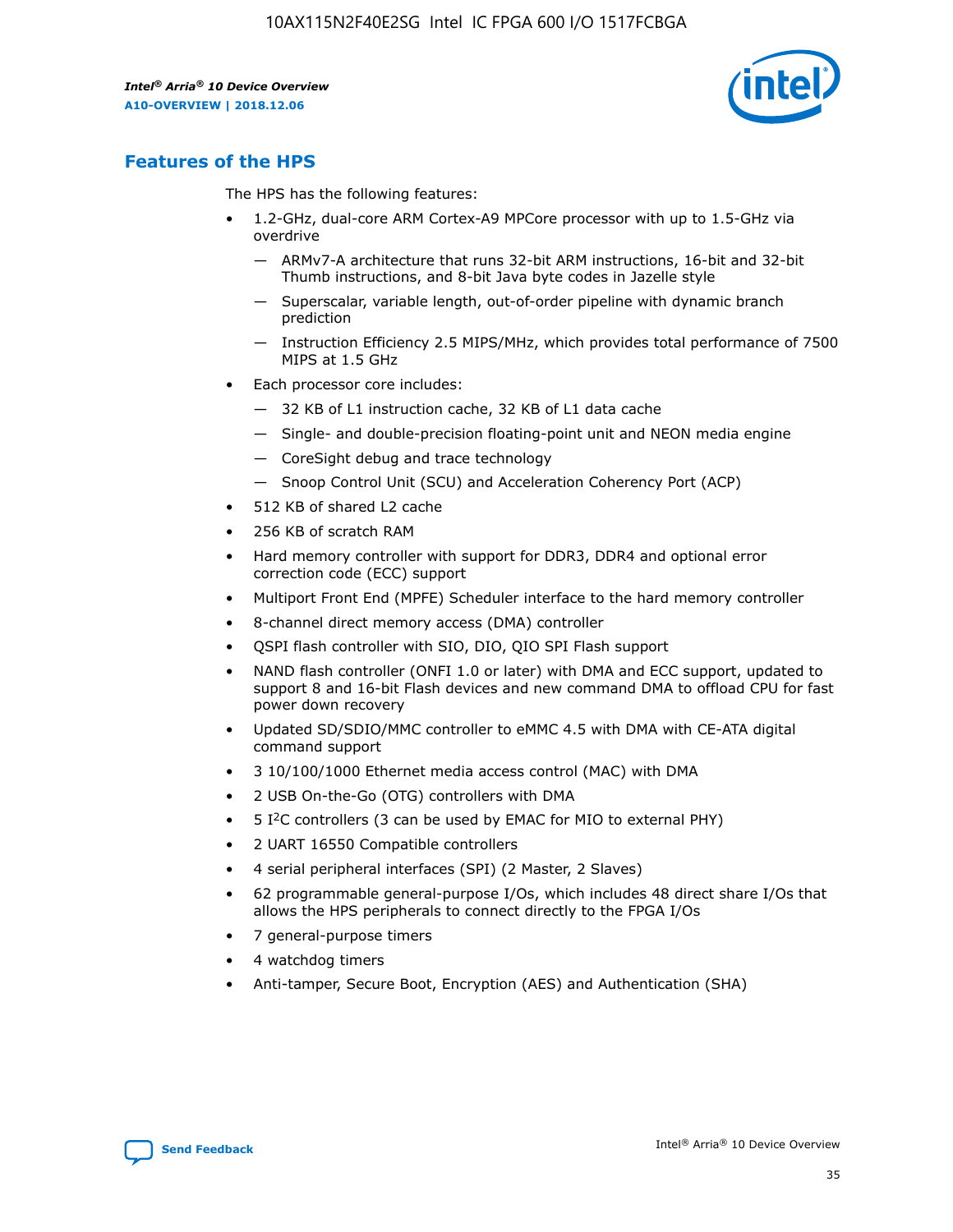

## **Features of the HPS**

The HPS has the following features:

- 1.2-GHz, dual-core ARM Cortex-A9 MPCore processor with up to 1.5-GHz via overdrive
	- ARMv7-A architecture that runs 32-bit ARM instructions, 16-bit and 32-bit Thumb instructions, and 8-bit Java byte codes in Jazelle style
	- Superscalar, variable length, out-of-order pipeline with dynamic branch prediction
	- Instruction Efficiency 2.5 MIPS/MHz, which provides total performance of 7500 MIPS at 1.5 GHz
- Each processor core includes:
	- 32 KB of L1 instruction cache, 32 KB of L1 data cache
	- Single- and double-precision floating-point unit and NEON media engine
	- CoreSight debug and trace technology
	- Snoop Control Unit (SCU) and Acceleration Coherency Port (ACP)
- 512 KB of shared L2 cache
- 256 KB of scratch RAM
- Hard memory controller with support for DDR3, DDR4 and optional error correction code (ECC) support
- Multiport Front End (MPFE) Scheduler interface to the hard memory controller
- 8-channel direct memory access (DMA) controller
- QSPI flash controller with SIO, DIO, QIO SPI Flash support
- NAND flash controller (ONFI 1.0 or later) with DMA and ECC support, updated to support 8 and 16-bit Flash devices and new command DMA to offload CPU for fast power down recovery
- Updated SD/SDIO/MMC controller to eMMC 4.5 with DMA with CE-ATA digital command support
- 3 10/100/1000 Ethernet media access control (MAC) with DMA
- 2 USB On-the-Go (OTG) controllers with DMA
- $\bullet$  5 I<sup>2</sup>C controllers (3 can be used by EMAC for MIO to external PHY)
- 2 UART 16550 Compatible controllers
- 4 serial peripheral interfaces (SPI) (2 Master, 2 Slaves)
- 62 programmable general-purpose I/Os, which includes 48 direct share I/Os that allows the HPS peripherals to connect directly to the FPGA I/Os
- 7 general-purpose timers
- 4 watchdog timers
- Anti-tamper, Secure Boot, Encryption (AES) and Authentication (SHA)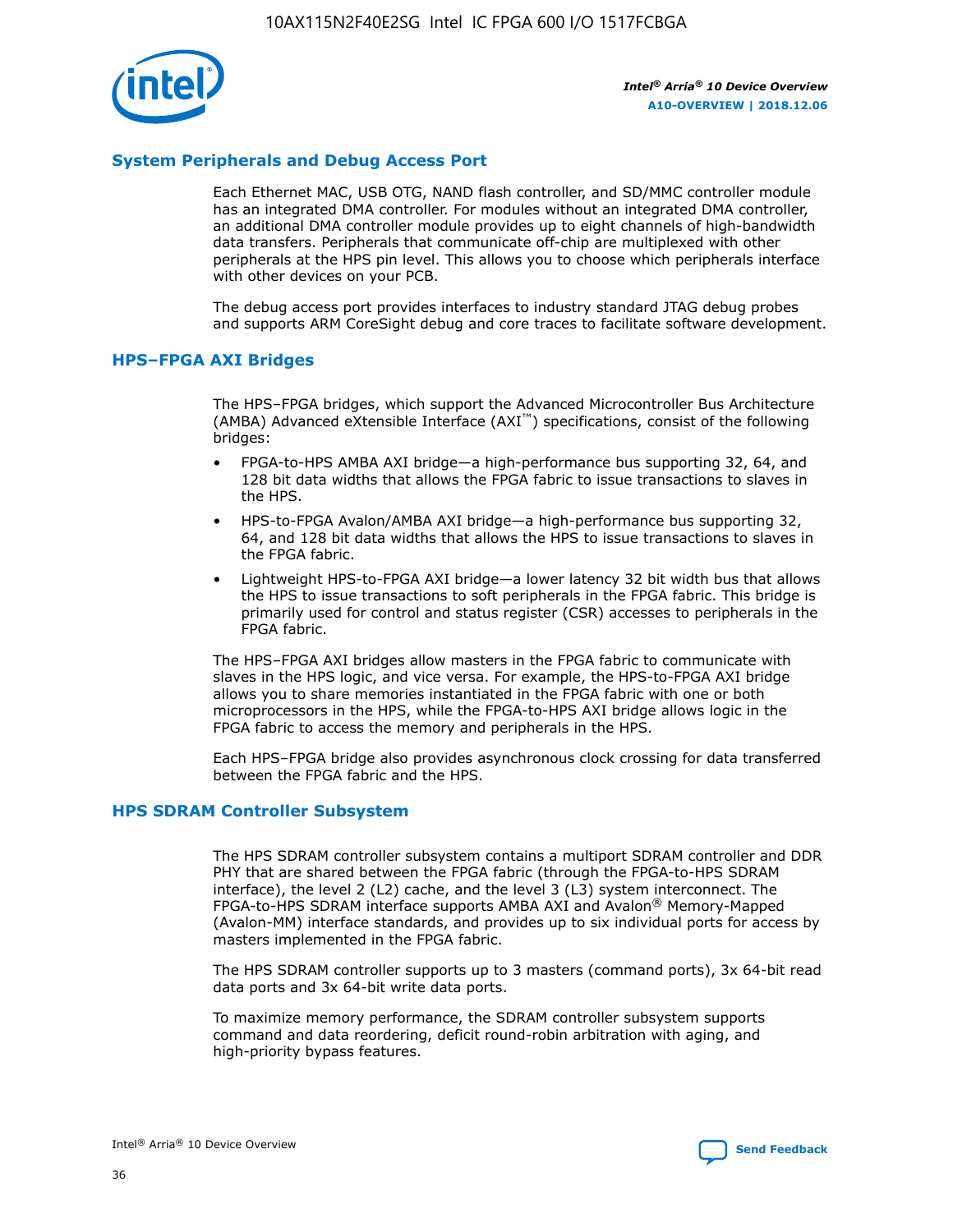

## **System Peripherals and Debug Access Port**

Each Ethernet MAC, USB OTG, NAND flash controller, and SD/MMC controller module has an integrated DMA controller. For modules without an integrated DMA controller, an additional DMA controller module provides up to eight channels of high-bandwidth data transfers. Peripherals that communicate off-chip are multiplexed with other peripherals at the HPS pin level. This allows you to choose which peripherals interface with other devices on your PCB.

The debug access port provides interfaces to industry standard JTAG debug probes and supports ARM CoreSight debug and core traces to facilitate software development.

#### **HPS–FPGA AXI Bridges**

The HPS–FPGA bridges, which support the Advanced Microcontroller Bus Architecture (AMBA) Advanced eXtensible Interface (AXI™) specifications, consist of the following bridges:

- FPGA-to-HPS AMBA AXI bridge—a high-performance bus supporting 32, 64, and 128 bit data widths that allows the FPGA fabric to issue transactions to slaves in the HPS.
- HPS-to-FPGA Avalon/AMBA AXI bridge—a high-performance bus supporting 32, 64, and 128 bit data widths that allows the HPS to issue transactions to slaves in the FPGA fabric.
- Lightweight HPS-to-FPGA AXI bridge—a lower latency 32 bit width bus that allows the HPS to issue transactions to soft peripherals in the FPGA fabric. This bridge is primarily used for control and status register (CSR) accesses to peripherals in the FPGA fabric.

The HPS–FPGA AXI bridges allow masters in the FPGA fabric to communicate with slaves in the HPS logic, and vice versa. For example, the HPS-to-FPGA AXI bridge allows you to share memories instantiated in the FPGA fabric with one or both microprocessors in the HPS, while the FPGA-to-HPS AXI bridge allows logic in the FPGA fabric to access the memory and peripherals in the HPS.

Each HPS–FPGA bridge also provides asynchronous clock crossing for data transferred between the FPGA fabric and the HPS.

#### **HPS SDRAM Controller Subsystem**

The HPS SDRAM controller subsystem contains a multiport SDRAM controller and DDR PHY that are shared between the FPGA fabric (through the FPGA-to-HPS SDRAM interface), the level 2 (L2) cache, and the level 3 (L3) system interconnect. The FPGA-to-HPS SDRAM interface supports AMBA AXI and Avalon® Memory-Mapped (Avalon-MM) interface standards, and provides up to six individual ports for access by masters implemented in the FPGA fabric.

The HPS SDRAM controller supports up to 3 masters (command ports), 3x 64-bit read data ports and 3x 64-bit write data ports.

To maximize memory performance, the SDRAM controller subsystem supports command and data reordering, deficit round-robin arbitration with aging, and high-priority bypass features.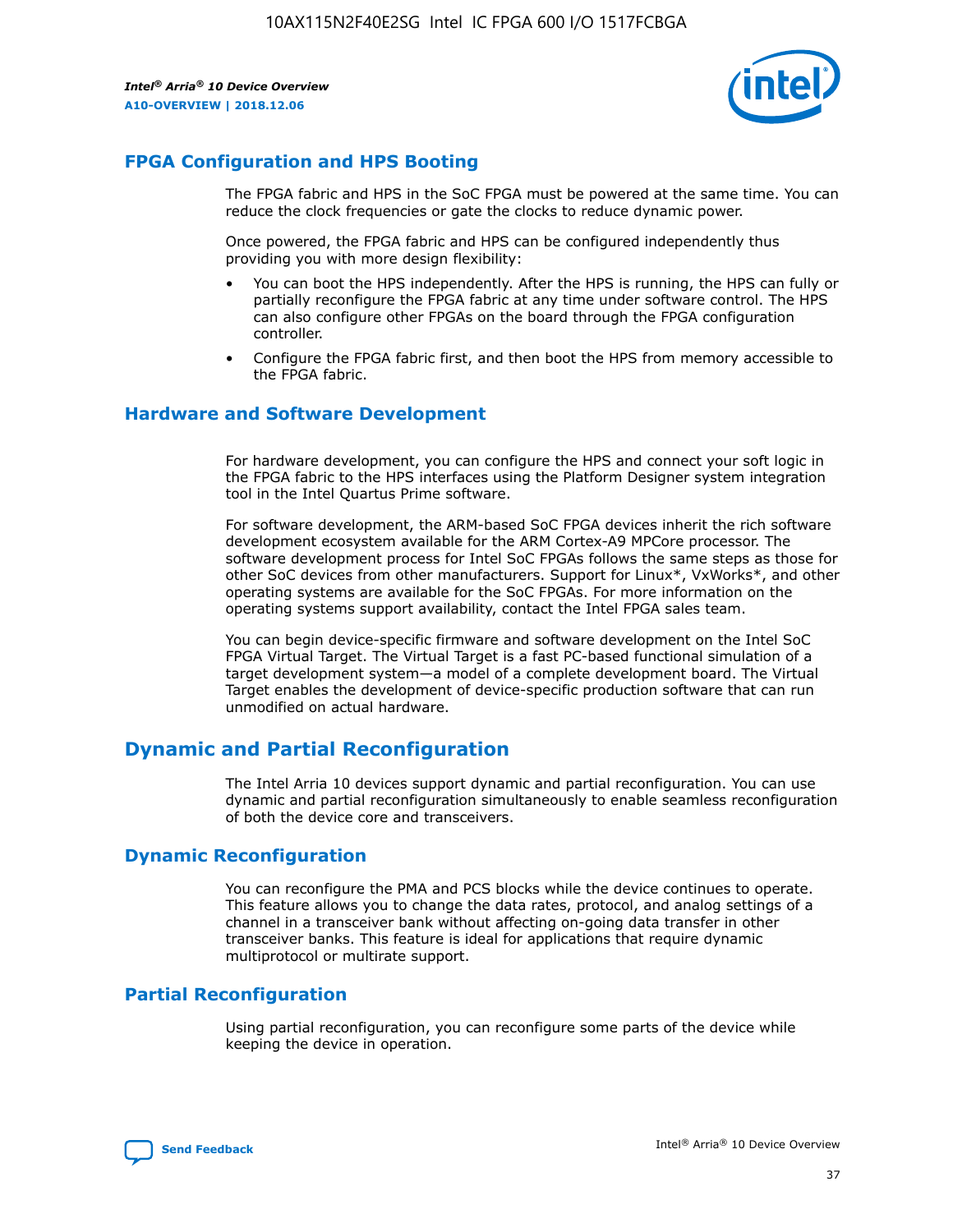

## **FPGA Configuration and HPS Booting**

The FPGA fabric and HPS in the SoC FPGA must be powered at the same time. You can reduce the clock frequencies or gate the clocks to reduce dynamic power.

Once powered, the FPGA fabric and HPS can be configured independently thus providing you with more design flexibility:

- You can boot the HPS independently. After the HPS is running, the HPS can fully or partially reconfigure the FPGA fabric at any time under software control. The HPS can also configure other FPGAs on the board through the FPGA configuration controller.
- Configure the FPGA fabric first, and then boot the HPS from memory accessible to the FPGA fabric.

## **Hardware and Software Development**

For hardware development, you can configure the HPS and connect your soft logic in the FPGA fabric to the HPS interfaces using the Platform Designer system integration tool in the Intel Quartus Prime software.

For software development, the ARM-based SoC FPGA devices inherit the rich software development ecosystem available for the ARM Cortex-A9 MPCore processor. The software development process for Intel SoC FPGAs follows the same steps as those for other SoC devices from other manufacturers. Support for Linux\*, VxWorks\*, and other operating systems are available for the SoC FPGAs. For more information on the operating systems support availability, contact the Intel FPGA sales team.

You can begin device-specific firmware and software development on the Intel SoC FPGA Virtual Target. The Virtual Target is a fast PC-based functional simulation of a target development system—a model of a complete development board. The Virtual Target enables the development of device-specific production software that can run unmodified on actual hardware.

## **Dynamic and Partial Reconfiguration**

The Intel Arria 10 devices support dynamic and partial reconfiguration. You can use dynamic and partial reconfiguration simultaneously to enable seamless reconfiguration of both the device core and transceivers.

## **Dynamic Reconfiguration**

You can reconfigure the PMA and PCS blocks while the device continues to operate. This feature allows you to change the data rates, protocol, and analog settings of a channel in a transceiver bank without affecting on-going data transfer in other transceiver banks. This feature is ideal for applications that require dynamic multiprotocol or multirate support.

## **Partial Reconfiguration**

Using partial reconfiguration, you can reconfigure some parts of the device while keeping the device in operation.

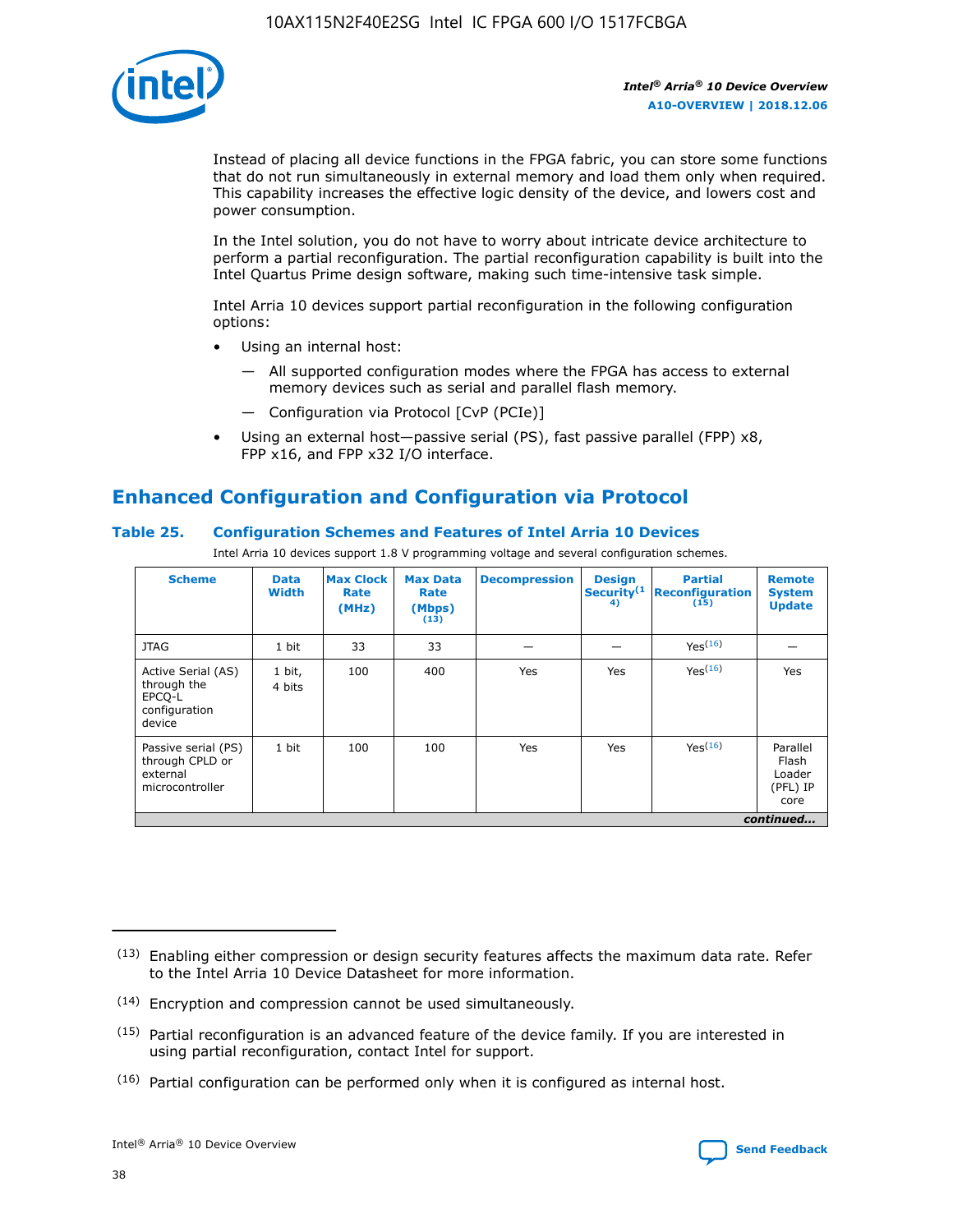

Instead of placing all device functions in the FPGA fabric, you can store some functions that do not run simultaneously in external memory and load them only when required. This capability increases the effective logic density of the device, and lowers cost and power consumption.

In the Intel solution, you do not have to worry about intricate device architecture to perform a partial reconfiguration. The partial reconfiguration capability is built into the Intel Quartus Prime design software, making such time-intensive task simple.

Intel Arria 10 devices support partial reconfiguration in the following configuration options:

- Using an internal host:
	- All supported configuration modes where the FPGA has access to external memory devices such as serial and parallel flash memory.
	- Configuration via Protocol [CvP (PCIe)]
- Using an external host—passive serial (PS), fast passive parallel (FPP) x8, FPP x16, and FPP x32 I/O interface.

# **Enhanced Configuration and Configuration via Protocol**

## **Table 25. Configuration Schemes and Features of Intel Arria 10 Devices**

Intel Arria 10 devices support 1.8 V programming voltage and several configuration schemes.

| <b>Scheme</b>                                                          | <b>Data</b><br><b>Width</b> | <b>Max Clock</b><br>Rate<br>(MHz) | <b>Max Data</b><br>Rate<br>(Mbps)<br>(13) | <b>Decompression</b> | <b>Design</b><br>Security <sup>(1</sup><br>4) | <b>Partial</b><br><b>Reconfiguration</b><br>(15) | <b>Remote</b><br><b>System</b><br><b>Update</b> |
|------------------------------------------------------------------------|-----------------------------|-----------------------------------|-------------------------------------------|----------------------|-----------------------------------------------|--------------------------------------------------|-------------------------------------------------|
| <b>JTAG</b>                                                            | 1 bit                       | 33                                | 33                                        |                      |                                               | Yes(16)                                          |                                                 |
| Active Serial (AS)<br>through the<br>EPCO-L<br>configuration<br>device | 1 bit,<br>4 bits            | 100                               | 400                                       | Yes                  | Yes                                           | $Y_{PS}(16)$                                     | Yes                                             |
| Passive serial (PS)<br>through CPLD or<br>external<br>microcontroller  | 1 bit                       | 100                               | 100                                       | Yes                  | Yes                                           | Yes(16)                                          | Parallel<br>Flash<br>Loader<br>(PFL) IP<br>core |
|                                                                        |                             |                                   |                                           |                      |                                               |                                                  | continued                                       |

<sup>(13)</sup> Enabling either compression or design security features affects the maximum data rate. Refer to the Intel Arria 10 Device Datasheet for more information.

<sup>(14)</sup> Encryption and compression cannot be used simultaneously.

 $<sup>(15)</sup>$  Partial reconfiguration is an advanced feature of the device family. If you are interested in</sup> using partial reconfiguration, contact Intel for support.

 $(16)$  Partial configuration can be performed only when it is configured as internal host.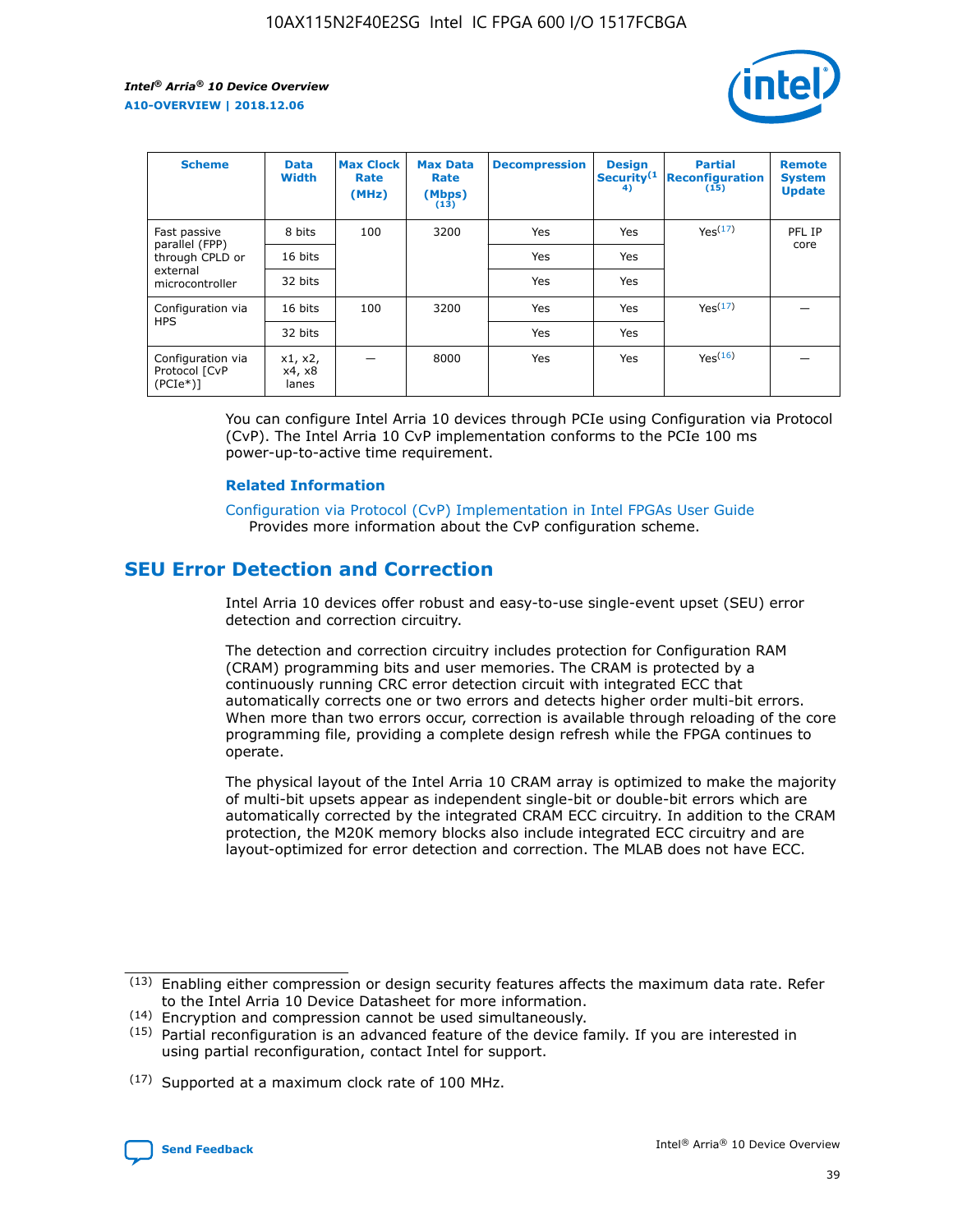

| <b>Scheme</b>                                   | <b>Data</b><br><b>Width</b> | <b>Max Clock</b><br>Rate<br>(MHz) | <b>Max Data</b><br>Rate<br>(Mbps)<br>(13) | <b>Decompression</b> | <b>Design</b><br>Security <sup>(1</sup><br>4) | <b>Partial</b><br><b>Reconfiguration</b><br>(15) | <b>Remote</b><br><b>System</b><br><b>Update</b> |
|-------------------------------------------------|-----------------------------|-----------------------------------|-------------------------------------------|----------------------|-----------------------------------------------|--------------------------------------------------|-------------------------------------------------|
| Fast passive                                    | 8 bits                      | 100                               | 3200                                      | Yes                  | Yes                                           | Yes(17)                                          | PFL IP                                          |
| parallel (FPP)<br>through CPLD or               | 16 bits                     |                                   |                                           | Yes                  | Yes                                           |                                                  | core                                            |
| external<br>microcontroller                     | 32 bits                     |                                   |                                           | Yes                  | Yes                                           |                                                  |                                                 |
| Configuration via                               | 16 bits                     | 100                               | 3200                                      | Yes                  | Yes                                           | Yes <sup>(17)</sup>                              |                                                 |
| <b>HPS</b>                                      | 32 bits                     |                                   |                                           | Yes                  | Yes                                           |                                                  |                                                 |
| Configuration via<br>Protocol [CvP<br>$(PCIe*)$ | x1, x2,<br>x4, x8<br>lanes  |                                   | 8000                                      | Yes                  | Yes                                           | Yes <sup>(16)</sup>                              |                                                 |

You can configure Intel Arria 10 devices through PCIe using Configuration via Protocol (CvP). The Intel Arria 10 CvP implementation conforms to the PCIe 100 ms power-up-to-active time requirement.

#### **Related Information**

[Configuration via Protocol \(CvP\) Implementation in Intel FPGAs User Guide](https://www.intel.com/content/www/us/en/programmable/documentation/dsu1441819344145.html#dsu1442269728522) Provides more information about the CvP configuration scheme.

# **SEU Error Detection and Correction**

Intel Arria 10 devices offer robust and easy-to-use single-event upset (SEU) error detection and correction circuitry.

The detection and correction circuitry includes protection for Configuration RAM (CRAM) programming bits and user memories. The CRAM is protected by a continuously running CRC error detection circuit with integrated ECC that automatically corrects one or two errors and detects higher order multi-bit errors. When more than two errors occur, correction is available through reloading of the core programming file, providing a complete design refresh while the FPGA continues to operate.

The physical layout of the Intel Arria 10 CRAM array is optimized to make the majority of multi-bit upsets appear as independent single-bit or double-bit errors which are automatically corrected by the integrated CRAM ECC circuitry. In addition to the CRAM protection, the M20K memory blocks also include integrated ECC circuitry and are layout-optimized for error detection and correction. The MLAB does not have ECC.

(14) Encryption and compression cannot be used simultaneously.

<sup>(17)</sup> Supported at a maximum clock rate of 100 MHz.



 $(13)$  Enabling either compression or design security features affects the maximum data rate. Refer to the Intel Arria 10 Device Datasheet for more information.

 $(15)$  Partial reconfiguration is an advanced feature of the device family. If you are interested in using partial reconfiguration, contact Intel for support.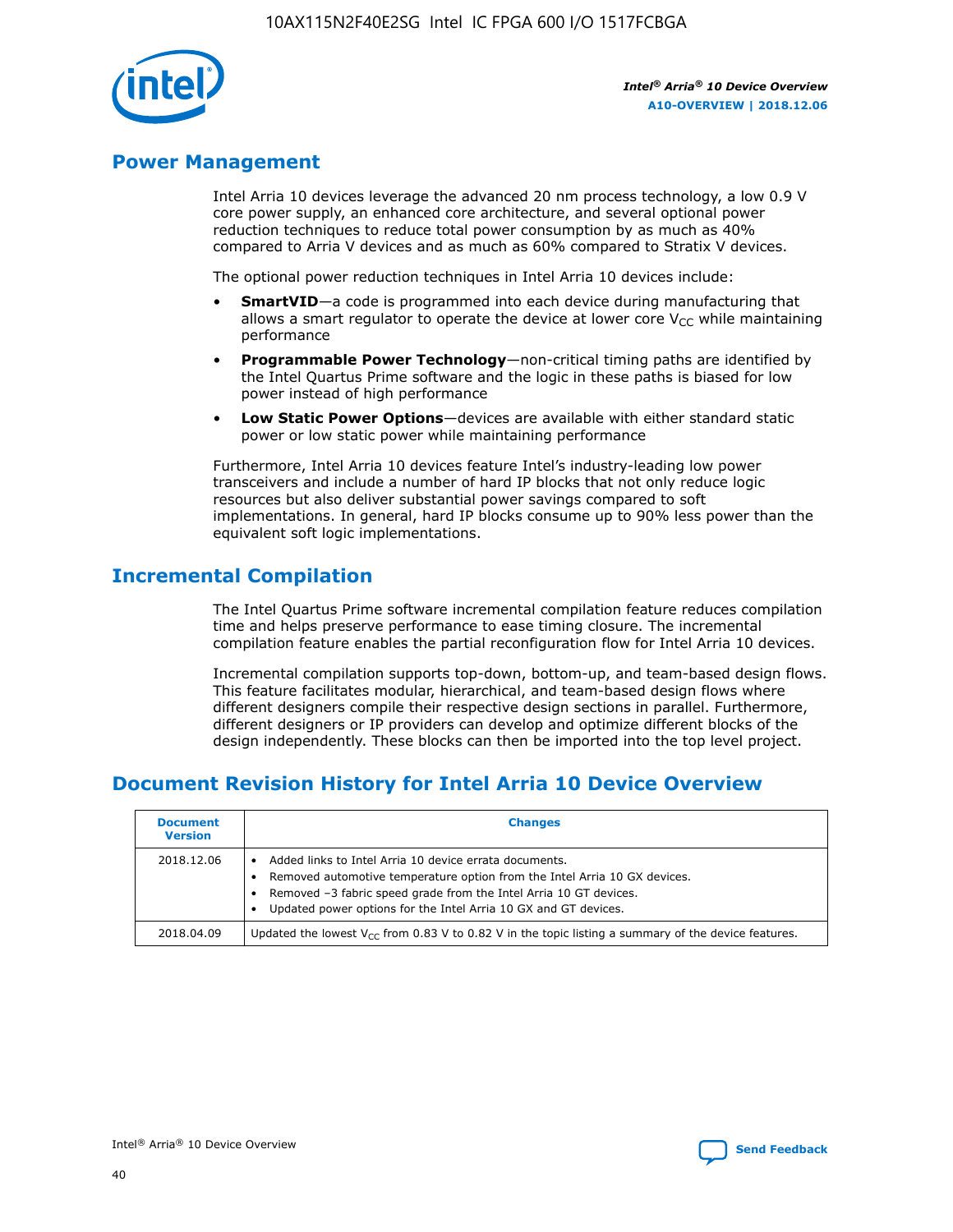

## **Power Management**

Intel Arria 10 devices leverage the advanced 20 nm process technology, a low 0.9 V core power supply, an enhanced core architecture, and several optional power reduction techniques to reduce total power consumption by as much as 40% compared to Arria V devices and as much as 60% compared to Stratix V devices.

The optional power reduction techniques in Intel Arria 10 devices include:

- **SmartVID**—a code is programmed into each device during manufacturing that allows a smart regulator to operate the device at lower core  $V_{CC}$  while maintaining performance
- **Programmable Power Technology**—non-critical timing paths are identified by the Intel Quartus Prime software and the logic in these paths is biased for low power instead of high performance
- **Low Static Power Options**—devices are available with either standard static power or low static power while maintaining performance

Furthermore, Intel Arria 10 devices feature Intel's industry-leading low power transceivers and include a number of hard IP blocks that not only reduce logic resources but also deliver substantial power savings compared to soft implementations. In general, hard IP blocks consume up to 90% less power than the equivalent soft logic implementations.

# **Incremental Compilation**

The Intel Quartus Prime software incremental compilation feature reduces compilation time and helps preserve performance to ease timing closure. The incremental compilation feature enables the partial reconfiguration flow for Intel Arria 10 devices.

Incremental compilation supports top-down, bottom-up, and team-based design flows. This feature facilitates modular, hierarchical, and team-based design flows where different designers compile their respective design sections in parallel. Furthermore, different designers or IP providers can develop and optimize different blocks of the design independently. These blocks can then be imported into the top level project.

# **Document Revision History for Intel Arria 10 Device Overview**

| <b>Document</b><br><b>Version</b> | <b>Changes</b>                                                                                                                                                                                                                                                              |
|-----------------------------------|-----------------------------------------------------------------------------------------------------------------------------------------------------------------------------------------------------------------------------------------------------------------------------|
| 2018.12.06                        | Added links to Intel Arria 10 device errata documents.<br>Removed automotive temperature option from the Intel Arria 10 GX devices.<br>Removed -3 fabric speed grade from the Intel Arria 10 GT devices.<br>Updated power options for the Intel Arria 10 GX and GT devices. |
| 2018.04.09                        | Updated the lowest $V_{CC}$ from 0.83 V to 0.82 V in the topic listing a summary of the device features.                                                                                                                                                                    |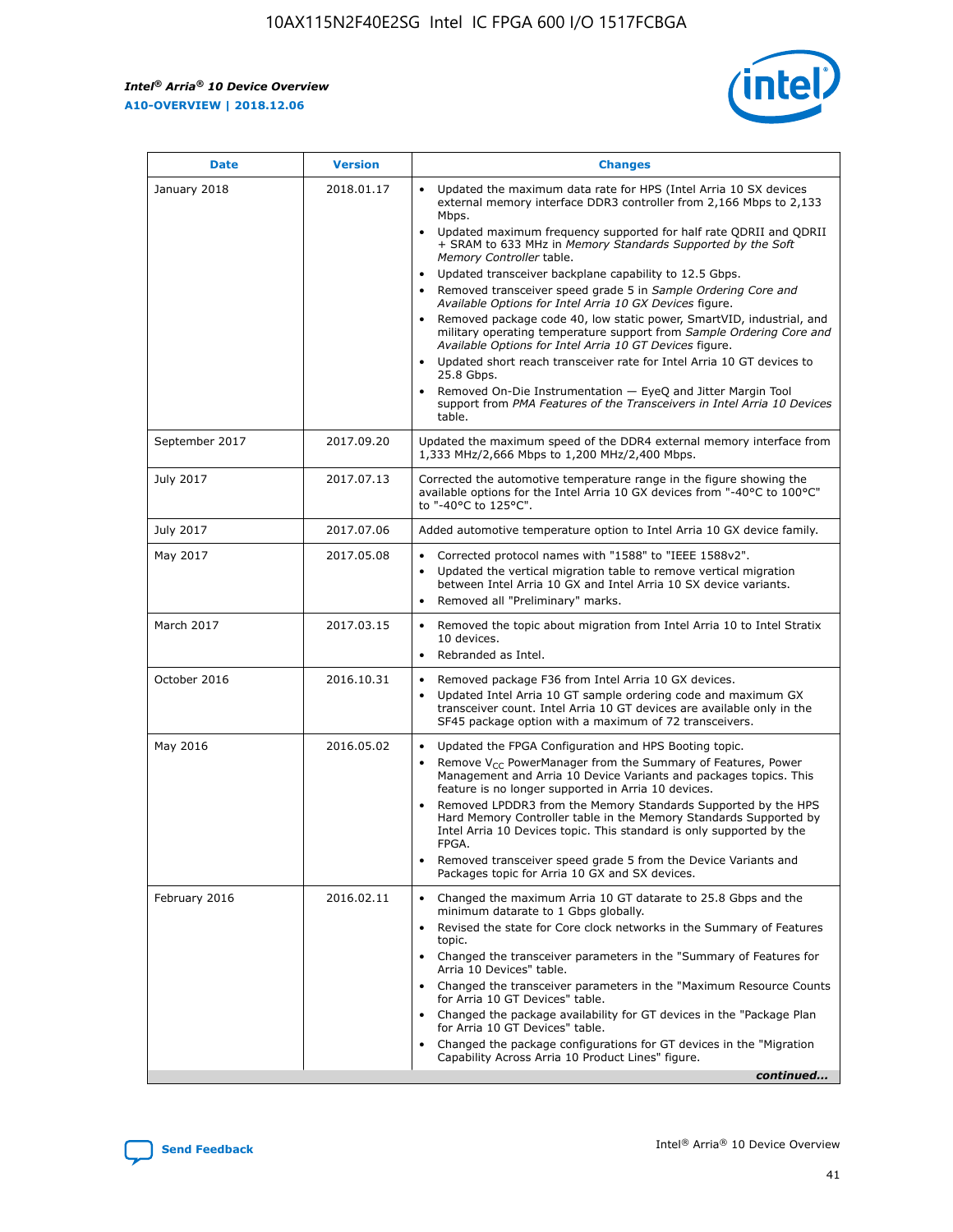*Intel® Arria® 10 Device Overview* **A10-OVERVIEW | 2018.12.06**



| <b>Date</b>    | <b>Version</b> | <b>Changes</b>                                                                                                                                                                                                                                                                                                                                                                                                                                                                                                                                                                                                                                                                                                                                                                                                                                                                                                                                                                         |
|----------------|----------------|----------------------------------------------------------------------------------------------------------------------------------------------------------------------------------------------------------------------------------------------------------------------------------------------------------------------------------------------------------------------------------------------------------------------------------------------------------------------------------------------------------------------------------------------------------------------------------------------------------------------------------------------------------------------------------------------------------------------------------------------------------------------------------------------------------------------------------------------------------------------------------------------------------------------------------------------------------------------------------------|
| January 2018   | 2018.01.17     | Updated the maximum data rate for HPS (Intel Arria 10 SX devices<br>external memory interface DDR3 controller from 2,166 Mbps to 2,133<br>Mbps.<br>Updated maximum frequency supported for half rate QDRII and QDRII<br>+ SRAM to 633 MHz in Memory Standards Supported by the Soft<br>Memory Controller table.<br>Updated transceiver backplane capability to 12.5 Gbps.<br>$\bullet$<br>Removed transceiver speed grade 5 in Sample Ordering Core and<br>$\bullet$<br>Available Options for Intel Arria 10 GX Devices figure.<br>Removed package code 40, low static power, SmartVID, industrial, and<br>military operating temperature support from Sample Ordering Core and<br>Available Options for Intel Arria 10 GT Devices figure.<br>Updated short reach transceiver rate for Intel Arria 10 GT devices to<br>25.8 Gbps.<br>Removed On-Die Instrumentation - EyeQ and Jitter Margin Tool<br>support from PMA Features of the Transceivers in Intel Arria 10 Devices<br>table. |
| September 2017 | 2017.09.20     | Updated the maximum speed of the DDR4 external memory interface from<br>1,333 MHz/2,666 Mbps to 1,200 MHz/2,400 Mbps.                                                                                                                                                                                                                                                                                                                                                                                                                                                                                                                                                                                                                                                                                                                                                                                                                                                                  |
| July 2017      | 2017.07.13     | Corrected the automotive temperature range in the figure showing the<br>available options for the Intel Arria 10 GX devices from "-40°C to 100°C"<br>to "-40°C to 125°C".                                                                                                                                                                                                                                                                                                                                                                                                                                                                                                                                                                                                                                                                                                                                                                                                              |
| July 2017      | 2017.07.06     | Added automotive temperature option to Intel Arria 10 GX device family.                                                                                                                                                                                                                                                                                                                                                                                                                                                                                                                                                                                                                                                                                                                                                                                                                                                                                                                |
| May 2017       | 2017.05.08     | Corrected protocol names with "1588" to "IEEE 1588v2".<br>$\bullet$<br>Updated the vertical migration table to remove vertical migration<br>$\bullet$<br>between Intel Arria 10 GX and Intel Arria 10 SX device variants.<br>Removed all "Preliminary" marks.<br>$\bullet$                                                                                                                                                                                                                                                                                                                                                                                                                                                                                                                                                                                                                                                                                                             |
| March 2017     | 2017.03.15     | Removed the topic about migration from Intel Arria 10 to Intel Stratix<br>$\bullet$<br>10 devices.<br>Rebranded as Intel.<br>$\bullet$                                                                                                                                                                                                                                                                                                                                                                                                                                                                                                                                                                                                                                                                                                                                                                                                                                                 |
| October 2016   | 2016.10.31     | Removed package F36 from Intel Arria 10 GX devices.<br>Updated Intel Arria 10 GT sample ordering code and maximum GX<br>$\bullet$<br>transceiver count. Intel Arria 10 GT devices are available only in the<br>SF45 package option with a maximum of 72 transceivers.                                                                                                                                                                                                                                                                                                                                                                                                                                                                                                                                                                                                                                                                                                                  |
| May 2016       | 2016.05.02     | Updated the FPGA Configuration and HPS Booting topic.<br>$\bullet$<br>Remove V <sub>CC</sub> PowerManager from the Summary of Features, Power<br>Management and Arria 10 Device Variants and packages topics. This<br>feature is no longer supported in Arria 10 devices.<br>Removed LPDDR3 from the Memory Standards Supported by the HPS<br>Hard Memory Controller table in the Memory Standards Supported by<br>Intel Arria 10 Devices topic. This standard is only supported by the<br>FPGA.<br>Removed transceiver speed grade 5 from the Device Variants and<br>Packages topic for Arria 10 GX and SX devices.                                                                                                                                                                                                                                                                                                                                                                   |
| February 2016  | 2016.02.11     | Changed the maximum Arria 10 GT datarate to 25.8 Gbps and the<br>minimum datarate to 1 Gbps globally.<br>Revised the state for Core clock networks in the Summary of Features<br>$\bullet$<br>topic.<br>Changed the transceiver parameters in the "Summary of Features for<br>$\bullet$<br>Arria 10 Devices" table.<br>• Changed the transceiver parameters in the "Maximum Resource Counts<br>for Arria 10 GT Devices" table.<br>Changed the package availability for GT devices in the "Package Plan<br>for Arria 10 GT Devices" table.<br>Changed the package configurations for GT devices in the "Migration"<br>Capability Across Arria 10 Product Lines" figure.<br>continued                                                                                                                                                                                                                                                                                                    |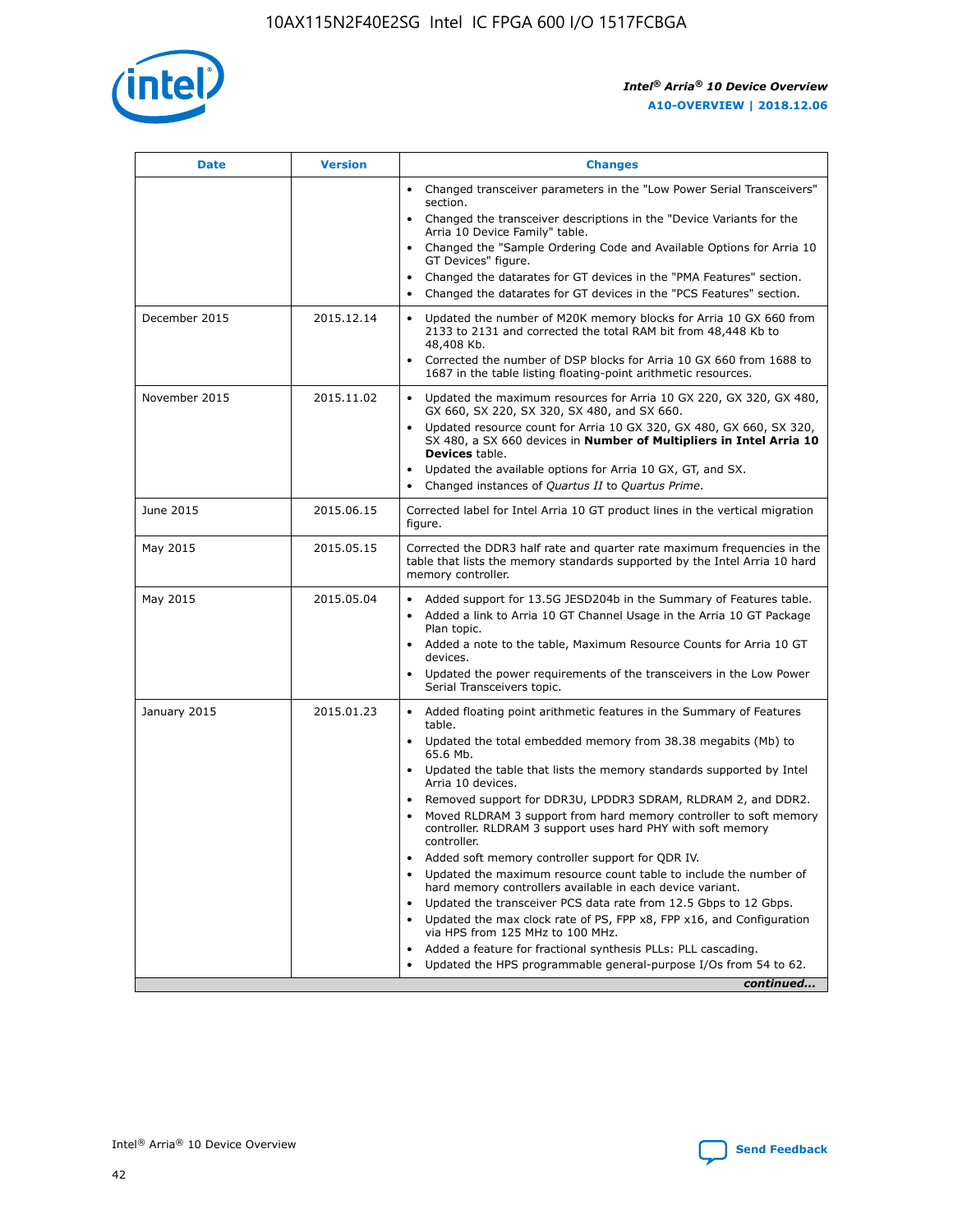

| <b>Date</b>   | <b>Version</b> | <b>Changes</b>                                                                                                                                                               |
|---------------|----------------|------------------------------------------------------------------------------------------------------------------------------------------------------------------------------|
|               |                | Changed transceiver parameters in the "Low Power Serial Transceivers"<br>section.                                                                                            |
|               |                | • Changed the transceiver descriptions in the "Device Variants for the<br>Arria 10 Device Family" table.                                                                     |
|               |                | Changed the "Sample Ordering Code and Available Options for Arria 10<br>GT Devices" figure.                                                                                  |
|               |                | Changed the datarates for GT devices in the "PMA Features" section.                                                                                                          |
|               |                | Changed the datarates for GT devices in the "PCS Features" section.<br>$\bullet$                                                                                             |
| December 2015 | 2015.12.14     | Updated the number of M20K memory blocks for Arria 10 GX 660 from<br>2133 to 2131 and corrected the total RAM bit from 48,448 Kb to<br>48,408 Kb.                            |
|               |                | Corrected the number of DSP blocks for Arria 10 GX 660 from 1688 to<br>$\bullet$<br>1687 in the table listing floating-point arithmetic resources.                           |
| November 2015 | 2015.11.02     | Updated the maximum resources for Arria 10 GX 220, GX 320, GX 480,<br>GX 660, SX 220, SX 320, SX 480, and SX 660.                                                            |
|               |                | Updated resource count for Arria 10 GX 320, GX 480, GX 660, SX 320,<br>SX 480, a SX 660 devices in Number of Multipliers in Intel Arria 10<br><b>Devices</b> table.          |
|               |                | Updated the available options for Arria 10 GX, GT, and SX.<br>$\bullet$                                                                                                      |
|               |                | Changed instances of Quartus II to Quartus Prime.<br>$\bullet$                                                                                                               |
| June 2015     | 2015.06.15     | Corrected label for Intel Arria 10 GT product lines in the vertical migration<br>figure.                                                                                     |
| May 2015      | 2015.05.15     | Corrected the DDR3 half rate and quarter rate maximum frequencies in the<br>table that lists the memory standards supported by the Intel Arria 10 hard<br>memory controller. |
| May 2015      | 2015.05.04     | Added support for 13.5G JESD204b in the Summary of Features table.<br>Added a link to Arria 10 GT Channel Usage in the Arria 10 GT Package                                   |
|               |                | Plan topic.                                                                                                                                                                  |
|               |                | • Added a note to the table, Maximum Resource Counts for Arria 10 GT<br>devices.                                                                                             |
|               |                | Updated the power requirements of the transceivers in the Low Power<br>Serial Transceivers topic.                                                                            |
| January 2015  | 2015.01.23     | • Added floating point arithmetic features in the Summary of Features<br>table.                                                                                              |
|               |                | Updated the total embedded memory from 38.38 megabits (Mb) to<br>$\bullet$<br>65.6 Mb.                                                                                       |
|               |                | • Updated the table that lists the memory standards supported by Intel<br>Arria 10 devices.                                                                                  |
|               |                | Removed support for DDR3U, LPDDR3 SDRAM, RLDRAM 2, and DDR2.                                                                                                                 |
|               |                | Moved RLDRAM 3 support from hard memory controller to soft memory<br>controller. RLDRAM 3 support uses hard PHY with soft memory<br>controller.                              |
|               |                | Added soft memory controller support for QDR IV.                                                                                                                             |
|               |                | Updated the maximum resource count table to include the number of<br>$\bullet$<br>hard memory controllers available in each device variant.                                  |
|               |                | Updated the transceiver PCS data rate from 12.5 Gbps to 12 Gbps.                                                                                                             |
|               |                | Updated the max clock rate of PS, FPP x8, FPP x16, and Configuration<br>via HPS from 125 MHz to 100 MHz.                                                                     |
|               |                | Added a feature for fractional synthesis PLLs: PLL cascading.                                                                                                                |
|               |                | Updated the HPS programmable general-purpose I/Os from 54 to 62.<br>$\bullet$                                                                                                |
|               |                | continued                                                                                                                                                                    |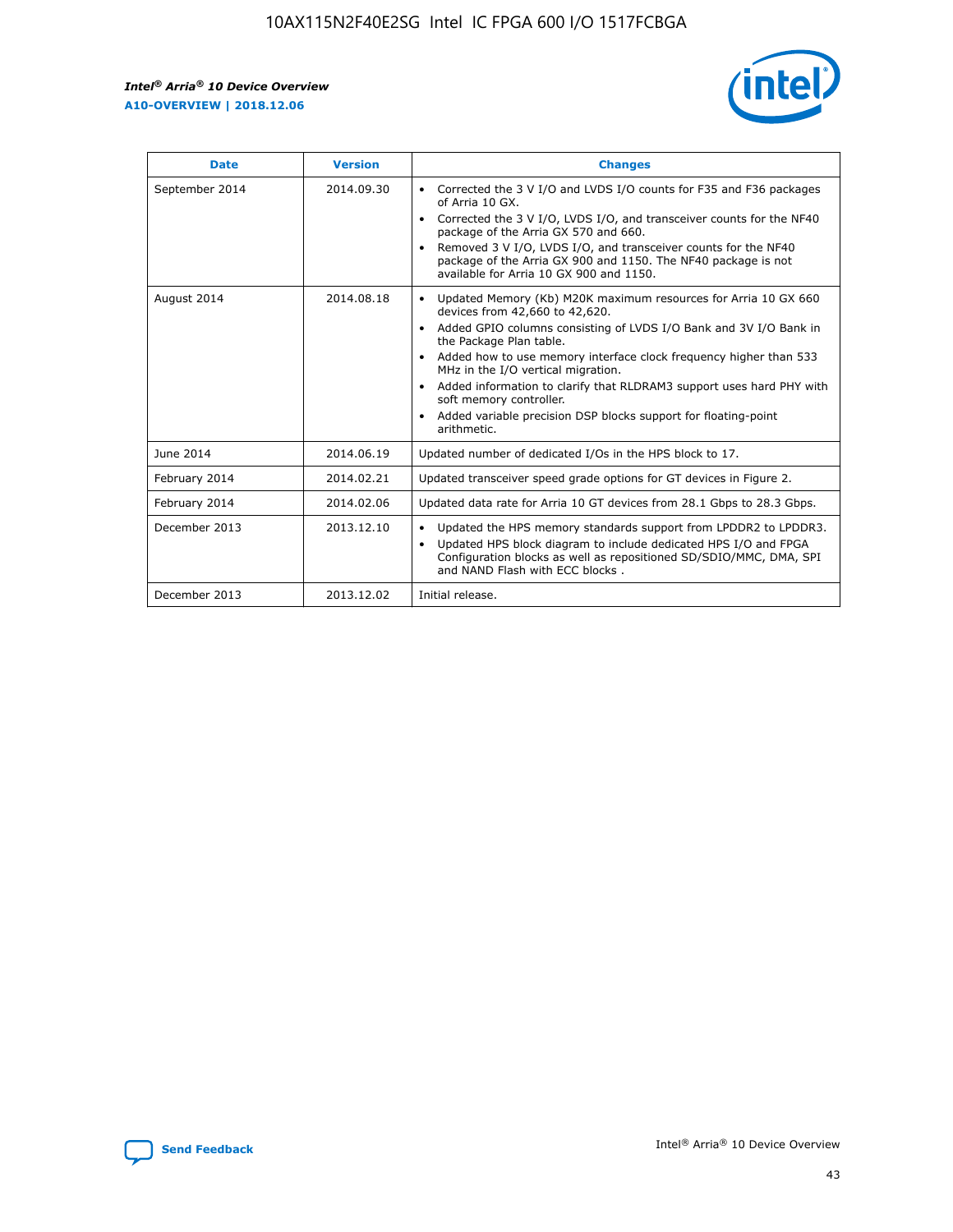r



| <b>Date</b>    | <b>Version</b> | <b>Changes</b>                                                                                                                                                                                                                                                                                                                                                                                                                                                                                                                                      |
|----------------|----------------|-----------------------------------------------------------------------------------------------------------------------------------------------------------------------------------------------------------------------------------------------------------------------------------------------------------------------------------------------------------------------------------------------------------------------------------------------------------------------------------------------------------------------------------------------------|
| September 2014 | 2014.09.30     | Corrected the 3 V I/O and LVDS I/O counts for F35 and F36 packages<br>$\bullet$<br>of Arria 10 GX.<br>Corrected the 3 V I/O, LVDS I/O, and transceiver counts for the NF40<br>$\bullet$<br>package of the Arria GX 570 and 660.<br>Removed 3 V I/O, LVDS I/O, and transceiver counts for the NF40<br>$\bullet$<br>package of the Arria GX 900 and 1150. The NF40 package is not<br>available for Arria 10 GX 900 and 1150.                                                                                                                          |
| August 2014    | 2014.08.18     | Updated Memory (Kb) M20K maximum resources for Arria 10 GX 660<br>devices from 42,660 to 42,620.<br>Added GPIO columns consisting of LVDS I/O Bank and 3V I/O Bank in<br>$\bullet$<br>the Package Plan table.<br>Added how to use memory interface clock frequency higher than 533<br>$\bullet$<br>MHz in the I/O vertical migration.<br>Added information to clarify that RLDRAM3 support uses hard PHY with<br>$\bullet$<br>soft memory controller.<br>Added variable precision DSP blocks support for floating-point<br>$\bullet$<br>arithmetic. |
| June 2014      | 2014.06.19     | Updated number of dedicated I/Os in the HPS block to 17.                                                                                                                                                                                                                                                                                                                                                                                                                                                                                            |
| February 2014  | 2014.02.21     | Updated transceiver speed grade options for GT devices in Figure 2.                                                                                                                                                                                                                                                                                                                                                                                                                                                                                 |
| February 2014  | 2014.02.06     | Updated data rate for Arria 10 GT devices from 28.1 Gbps to 28.3 Gbps.                                                                                                                                                                                                                                                                                                                                                                                                                                                                              |
| December 2013  | 2013.12.10     | Updated the HPS memory standards support from LPDDR2 to LPDDR3.<br>Updated HPS block diagram to include dedicated HPS I/O and FPGA<br>$\bullet$<br>Configuration blocks as well as repositioned SD/SDIO/MMC, DMA, SPI<br>and NAND Flash with ECC blocks.                                                                                                                                                                                                                                                                                            |
| December 2013  | 2013.12.02     | Initial release.                                                                                                                                                                                                                                                                                                                                                                                                                                                                                                                                    |